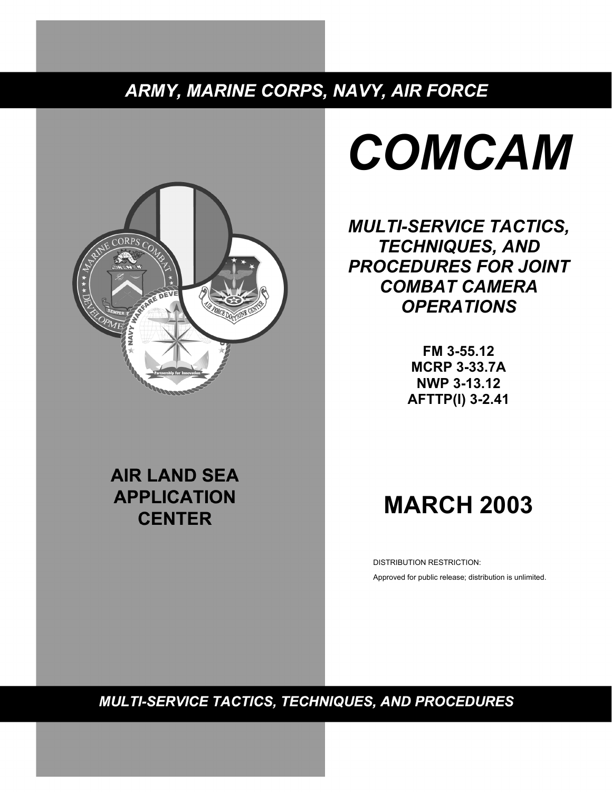## ARMY, MARINE CORPS, NAVY, AIR FORCE



# *COMCAM*

*MULTI-SERVICE TACTICS, TECHNIQUES, AND PROCEDURES FOR JOINT COMBAT CAMERA OPERATIONS* 

> **FM 3-55.12 MCRP 3-33.7A NWP 3-13.12 AFTTP(I) 3-2.41**

# **AIR LAND SEA APPLICATION CENTER**

# **MARCH 2003**

DISTRIBUTION RESTRICTION: Approved for public release; distribution is unlimited.

**MULTI-SERVICE TACTICS, TECHNIQUES, AND PROCEDURES**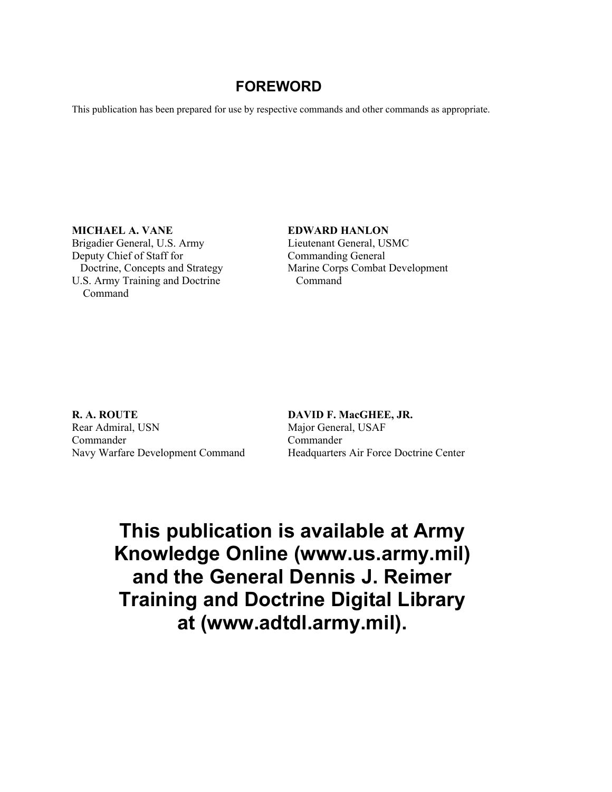## **FOREWORD**

This publication has been prepared for use by respective commands and other commands as appropriate.

**MICHAEL A. VANE EDWARD HANLON**  Brigadier General, U.S. Army Lieutenant General, USMC Deputy Chief of Staff for Commanding General U.S. Army Training and Doctrine Command Command

Doctrine, Concepts and Strategy Marine Corps Combat Development

**R. A. ROUTE DAVID F. MacGHEE, JR.** Rear Admiral, USN Major General, USAF Commander Commander

Navy Warfare Development Command Headquarters Air Force Doctrine Center

**This publication is available at Army Knowledge Online (www.us.army.mil) and the General Dennis J. Reimer Training and Doctrine Digital Library at (www.adtdl.army.mil).**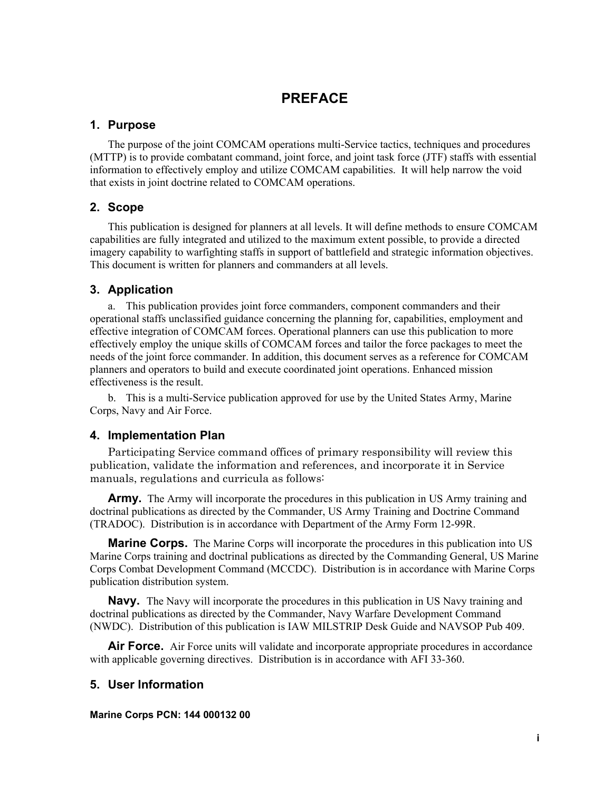## **PREFACE**

#### **1. Purpose**

The purpose of the joint COMCAM operations multi-Service tactics, techniques and procedures (MTTP) is to provide combatant command, joint force, and joint task force (JTF) staffs with essential information to effectively employ and utilize COMCAM capabilities. It will help narrow the void that exists in joint doctrine related to COMCAM operations.

## **2. Scope**

This publication is designed for planners at all levels. It will define methods to ensure COMCAM capabilities are fully integrated and utilized to the maximum extent possible, to provide a directed imagery capability to warfighting staffs in support of battlefield and strategic information objectives. This document is written for planners and commanders at all levels.

#### **3. Application**

a. This publication provides joint force commanders, component commanders and their operational staffs unclassified guidance concerning the planning for, capabilities, employment and effective integration of COMCAM forces. Operational planners can use this publication to more effectively employ the unique skills of COMCAM forces and tailor the force packages to meet the needs of the joint force commander. In addition, this document serves as a reference for COMCAM planners and operators to build and execute coordinated joint operations. Enhanced mission effectiveness is the result.

b. This is a multi-Service publication approved for use by the United States Army, Marine Corps, Navy and Air Force.

#### **4. Implementation Plan**

Participating Service command offices of primary responsibility will review this publication, validate the information and references, and incorporate it in Service manuals, regulations and curricula as follows:

**Army.** The Army will incorporate the procedures in this publication in US Army training and doctrinal publications as directed by the Commander, US Army Training and Doctrine Command (TRADOC). Distribution is in accordance with Department of the Army Form 12-99R.

**Marine Corps.** The Marine Corps will incorporate the procedures in this publication into US Marine Corps training and doctrinal publications as directed by the Commanding General, US Marine Corps Combat Development Command (MCCDC). Distribution is in accordance with Marine Corps publication distribution system.

**Navy.** The Navy will incorporate the procedures in this publication in US Navy training and doctrinal publications as directed by the Commander, Navy Warfare Development Command (NWDC). Distribution of this publication is IAW MILSTRIP Desk Guide and NAVSOP Pub 409.

**Air Force.** Air Force units will validate and incorporate appropriate procedures in accordance with applicable governing directives. Distribution is in accordance with AFI 33-360.

## **5. User Information**

#### **Marine Corps PCN: 144 000132 00**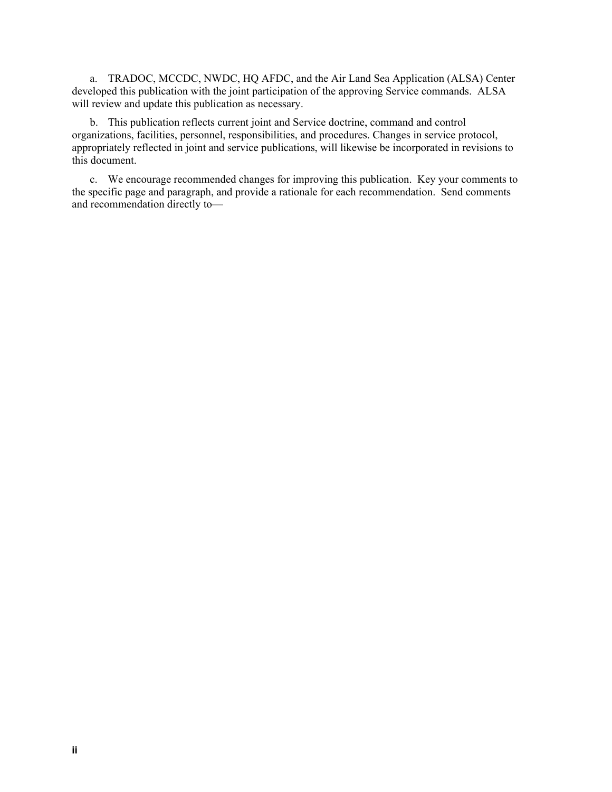a. TRADOC, MCCDC, NWDC, HQ AFDC, and the Air Land Sea Application (ALSA) Center developed this publication with the joint participation of the approving Service commands. ALSA will review and update this publication as necessary.

b. This publication reflects current joint and Service doctrine, command and control organizations, facilities, personnel, responsibilities, and procedures. Changes in service protocol, appropriately reflected in joint and service publications, will likewise be incorporated in revisions to this document.

c. We encourage recommended changes for improving this publication. Key your comments to the specific page and paragraph, and provide a rationale for each recommendation. Send comments and recommendation directly to—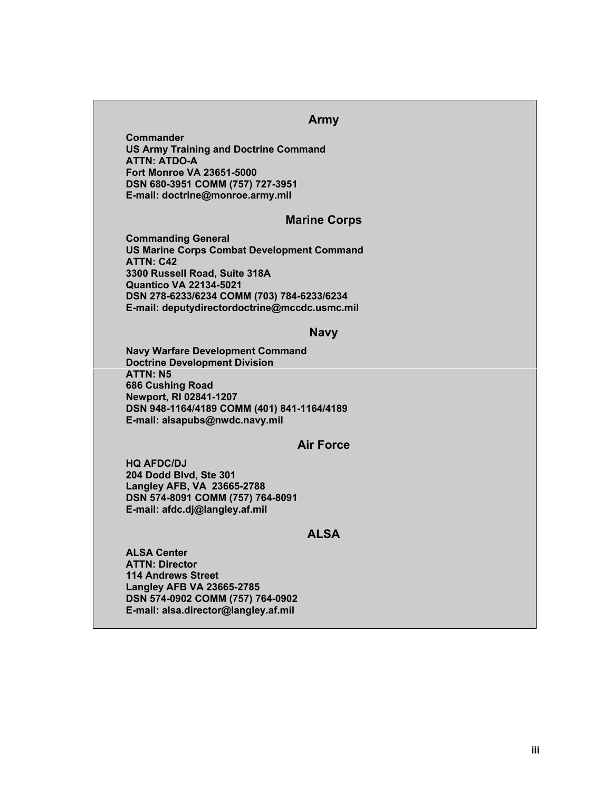#### **Army**

**Commander US Army Training and Doctrine Command ATTN: ATDO-A Fort Monroe VA 23651-5000 DSN 680-3951 COMM (757) 727-3951 E-mail: doctrine@monroe.army.mil** 

#### **Marine Corps**

**Commanding General US Marine Corps Combat Development Command ATTN: C42 3300 Russell Road, Suite 318A Quantico VA 22134-5021 DSN 278-6233/6234 COMM (703) 784-6233/6234 E-mail: deputydirectordoctrine@mccdc.usmc.mil** 

#### **Navy**

**Navy Warfare Development Command Doctrine Development Division ATTN: N5 686 Cushing Road Newport, RI 02841-1207 DSN 948-1164/4189 COMM (401) 841-1164/4189 E-mail: alsapubs@nwdc.navy.mil** 

#### **Air Force**

**HQ AFDC/DJ 204 Dodd Blvd, Ste 301 Langley AFB, VA 23665-2788 DSN 574-8091 COMM (757) 764-8091 E-mail: afdc.dj@langley.af.mil** 

#### **ALSA**

**ALSA Center ATTN: Director 114 Andrews Street Langley AFB VA 23665-2785 DSN 574-0902 COMM (757) 764-0902 E-mail: alsa.director@langley.af.mil**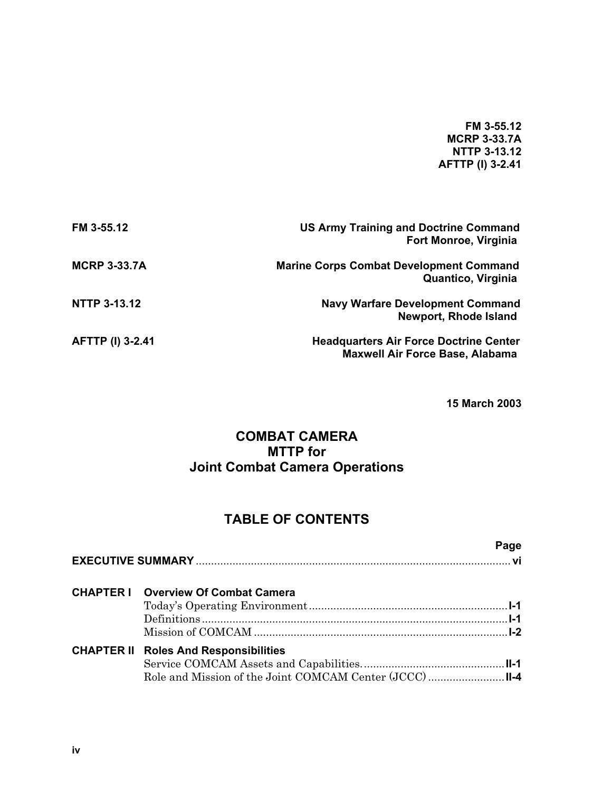#### **FM 3-55.12 MCRP 3-33.7A NTTP 3-13.12 AFTTP (I) 3-2.41**

| FM 3-55.12              | <b>US Army Training and Doctrine Command</b><br><b>Fort Monroe, Virginia</b>            |
|-------------------------|-----------------------------------------------------------------------------------------|
| <b>MCRP 3-33.7A</b>     | <b>Marine Corps Combat Development Command</b><br>Quantico, Virginia                    |
| <b>NTTP 3-13.12</b>     | <b>Navy Warfare Development Command</b><br><b>Newport, Rhode Island</b>                 |
| <b>AFTTP (I) 3-2.41</b> | <b>Headquarters Air Force Doctrine Center</b><br><b>Maxwell Air Force Base, Alabama</b> |

**15 March 2003** 

## **COMBAT CAMERA MTTP for Joint Combat Camera Operations**

## **TABLE OF CONTENTS**

|                                              | Page |
|----------------------------------------------|------|
| <b>CHAPTER I</b> Overview Of Combat Camera   |      |
| <b>CHAPTER II Roles And Responsibilities</b> |      |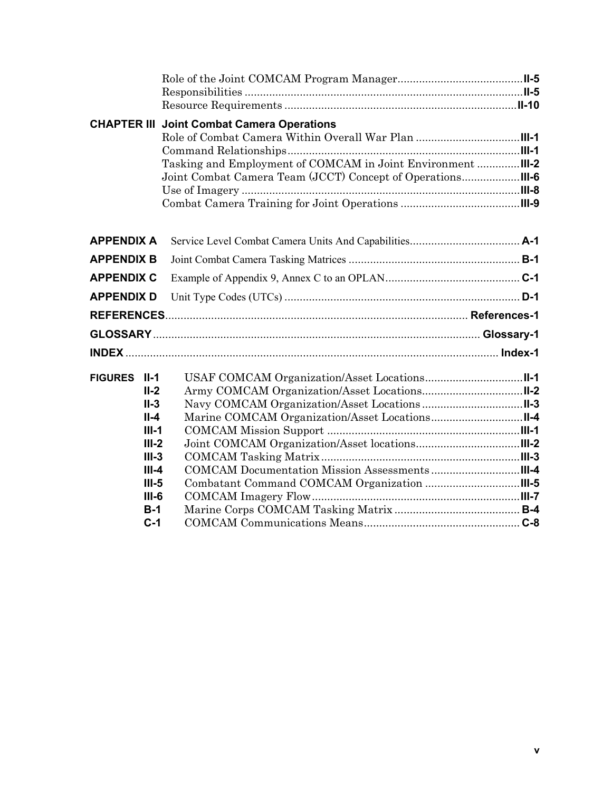|                   |                | <b>CHAPTER III Joint Combat Camera Operations</b> |  |
|-------------------|----------------|---------------------------------------------------|--|
|                   |                |                                                   |  |
|                   |                |                                                   |  |
|                   |                |                                                   |  |
|                   |                |                                                   |  |
|                   |                |                                                   |  |
|                   |                |                                                   |  |
| <b>APPENDIX A</b> |                |                                                   |  |
| <b>APPENDIX B</b> |                |                                                   |  |
| <b>APPENDIX C</b> |                |                                                   |  |
| <b>APPENDIX D</b> |                |                                                   |  |
|                   |                |                                                   |  |
|                   |                |                                                   |  |
|                   |                |                                                   |  |
| FIGURES II-1      |                |                                                   |  |
|                   | $II-2$         |                                                   |  |
|                   | $II-3$         |                                                   |  |
|                   | $II-4$         |                                                   |  |
|                   | $III-1$        |                                                   |  |
|                   | $III-2$        |                                                   |  |
|                   | $III-3$        |                                                   |  |
|                   | $III -4$       |                                                   |  |
|                   | $III-5$        |                                                   |  |
|                   | $III-6$        |                                                   |  |
|                   | $B-1$<br>$C-1$ |                                                   |  |
|                   |                |                                                   |  |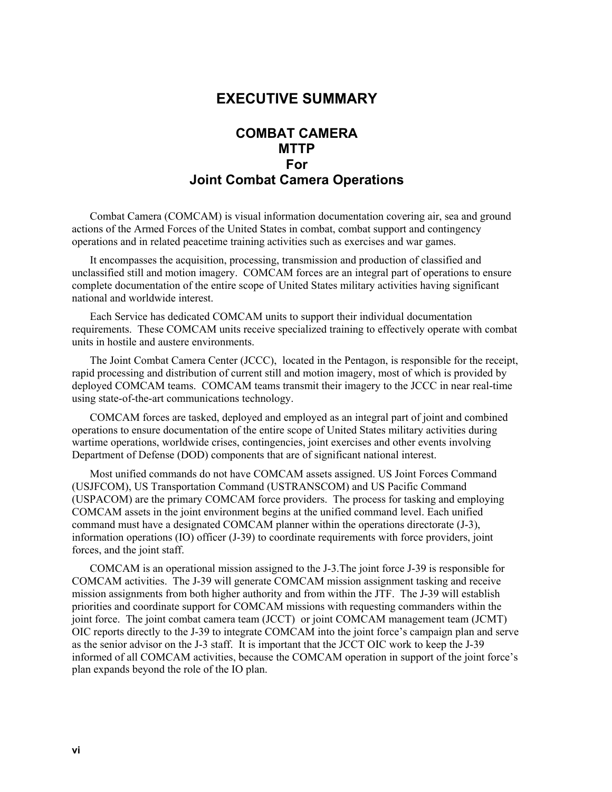## **EXECUTIVE SUMMARY**

## **COMBAT CAMERA MTTP For Joint Combat Camera Operations**

Combat Camera (COMCAM) is visual information documentation covering air, sea and ground actions of the Armed Forces of the United States in combat, combat support and contingency operations and in related peacetime training activities such as exercises and war games.

It encompasses the acquisition, processing, transmission and production of classified and unclassified still and motion imagery. COMCAM forces are an integral part of operations to ensure complete documentation of the entire scope of United States military activities having significant national and worldwide interest.

Each Service has dedicated COMCAM units to support their individual documentation requirements. These COMCAM units receive specialized training to effectively operate with combat units in hostile and austere environments.

The Joint Combat Camera Center (JCCC), located in the Pentagon, is responsible for the receipt, rapid processing and distribution of current still and motion imagery, most of which is provided by deployed COMCAM teams. COMCAM teams transmit their imagery to the JCCC in near real-time using state-of-the-art communications technology.

COMCAM forces are tasked, deployed and employed as an integral part of joint and combined operations to ensure documentation of the entire scope of United States military activities during wartime operations, worldwide crises, contingencies, joint exercises and other events involving Department of Defense (DOD) components that are of significant national interest.

Most unified commands do not have COMCAM assets assigned. US Joint Forces Command (USJFCOM), US Transportation Command (USTRANSCOM) and US Pacific Command (USPACOM) are the primary COMCAM force providers. The process for tasking and employing COMCAM assets in the joint environment begins at the unified command level. Each unified command must have a designated COMCAM planner within the operations directorate (J-3), information operations (IO) officer (J-39) to coordinate requirements with force providers, joint forces, and the joint staff.

COMCAM is an operational mission assigned to the J-3.The joint force J-39 is responsible for COMCAM activities. The J-39 will generate COMCAM mission assignment tasking and receive mission assignments from both higher authority and from within the JTF. The J-39 will establish priorities and coordinate support for COMCAM missions with requesting commanders within the joint force. The joint combat camera team (JCCT) or joint COMCAM management team (JCMT) OIC reports directly to the J-39 to integrate COMCAM into the joint force's campaign plan and serve as the senior advisor on the J-3 staff. It is important that the JCCT OIC work to keep the J-39 informed of all COMCAM activities, because the COMCAM operation in support of the joint force's plan expands beyond the role of the IO plan.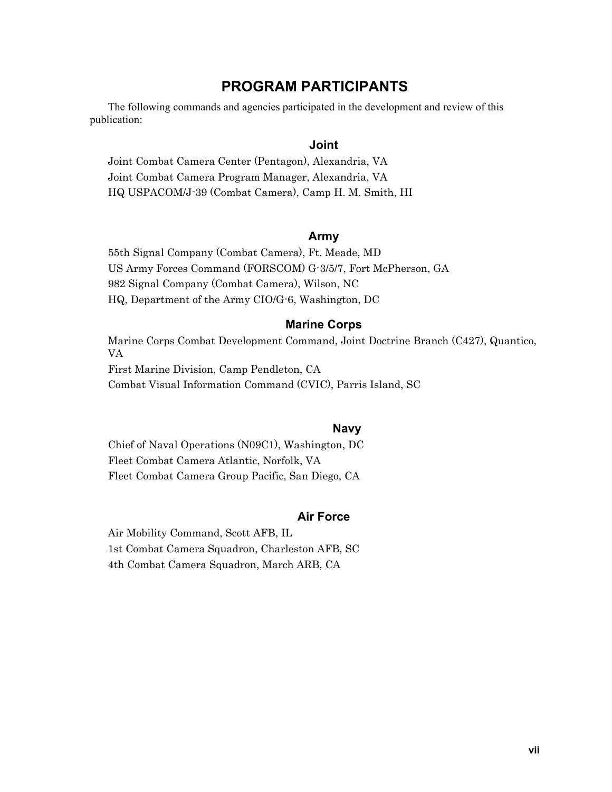## **PROGRAM PARTICIPANTS**

The following commands and agencies participated in the development and review of this publication:

#### **Joint**

Joint Combat Camera Center (Pentagon), Alexandria, VA Joint Combat Camera Program Manager, Alexandria, VA HQ USPACOM/J-39 (Combat Camera), Camp H. M. Smith, HI

#### **Army**

55th Signal Company (Combat Camera), Ft. Meade, MD US Army Forces Command (FORSCOM) G-3/5/7, Fort McPherson, GA 982 Signal Company (Combat Camera), Wilson, NC HQ, Department of the Army CIO/G-6, Washington, DC

#### **Marine Corps**

Marine Corps Combat Development Command, Joint Doctrine Branch (C427), Quantico, VA First Marine Division, Camp Pendleton, CA Combat Visual Information Command (CVIC), Parris Island, SC

#### **Navy**

Chief of Naval Operations (N09C1), Washington, DC Fleet Combat Camera Atlantic, Norfolk, VA Fleet Combat Camera Group Pacific, San Diego, CA

#### **Air Force**

Air Mobility Command, Scott AFB, IL 1st Combat Camera Squadron, Charleston AFB, SC 4th Combat Camera Squadron, March ARB, CA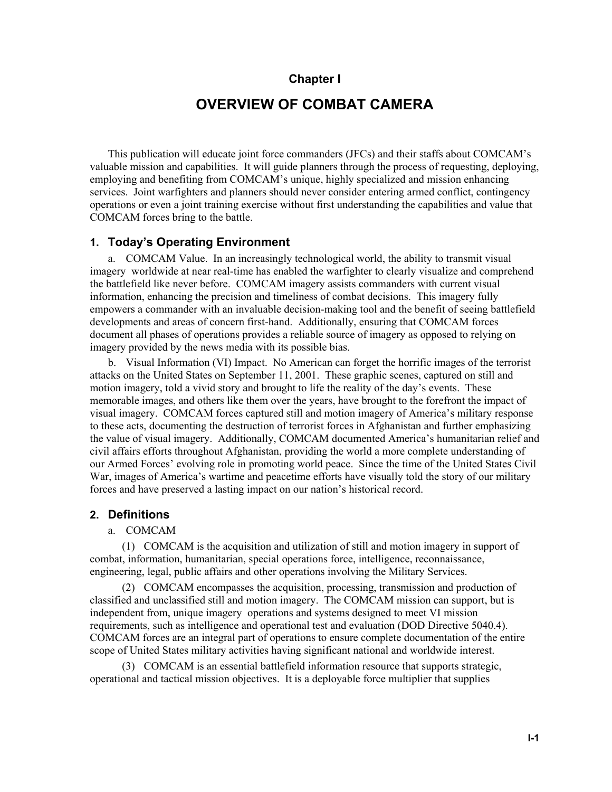#### **Chapter I**

## **OVERVIEW OF COMBAT CAMERA**

This publication will educate joint force commanders (JFCs) and their staffs about COMCAM's valuable mission and capabilities. It will guide planners through the process of requesting, deploying, employing and benefiting from COMCAM's unique, highly specialized and mission enhancing services. Joint warfighters and planners should never consider entering armed conflict, contingency operations or even a joint training exercise without first understanding the capabilities and value that COMCAM forces bring to the battle.

#### **1. Today's Operating Environment**

a. COMCAM Value. In an increasingly technological world, the ability to transmit visual imagery worldwide at near real-time has enabled the warfighter to clearly visualize and comprehend the battlefield like never before. COMCAM imagery assists commanders with current visual information, enhancing the precision and timeliness of combat decisions. This imagery fully empowers a commander with an invaluable decision-making tool and the benefit of seeing battlefield developments and areas of concern first-hand. Additionally, ensuring that COMCAM forces document all phases of operations provides a reliable source of imagery as opposed to relying on imagery provided by the news media with its possible bias.

b. Visual Information (VI) Impact. No American can forget the horrific images of the terrorist attacks on the United States on September 11, 2001. These graphic scenes, captured on still and motion imagery, told a vivid story and brought to life the reality of the day's events. These memorable images, and others like them over the years, have brought to the forefront the impact of visual imagery. COMCAM forces captured still and motion imagery of America's military response to these acts, documenting the destruction of terrorist forces in Afghanistan and further emphasizing the value of visual imagery. Additionally, COMCAM documented America's humanitarian relief and civil affairs efforts throughout Afghanistan, providing the world a more complete understanding of our Armed Forces' evolving role in promoting world peace. Since the time of the United States Civil War, images of America's wartime and peacetime efforts have visually told the story of our military forces and have preserved a lasting impact on our nation's historical record.

#### **2. Definitions**

#### a. COMCAM

(1) COMCAM is the acquisition and utilization of still and motion imagery in support of combat, information, humanitarian, special operations force, intelligence, reconnaissance, engineering, legal, public affairs and other operations involving the Military Services.

(2) COMCAM encompasses the acquisition, processing, transmission and production of classified and unclassified still and motion imagery. The COMCAM mission can support, but is independent from, unique imagery operations and systems designed to meet VI mission requirements, such as intelligence and operational test and evaluation (DOD Directive 5040.4). COMCAM forces are an integral part of operations to ensure complete documentation of the entire scope of United States military activities having significant national and worldwide interest.

(3) COMCAM is an essential battlefield information resource that supports strategic, operational and tactical mission objectives. It is a deployable force multiplier that supplies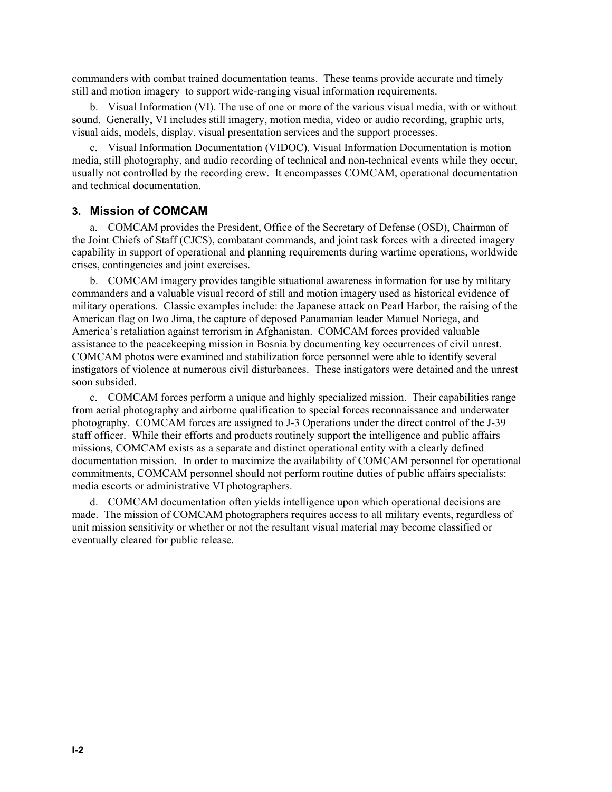commanders with combat trained documentation teams. These teams provide accurate and timely still and motion imagery to support wide-ranging visual information requirements.

b. Visual Information (VI). The use of one or more of the various visual media, with or without sound. Generally, VI includes still imagery, motion media, video or audio recording, graphic arts, visual aids, models, display, visual presentation services and the support processes.

c. Visual Information Documentation (VIDOC). Visual Information Documentation is motion media, still photography, and audio recording of technical and non-technical events while they occur, usually not controlled by the recording crew. It encompasses COMCAM, operational documentation and technical documentation.

#### **3. Mission of COMCAM**

a. COMCAM provides the President, Office of the Secretary of Defense (OSD), Chairman of the Joint Chiefs of Staff (CJCS), combatant commands, and joint task forces with a directed imagery capability in support of operational and planning requirements during wartime operations, worldwide crises, contingencies and joint exercises.

b. COMCAM imagery provides tangible situational awareness information for use by military commanders and a valuable visual record of still and motion imagery used as historical evidence of military operations. Classic examples include: the Japanese attack on Pearl Harbor, the raising of the American flag on Iwo Jima, the capture of deposed Panamanian leader Manuel Noriega, and America's retaliation against terrorism in Afghanistan. COMCAM forces provided valuable assistance to the peacekeeping mission in Bosnia by documenting key occurrences of civil unrest. COMCAM photos were examined and stabilization force personnel were able to identify several instigators of violence at numerous civil disturbances. These instigators were detained and the unrest soon subsided.

c. COMCAM forces perform a unique and highly specialized mission. Their capabilities range from aerial photography and airborne qualification to special forces reconnaissance and underwater photography. COMCAM forces are assigned to J-3 Operations under the direct control of the J-39 staff officer. While their efforts and products routinely support the intelligence and public affairs missions, COMCAM exists as a separate and distinct operational entity with a clearly defined documentation mission. In order to maximize the availability of COMCAM personnel for operational commitments, COMCAM personnel should not perform routine duties of public affairs specialists: media escorts or administrative VI photographers.

d. COMCAM documentation often yields intelligence upon which operational decisions are made. The mission of COMCAM photographers requires access to all military events, regardless of unit mission sensitivity or whether or not the resultant visual material may become classified or eventually cleared for public release.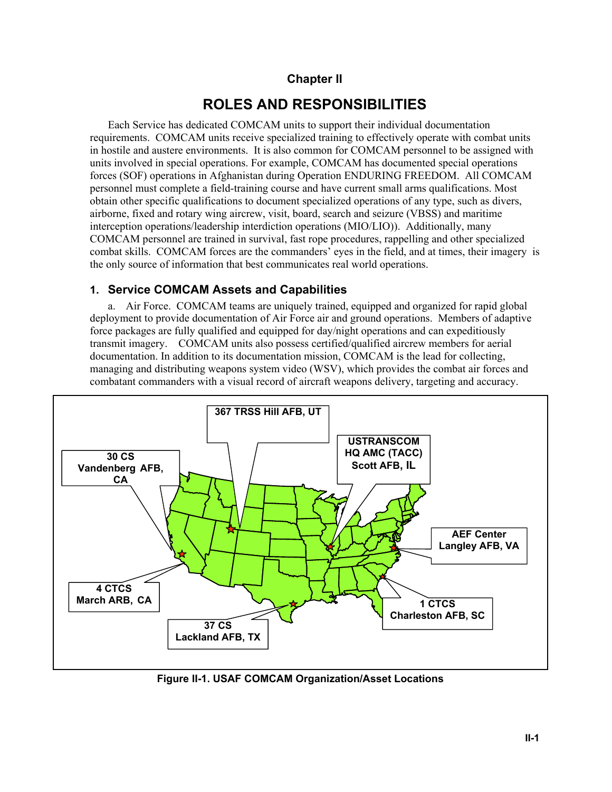## **Chapter II**

## **ROLES AND RESPONSIBILITIES**

Each Service has dedicated COMCAM units to support their individual documentation requirements. COMCAM units receive specialized training to effectively operate with combat units in hostile and austere environments. It is also common for COMCAM personnel to be assigned with units involved in special operations. For example, COMCAM has documented special operations forces (SOF) operations in Afghanistan during Operation ENDURING FREEDOM. All COMCAM personnel must complete a field-training course and have current small arms qualifications. Most obtain other specific qualifications to document specialized operations of any type, such as divers, airborne, fixed and rotary wing aircrew, visit, board, search and seizure (VBSS) and maritime interception operations/leadership interdiction operations (MIO/LIO)). Additionally, many COMCAM personnel are trained in survival, fast rope procedures, rappelling and other specialized combat skills. COMCAM forces are the commanders' eyes in the field, and at times, their imagery is the only source of information that best communicates real world operations.

## **1. Service COMCAM Assets and Capabilities**

a. Air Force. COMCAM teams are uniquely trained, equipped and organized for rapid global deployment to provide documentation of Air Force air and ground operations. Members of adaptive force packages are fully qualified and equipped for day/night operations and can expeditiously transmit imagery. COMCAM units also possess certified/qualified aircrew members for aerial documentation. In addition to its documentation mission, COMCAM is the lead for collecting, managing and distributing weapons system video (WSV), which provides the combat air forces and combatant commanders with a visual record of aircraft weapons delivery, targeting and accuracy.



**Figure II-1. USAF COMCAM Organization/Asset Locations**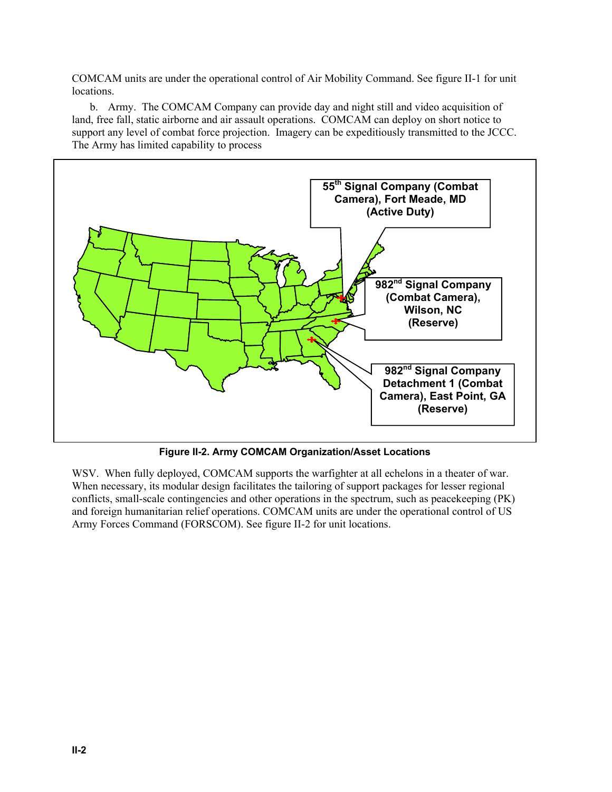COMCAM units are under the operational control of Air Mobility Command. See figure II-1 for unit locations.

b. Army. The COMCAM Company can provide day and night still and video acquisition of land, free fall, static airborne and air assault operations. COMCAM can deploy on short notice to support any level of combat force projection. Imagery can be expeditiously transmitted to the JCCC. The Army has limited capability to process



**Figure II-2. Army COMCAM Organization/Asset Locations**

WSV. When fully deployed, COMCAM supports the warfighter at all echelons in a theater of war. When necessary, its modular design facilitates the tailoring of support packages for lesser regional conflicts, small-scale contingencies and other operations in the spectrum, such as peacekeeping (PK) and foreign humanitarian relief operations. COMCAM units are under the operational control of US Army Forces Command (FORSCOM). See figure II-2 for unit locations.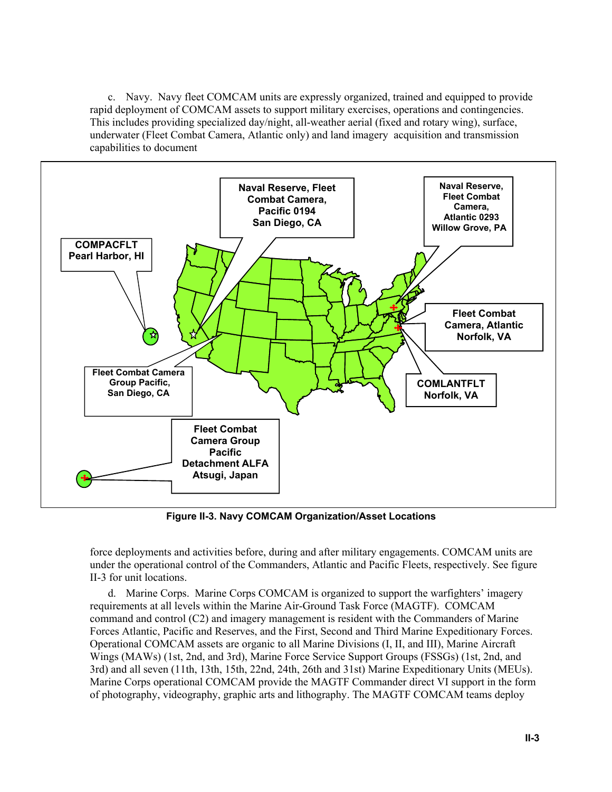c. Navy. Navy fleet COMCAM units are expressly organized, trained and equipped to provide rapid deployment of COMCAM assets to support military exercises, operations and contingencies. This includes providing specialized day/night, all-weather aerial (fixed and rotary wing), surface, underwater (Fleet Combat Camera, Atlantic only) and land imagery acquisition and transmission capabilities to document



**Figure II-3. Navy COMCAM Organization/Asset Locations**

force deployments and activities before, during and after military engagements. COMCAM units are under the operational control of the Commanders, Atlantic and Pacific Fleets, respectively. See figure II-3 for unit locations.

d. Marine Corps. Marine Corps COMCAM is organized to support the warfighters' imagery requirements at all levels within the Marine Air-Ground Task Force (MAGTF). COMCAM command and control (C2) and imagery management is resident with the Commanders of Marine Forces Atlantic, Pacific and Reserves, and the First, Second and Third Marine Expeditionary Forces. Operational COMCAM assets are organic to all Marine Divisions (I, II, and III), Marine Aircraft Wings (MAWs) (1st, 2nd, and 3rd), Marine Force Service Support Groups (FSSGs) (1st, 2nd, and 3rd) and all seven (11th, 13th, 15th, 22nd, 24th, 26th and 31st) Marine Expeditionary Units (MEUs). Marine Corps operational COMCAM provide the MAGTF Commander direct VI support in the form of photography, videography, graphic arts and lithography. The MAGTF COMCAM teams deploy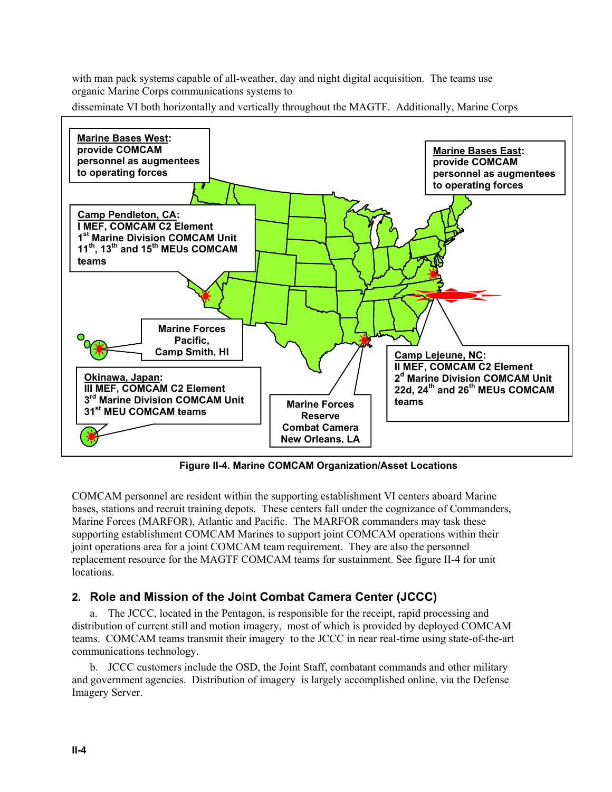with man pack systems capable of all-weather, day and night digital acquisition. The teams use organic Marine Corps communications systems to

disseminate VI both horizontally and vertically throughout the MAGTF. Additionally, Marine Corps



**Figure II-4. Marine COMCAM Organization/Asset Locations**

COMCAM personnel are resident within the supporting establishment VI centers aboard Marine bases, stations and recruit training depots. These centers fall under the cognizance of Commanders, Marine Forces (MARFOR), Atlantic and Pacific. The MARFOR commanders may task these supporting establishment COMCAM Marines to support joint COMCAM operations within their joint operations area for a joint COMCAM team requirement. They are also the personnel replacement resource for the MAGTF COMCAM teams for sustainment. See figure II-4 for unit locations.

## **2. Role and Mission of the Joint Combat Camera Center (JCCC)**

a. The JCCC, located in the Pentagon, is responsible for the receipt, rapid processing and distribution of current still and motion imagery, most of which is provided by deployed COMCAM teams. COMCAM teams transmit their imagery to the JCCC in near real-time using state-of-the-art communications technology.

b. JCCC customers include the OSD, the Joint Staff, combatant commands and other military and government agencies. Distribution of imagery is largely accomplished online, via the Defense Imagery Server.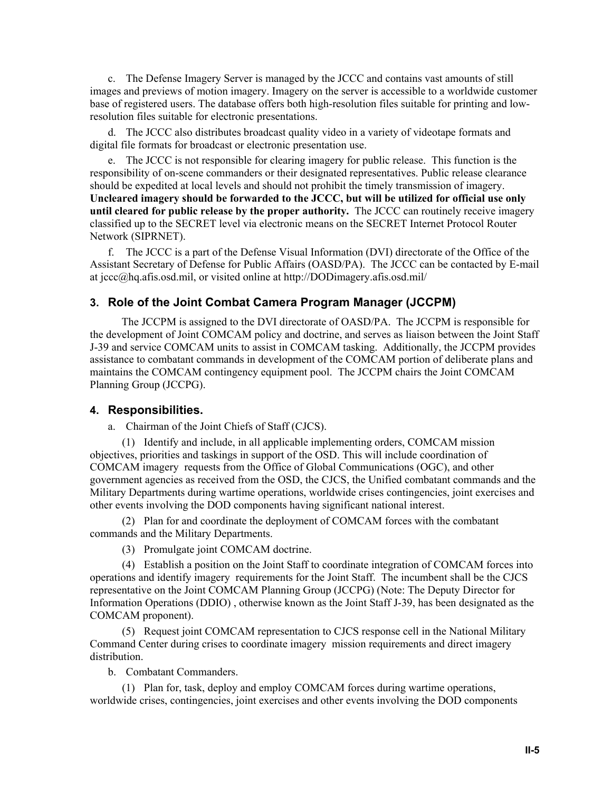c. The Defense Imagery Server is managed by the JCCC and contains vast amounts of still images and previews of motion imagery. Imagery on the server is accessible to a worldwide customer base of registered users. The database offers both high-resolution files suitable for printing and lowresolution files suitable for electronic presentations.

d. The JCCC also distributes broadcast quality video in a variety of videotape formats and digital file formats for broadcast or electronic presentation use.

e. The JCCC is not responsible for clearing imagery for public release. This function is the responsibility of on-scene commanders or their designated representatives. Public release clearance should be expedited at local levels and should not prohibit the timely transmission of imagery. **Uncleared imagery should be forwarded to the JCCC, but will be utilized for official use only until cleared for public release by the proper authority.** The JCCC can routinely receive imagery classified up to the SECRET level via electronic means on the SECRET Internet Protocol Router Network (SIPRNET).

f. The JCCC is a part of the Defense Visual Information (DVI) directorate of the Office of the Assistant Secretary of Defense for Public Affairs (OASD/PA). The JCCC can be contacted by E-mail at jccc@hq.afis.osd.mil, or visited online at http://DODimagery.afis.osd.mil/

#### **3. Role of the Joint Combat Camera Program Manager (JCCPM)**

 The JCCPM is assigned to the DVI directorate of OASD/PA. The JCCPM is responsible for the development of Joint COMCAM policy and doctrine, and serves as liaison between the Joint Staff J-39 and service COMCAM units to assist in COMCAM tasking. Additionally, the JCCPM provides assistance to combatant commands in development of the COMCAM portion of deliberate plans and maintains the COMCAM contingency equipment pool. The JCCPM chairs the Joint COMCAM Planning Group (JCCPG).

#### **4. Responsibilities.**

a. Chairman of the Joint Chiefs of Staff (CJCS).

(1) Identify and include, in all applicable implementing orders, COMCAM mission objectives, priorities and taskings in support of the OSD. This will include coordination of COMCAM imagery requests from the Office of Global Communications (OGC), and other government agencies as received from the OSD, the CJCS, the Unified combatant commands and the Military Departments during wartime operations, worldwide crises contingencies, joint exercises and other events involving the DOD components having significant national interest.

(2) Plan for and coordinate the deployment of COMCAM forces with the combatant commands and the Military Departments.

(3) Promulgate joint COMCAM doctrine.

(4) Establish a position on the Joint Staff to coordinate integration of COMCAM forces into operations and identify imagery requirements for the Joint Staff. The incumbent shall be the CJCS representative on the Joint COMCAM Planning Group (JCCPG) (Note: The Deputy Director for Information Operations (DDIO) , otherwise known as the Joint Staff J-39, has been designated as the COMCAM proponent).

(5) Request joint COMCAM representation to CJCS response cell in the National Military Command Center during crises to coordinate imagery mission requirements and direct imagery distribution.

b. Combatant Commanders.

(1) Plan for, task, deploy and employ COMCAM forces during wartime operations, worldwide crises, contingencies, joint exercises and other events involving the DOD components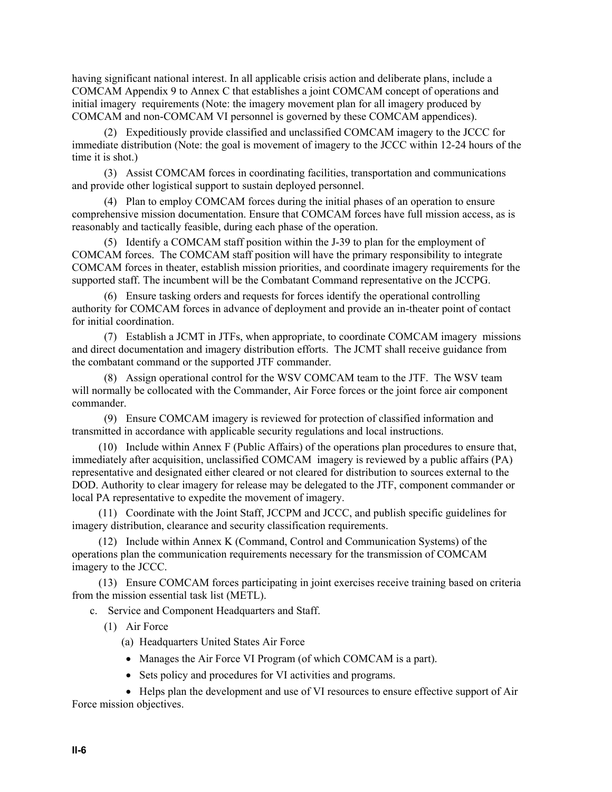having significant national interest. In all applicable crisis action and deliberate plans, include a COMCAM Appendix 9 to Annex C that establishes a joint COMCAM concept of operations and initial imagery requirements (Note: the imagery movement plan for all imagery produced by COMCAM and non-COMCAM VI personnel is governed by these COMCAM appendices).

(2) Expeditiously provide classified and unclassified COMCAM imagery to the JCCC for immediate distribution (Note: the goal is movement of imagery to the JCCC within 12-24 hours of the time it is shot.)

(3) Assist COMCAM forces in coordinating facilities, transportation and communications and provide other logistical support to sustain deployed personnel.

(4) Plan to employ COMCAM forces during the initial phases of an operation to ensure comprehensive mission documentation. Ensure that COMCAM forces have full mission access, as is reasonably and tactically feasible, during each phase of the operation.

(5) Identify a COMCAM staff position within the J-39 to plan for the employment of COMCAM forces. The COMCAM staff position will have the primary responsibility to integrate COMCAM forces in theater, establish mission priorities, and coordinate imagery requirements for the supported staff. The incumbent will be the Combatant Command representative on the JCCPG.

(6) Ensure tasking orders and requests for forces identify the operational controlling authority for COMCAM forces in advance of deployment and provide an in-theater point of contact for initial coordination.

(7) Establish a JCMT in JTFs, when appropriate, to coordinate COMCAM imagery missions and direct documentation and imagery distribution efforts. The JCMT shall receive guidance from the combatant command or the supported JTF commander.

(8) Assign operational control for the WSV COMCAM team to the JTF. The WSV team will normally be collocated with the Commander, Air Force forces or the joint force air component commander.

(9) Ensure COMCAM imagery is reviewed for protection of classified information and transmitted in accordance with applicable security regulations and local instructions.

(10) Include within Annex F (Public Affairs) of the operations plan procedures to ensure that, immediately after acquisition, unclassified COMCAM imagery is reviewed by a public affairs (PA) representative and designated either cleared or not cleared for distribution to sources external to the DOD. Authority to clear imagery for release may be delegated to the JTF, component commander or local PA representative to expedite the movement of imagery.

(11) Coordinate with the Joint Staff, JCCPM and JCCC, and publish specific guidelines for imagery distribution, clearance and security classification requirements.

(12) Include within Annex K (Command, Control and Communication Systems) of the operations plan the communication requirements necessary for the transmission of COMCAM imagery to the JCCC.

(13) Ensure COMCAM forces participating in joint exercises receive training based on criteria from the mission essential task list (METL).

c. Service and Component Headquarters and Staff.

(1) Air Force

(a) Headquarters United States Air Force

- Manages the Air Force VI Program (of which COMCAM is a part).
- Sets policy and procedures for VI activities and programs.

• Helps plan the development and use of VI resources to ensure effective support of Air Force mission objectives.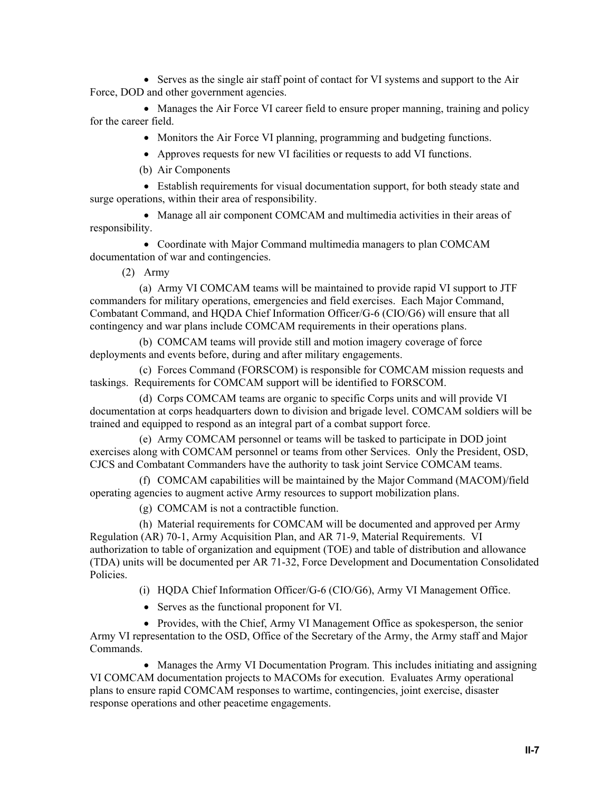• Serves as the single air staff point of contact for VI systems and support to the Air Force, DOD and other government agencies.

• Manages the Air Force VI career field to ensure proper manning, training and policy for the career field.

• Monitors the Air Force VI planning, programming and budgeting functions.

• Approves requests for new VI facilities or requests to add VI functions.

(b) Air Components

• Establish requirements for visual documentation support, for both steady state and surge operations, within their area of responsibility.

• Manage all air component COMCAM and multimedia activities in their areas of responsibility.

• Coordinate with Major Command multimedia managers to plan COMCAM documentation of war and contingencies.

(2) Army

(a) Army VI COMCAM teams will be maintained to provide rapid VI support to JTF commanders for military operations, emergencies and field exercises. Each Major Command, Combatant Command, and HQDA Chief Information Officer/G-6 (CIO/G6) will ensure that all contingency and war plans include COMCAM requirements in their operations plans.

(b) COMCAM teams will provide still and motion imagery coverage of force deployments and events before, during and after military engagements.

(c) Forces Command (FORSCOM) is responsible for COMCAM mission requests and taskings. Requirements for COMCAM support will be identified to FORSCOM.

(d) Corps COMCAM teams are organic to specific Corps units and will provide VI documentation at corps headquarters down to division and brigade level. COMCAM soldiers will be trained and equipped to respond as an integral part of a combat support force.

(e) Army COMCAM personnel or teams will be tasked to participate in DOD joint exercises along with COMCAM personnel or teams from other Services. Only the President, OSD, CJCS and Combatant Commanders have the authority to task joint Service COMCAM teams.

(f) COMCAM capabilities will be maintained by the Major Command (MACOM)/field operating agencies to augment active Army resources to support mobilization plans.

(g) COMCAM is not a contractible function.

(h) Material requirements for COMCAM will be documented and approved per Army Regulation (AR) 70-1, Army Acquisition Plan, and AR 71-9, Material Requirements. VI authorization to table of organization and equipment (TOE) and table of distribution and allowance (TDA) units will be documented per AR 71-32, Force Development and Documentation Consolidated Policies.

(i) HQDA Chief Information Officer/G-6 (CIO/G6), Army VI Management Office.

• Serves as the functional proponent for VI.

• Provides, with the Chief, Army VI Management Office as spokesperson, the senior Army VI representation to the OSD, Office of the Secretary of the Army, the Army staff and Major Commands.

• Manages the Army VI Documentation Program. This includes initiating and assigning VI COMCAM documentation projects to MACOMs for execution. Evaluates Army operational plans to ensure rapid COMCAM responses to wartime, contingencies, joint exercise, disaster response operations and other peacetime engagements.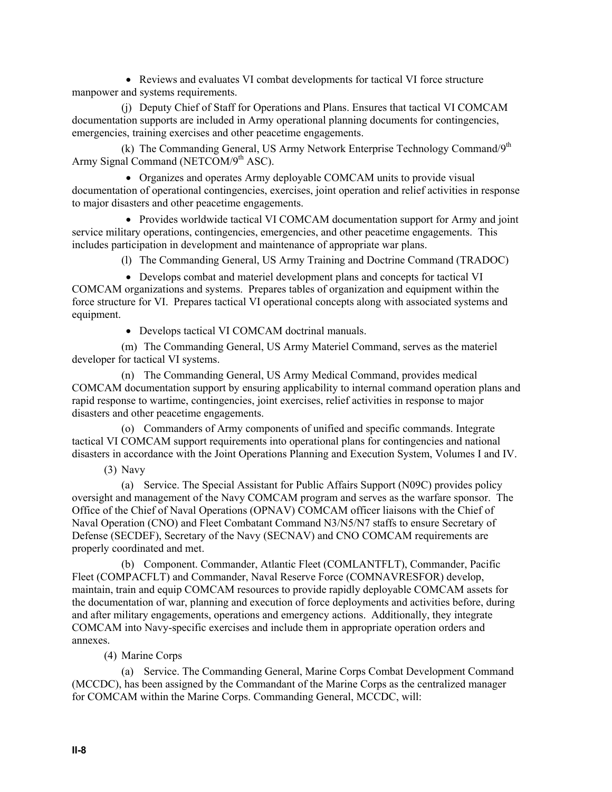• Reviews and evaluates VI combat developments for tactical VI force structure manpower and systems requirements.

(j) Deputy Chief of Staff for Operations and Plans. Ensures that tactical VI COMCAM documentation supports are included in Army operational planning documents for contingencies, emergencies, training exercises and other peacetime engagements.

(k) The Commanding General, US Army Network Enterprise Technology Command/9<sup>th</sup> Army Signal Command (NETCOM/ $9<sup>th</sup>$  ASC).

• Organizes and operates Army deployable COMCAM units to provide visual documentation of operational contingencies, exercises, joint operation and relief activities in response to major disasters and other peacetime engagements.

• Provides worldwide tactical VI COMCAM documentation support for Army and joint service military operations, contingencies, emergencies, and other peacetime engagements. This includes participation in development and maintenance of appropriate war plans.

(l) The Commanding General, US Army Training and Doctrine Command (TRADOC)

• Develops combat and materiel development plans and concepts for tactical VI COMCAM organizations and systems. Prepares tables of organization and equipment within the force structure for VI. Prepares tactical VI operational concepts along with associated systems and equipment.

• Develops tactical VI COMCAM doctrinal manuals.

(m) The Commanding General, US Army Materiel Command, serves as the materiel developer for tactical VI systems.

(n) The Commanding General, US Army Medical Command, provides medical COMCAM documentation support by ensuring applicability to internal command operation plans and rapid response to wartime, contingencies, joint exercises, relief activities in response to major disasters and other peacetime engagements.

(o) Commanders of Army components of unified and specific commands. Integrate tactical VI COMCAM support requirements into operational plans for contingencies and national disasters in accordance with the Joint Operations Planning and Execution System, Volumes I and IV.

(3) Navy

(a) Service. The Special Assistant for Public Affairs Support (N09C) provides policy oversight and management of the Navy COMCAM program and serves as the warfare sponsor. The Office of the Chief of Naval Operations (OPNAV) COMCAM officer liaisons with the Chief of Naval Operation (CNO) and Fleet Combatant Command N3/N5/N7 staffs to ensure Secretary of Defense (SECDEF), Secretary of the Navy (SECNAV) and CNO COMCAM requirements are properly coordinated and met.

(b) Component. Commander, Atlantic Fleet (COMLANTFLT), Commander, Pacific Fleet (COMPACFLT) and Commander, Naval Reserve Force (COMNAVRESFOR) develop, maintain, train and equip COMCAM resources to provide rapidly deployable COMCAM assets for the documentation of war, planning and execution of force deployments and activities before, during and after military engagements, operations and emergency actions. Additionally, they integrate COMCAM into Navy-specific exercises and include them in appropriate operation orders and annexes.

(4) Marine Corps

(a) Service. The Commanding General, Marine Corps Combat Development Command (MCCDC), has been assigned by the Commandant of the Marine Corps as the centralized manager for COMCAM within the Marine Corps. Commanding General, MCCDC, will: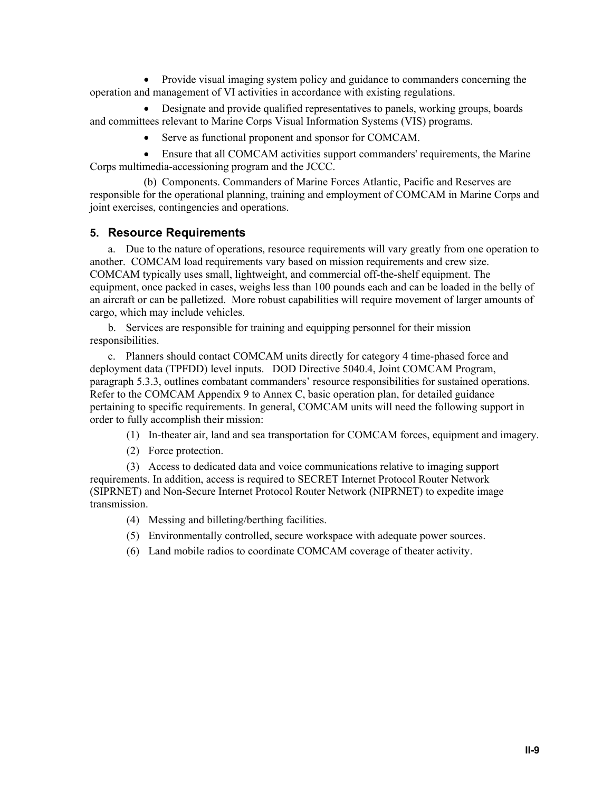• Provide visual imaging system policy and guidance to commanders concerning the operation and management of VI activities in accordance with existing regulations.

• Designate and provide qualified representatives to panels, working groups, boards and committees relevant to Marine Corps Visual Information Systems (VIS) programs.

• Serve as functional proponent and sponsor for COMCAM.

• Ensure that all COMCAM activities support commanders' requirements, the Marine Corps multimedia-accessioning program and the JCCC.

(b) Components. Commanders of Marine Forces Atlantic, Pacific and Reserves are responsible for the operational planning, training and employment of COMCAM in Marine Corps and joint exercises, contingencies and operations.

#### **5. Resource Requirements**

a. Due to the nature of operations, resource requirements will vary greatly from one operation to another. COMCAM load requirements vary based on mission requirements and crew size. COMCAM typically uses small, lightweight, and commercial off-the-shelf equipment. The equipment, once packed in cases, weighs less than 100 pounds each and can be loaded in the belly of an aircraft or can be palletized. More robust capabilities will require movement of larger amounts of cargo, which may include vehicles.

b. Services are responsible for training and equipping personnel for their mission responsibilities.

c. Planners should contact COMCAM units directly for category 4 time-phased force and deployment data (TPFDD) level inputs. DOD Directive 5040.4, Joint COMCAM Program, paragraph 5.3.3, outlines combatant commanders' resource responsibilities for sustained operations. Refer to the COMCAM Appendix 9 to Annex C, basic operation plan, for detailed guidance pertaining to specific requirements. In general, COMCAM units will need the following support in order to fully accomplish their mission:

(1) In-theater air, land and sea transportation for COMCAM forces, equipment and imagery.

(2) Force protection.

(3) Access to dedicated data and voice communications relative to imaging support requirements. In addition, access is required to SECRET Internet Protocol Router Network (SIPRNET) and Non-Secure Internet Protocol Router Network (NIPRNET) to expedite image transmission.

- (4) Messing and billeting/berthing facilities.
- (5) Environmentally controlled, secure workspace with adequate power sources.
- (6) Land mobile radios to coordinate COMCAM coverage of theater activity.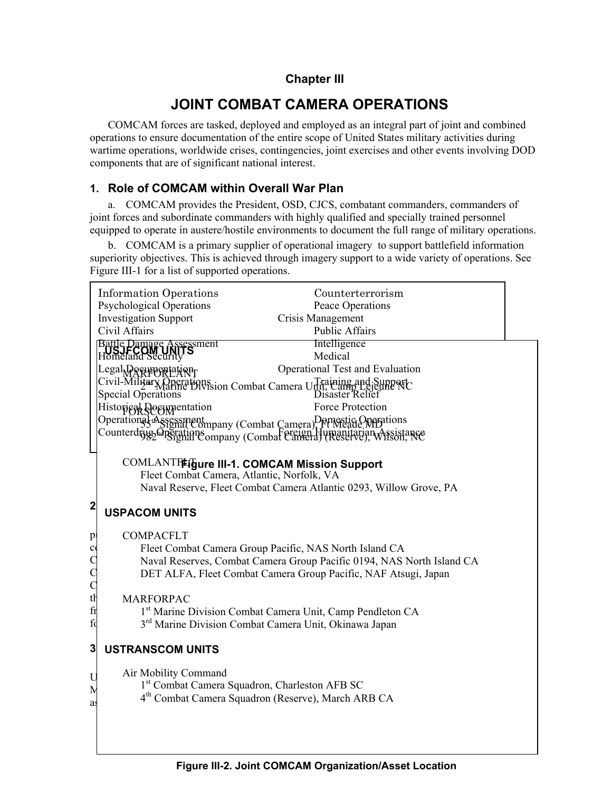## **Chapter III**

## **JOINT COMBAT CAMERA OPERATIONS**

COMCAM forces are tasked, deployed and employed as an integral part of joint and combined operations to ensure documentation of the entire scope of United States military activities during wartime operations, worldwide crises, contingencies, joint exercises and other events involving DOD components that are of significant national interest.

## **1. Role of COMCAM within Overall War Plan**

a. COMCAM provides the President, OSD, CJCS, combatant commanders, commanders of joint forces and subordinate commanders with highly qualified and specially trained personnel equipped to operate in austere/hostile environments to document the full range of military operations.

b. COMCAM is a primary supplier of operational imagery to support battlefield information superiority objectives. This is achieved through imagery support to a wide variety of operations. See Figure III-1 for a list of supported operations.

|                     | <b>Information Operations</b><br>Counterterrorism<br><b>Psychological Operations</b><br>Peace Operations |
|---------------------|----------------------------------------------------------------------------------------------------------|
|                     | <b>Investigation Support</b><br>Crisis Management                                                        |
|                     | Civil Affairs<br>Public Affairs                                                                          |
|                     | <b>Intelligence</b><br>Battle Damage Assessment<br>Homeland Security<br>Medical                          |
|                     | Operational Test and Evaluation<br>Legal Documentation                                                   |
|                     | Civil-Military Operations combat Camera Unit, Camp Lejeune NC<br>Special Operations<br>Disaster Relief   |
|                     | <b>Force Protection</b><br>Historical Decumentation                                                      |
|                     | Operational Assessment<br>Combat Camera), Ft Meade MD tions                                              |
|                     | Counterdrug Greenling Company (Combat Camera) (Reserve), Wilson Ne                                       |
|                     | <b>COMLANTFEigure III-1. COMCAM Mission Support</b>                                                      |
|                     | Fleet Combat Camera, Atlantic, Norfolk, VA                                                               |
|                     | Naval Reserve, Fleet Combat Camera Atlantic 0293, Willow Grove, PA                                       |
| $\mathbf{2}$        | <b>USPACOM UNITS</b>                                                                                     |
| $p_{i}$             | <b>COMPACFLT</b>                                                                                         |
| $\alpha$            | Fleet Combat Camera Group Pacific, NAS North Island CA                                                   |
| $\mathsf{C}$        | Naval Reserves, Combat Camera Group Pacific 0194, NAS North Island CA                                    |
| $\mathcal{C}$       | DET ALFA, Fleet Combat Camera Group Pacific, NAF Atsugi, Japan                                           |
| $\mathcal{C}$<br>tŀ | <b>MARFORPAC</b>                                                                                         |
| $\operatorname{fr}$ | 1st Marine Division Combat Camera Unit, Camp Pendleton CA                                                |
| fd                  | 3 <sup>rd</sup> Marine Division Combat Camera Unit, Okinawa Japan                                        |
| 3                   | <b>USTRANSCOM UNITS</b>                                                                                  |
| U                   | Air Mobility Command                                                                                     |
| N                   | 1 <sup>st</sup> Combat Camera Squadron, Charleston AFB SC                                                |
| as                  | 4 <sup>th</sup> Combat Camera Squadron (Reserve), March ARB CA                                           |
|                     |                                                                                                          |
|                     |                                                                                                          |
|                     |                                                                                                          |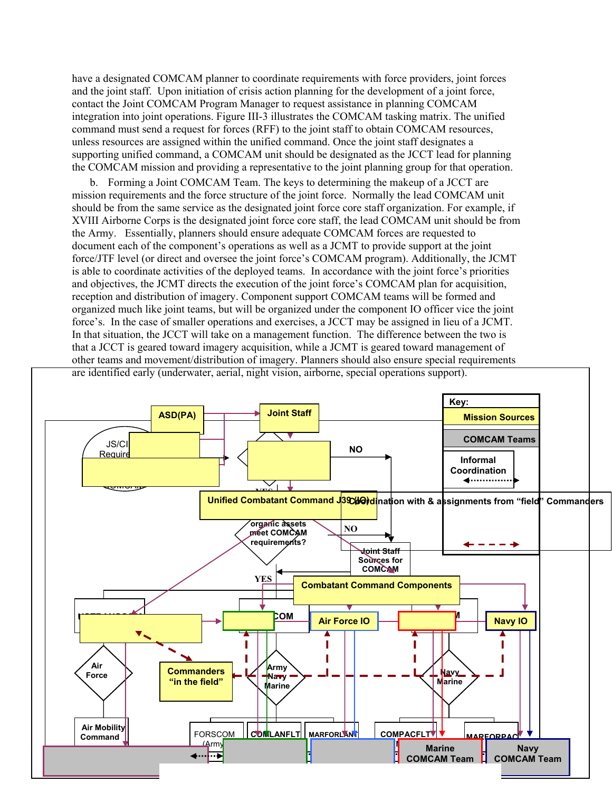have a designated COMCAM planner to coordinate requirements with force providers, joint forces and the joint staff. Upon initiation of crisis action planning for the development of a joint force, contact the Joint COMCAM Program Manager to request assistance in planning COMCAM integration into joint operations. Figure III-3 illustrates the COMCAM tasking matrix. The unified command must send a request for forces (RFF) to the joint staff to obtain COMCAM resources, unless resources are assigned within the unified command. Once the joint staff designates a supporting unified command, a COMCAM unit should be designated as the JCCT lead for planning the COMCAM mission and providing a representative to the joint planning group for that operation.

b. Forming a Joint COMCAM Team. The keys to determining the makeup of a JCCT are mission requirements and the force structure of the joint force. Normally the lead COMCAM unit should be from the same service as the designated joint force core staff organization. For example, if XVIII Airborne Corps is the designated joint force core staff, the lead COMCAM unit should be from the Army. Essentially, planners should ensure adequate COMCAM forces are requested to document each of the component's operations as well as a JCMT to provide support at the joint force/JTF level (or direct and oversee the joint force's COMCAM program). Additionally, the JCMT is able to coordinate activities of the deployed teams. In accordance with the joint force's priorities and objectives, the JCMT directs the execution of the joint force's COMCAM plan for acquisition, reception and distribution of imagery. Component support COMCAM teams will be formed and organized much like joint teams, but will be organized under the component IO officer vice the joint force's. In the case of smaller operations and exercises, a JCCT may be assigned in lieu of a JCMT. In that situation, the JCCT will take on a management function. The difference between the two is that a JCCT is geared toward imagery acquisition, while a JCMT is geared toward management of other teams and movement/distribution of imagery. Planners should also ensure special requirements are identified early (underwater, aerial, night vision, airborne, special operations support).

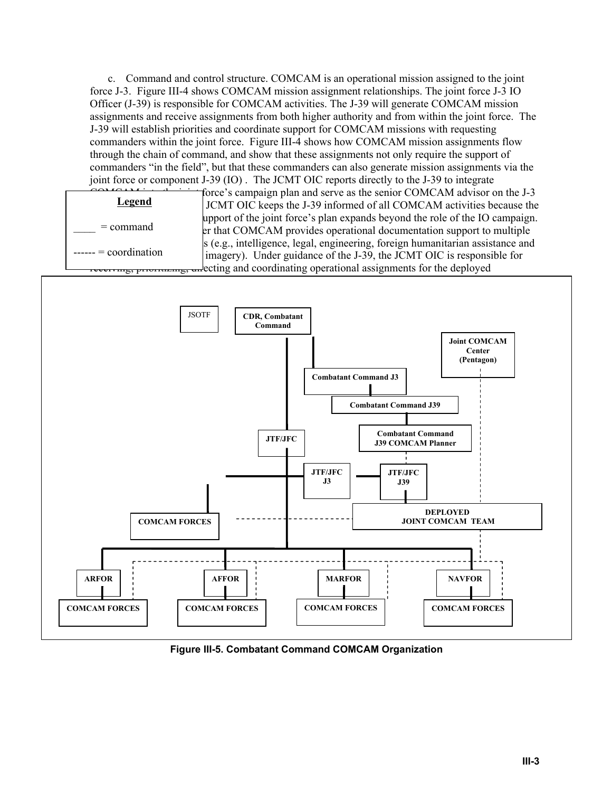c. Command and control structure. COMCAM is an operational mission assigned to the joint force J-3. Figure III-4 shows COMCAM mission assignment relationships. The joint force J-3 IO Officer (J-39) is responsible for COMCAM activities. The J-39 will generate COMCAM mission assignments and receive assignments from both higher authority and from within the joint force. The J-39 will establish priorities and coordinate support for COMCAM missions with requesting commanders within the joint force. Figure III-4 shows how COMCAM mission assignments flow through the chain of command, and show that these assignments not only require the support of commanders "in the field", but that these commanders can also generate mission assignments via the joint force or component J-39 (IO) . The JCMT OIC reports directly to the J-39 to integrate



COMCAM teams.

force's campaign plan and serve as the senior COMCAM advisor on the J-3 JCMT OIC keeps the J-39 informed of all COMCAM activities because the upport of the joint force's plan expands beyond the role of the IO campaign. er that COMCAM provides operational documentation support to multiple  $\vert$ s (e.g., intelligence, legal, engineering, foreign humanitarian assistance and imagery). Under guidance of the J-39, the JCMT OIC is responsible for ecting and coordinating operational assignments for the deployed



**Figure III-5. Combatant Command COMCAM Organization**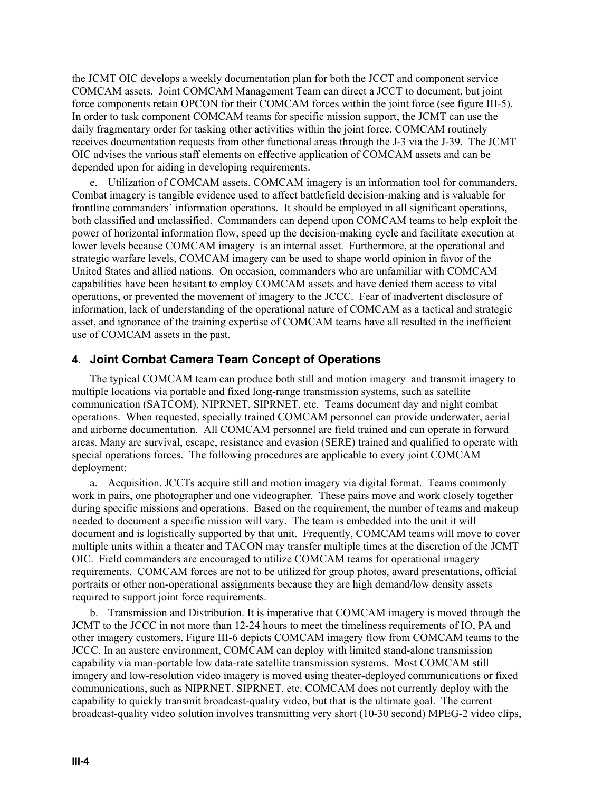the JCMT OIC develops a weekly documentation plan for both the JCCT and component service COMCAM assets. Joint COMCAM Management Team can direct a JCCT to document, but joint force components retain OPCON for their COMCAM forces within the joint force (see figure III-5). In order to task component COMCAM teams for specific mission support, the JCMT can use the daily fragmentary order for tasking other activities within the joint force. COMCAM routinely receives documentation requests from other functional areas through the J-3 via the J-39. The JCMT OIC advises the various staff elements on effective application of COMCAM assets and can be depended upon for aiding in developing requirements.

e. Utilization of COMCAM assets. COMCAM imagery is an information tool for commanders. Combat imagery is tangible evidence used to affect battlefield decision-making and is valuable for frontline commanders' information operations. It should be employed in all significant operations, both classified and unclassified. Commanders can depend upon COMCAM teams to help exploit the power of horizontal information flow, speed up the decision-making cycle and facilitate execution at lower levels because COMCAM imagery is an internal asset. Furthermore, at the operational and strategic warfare levels, COMCAM imagery can be used to shape world opinion in favor of the United States and allied nations. On occasion, commanders who are unfamiliar with COMCAM capabilities have been hesitant to employ COMCAM assets and have denied them access to vital operations, or prevented the movement of imagery to the JCCC. Fear of inadvertent disclosure of information, lack of understanding of the operational nature of COMCAM as a tactical and strategic asset, and ignorance of the training expertise of COMCAM teams have all resulted in the inefficient use of COMCAM assets in the past.

#### **4. Joint Combat Camera Team Concept of Operations**

The typical COMCAM team can produce both still and motion imagery and transmit imagery to multiple locations via portable and fixed long-range transmission systems, such as satellite communication (SATCOM), NIPRNET, SIPRNET, etc. Teams document day and night combat operations. When requested, specially trained COMCAM personnel can provide underwater, aerial and airborne documentation. All COMCAM personnel are field trained and can operate in forward areas. Many are survival, escape, resistance and evasion (SERE) trained and qualified to operate with special operations forces. The following procedures are applicable to every joint COMCAM deployment:

a. Acquisition. JCCTs acquire still and motion imagery via digital format. Teams commonly work in pairs, one photographer and one videographer. These pairs move and work closely together during specific missions and operations. Based on the requirement, the number of teams and makeup needed to document a specific mission will vary. The team is embedded into the unit it will document and is logistically supported by that unit. Frequently, COMCAM teams will move to cover multiple units within a theater and TACON may transfer multiple times at the discretion of the JCMT OIC. Field commanders are encouraged to utilize COMCAM teams for operational imagery requirements. COMCAM forces are not to be utilized for group photos, award presentations, official portraits or other non-operational assignments because they are high demand/low density assets required to support joint force requirements.

b. Transmission and Distribution. It is imperative that COMCAM imagery is moved through the JCMT to the JCCC in not more than 12-24 hours to meet the timeliness requirements of IO, PA and other imagery customers. Figure III-6 depicts COMCAM imagery flow from COMCAM teams to the JCCC. In an austere environment, COMCAM can deploy with limited stand-alone transmission capability via man-portable low data-rate satellite transmission systems. Most COMCAM still imagery and low-resolution video imagery is moved using theater-deployed communications or fixed communications, such as NIPRNET, SIPRNET, etc. COMCAM does not currently deploy with the capability to quickly transmit broadcast-quality video, but that is the ultimate goal. The current broadcast-quality video solution involves transmitting very short (10-30 second) MPEG-2 video clips,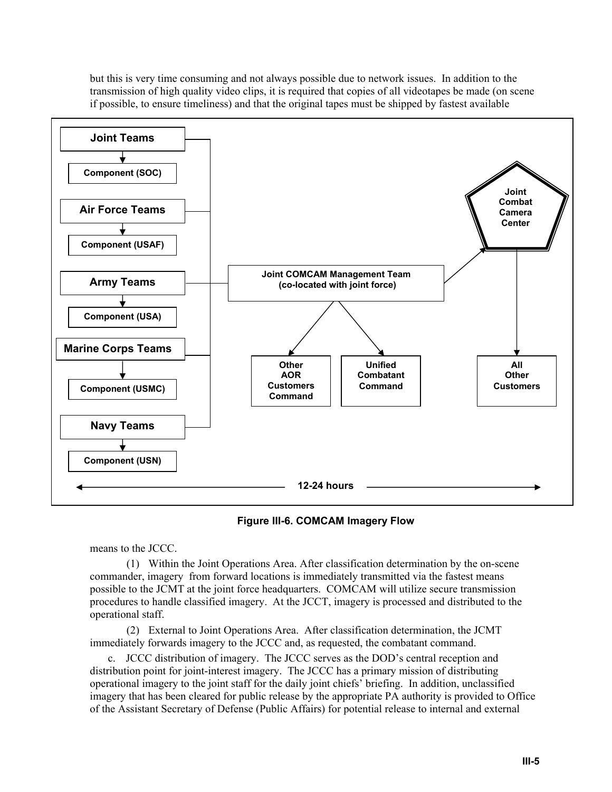but this is very time consuming and not always possible due to network issues. In addition to the transmission of high quality video clips, it is required that copies of all videotapes be made (on scene if possible, to ensure timeliness) and that the original tapes must be shipped by fastest available



**Figure III-6. COMCAM Imagery Flow**

means to the JCCC.

(1) Within the Joint Operations Area. After classification determination by the on-scene commander, imagery from forward locations is immediately transmitted via the fastest means possible to the JCMT at the joint force headquarters. COMCAM will utilize secure transmission procedures to handle classified imagery. At the JCCT, imagery is processed and distributed to the operational staff.

(2) External to Joint Operations Area. After classification determination, the JCMT immediately forwards imagery to the JCCC and, as requested, the combatant command.

c. JCCC distribution of imagery. The JCCC serves as the DOD's central reception and distribution point for joint-interest imagery. The JCCC has a primary mission of distributing operational imagery to the joint staff for the daily joint chiefs' briefing. In addition, unclassified imagery that has been cleared for public release by the appropriate PA authority is provided to Office of the Assistant Secretary of Defense (Public Affairs) for potential release to internal and external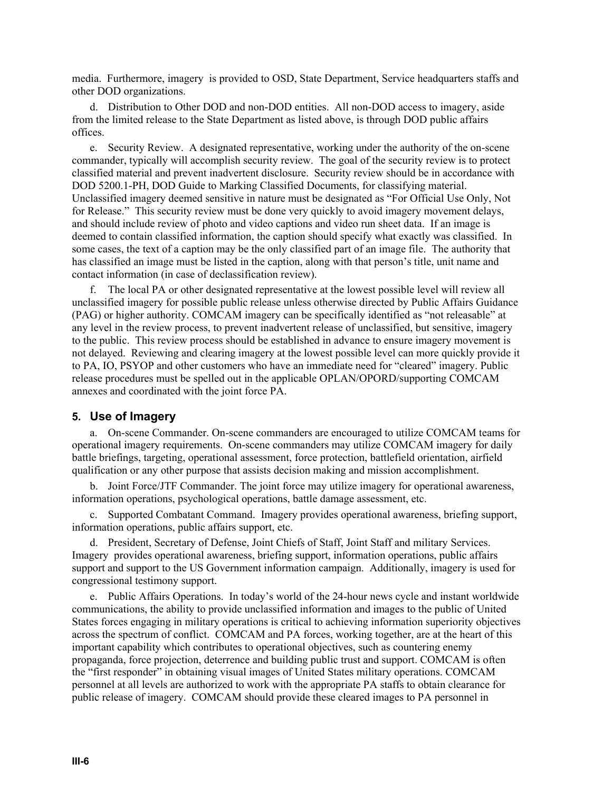media. Furthermore, imagery is provided to OSD, State Department, Service headquarters staffs and other DOD organizations.

d. Distribution to Other DOD and non-DOD entities. All non-DOD access to imagery, aside from the limited release to the State Department as listed above, is through DOD public affairs offices.

e. Security Review. A designated representative, working under the authority of the on-scene commander, typically will accomplish security review. The goal of the security review is to protect classified material and prevent inadvertent disclosure. Security review should be in accordance with DOD 5200.1-PH, DOD Guide to Marking Classified Documents, for classifying material. Unclassified imagery deemed sensitive in nature must be designated as "For Official Use Only, Not for Release." This security review must be done very quickly to avoid imagery movement delays, and should include review of photo and video captions and video run sheet data. If an image is deemed to contain classified information, the caption should specify what exactly was classified. In some cases, the text of a caption may be the only classified part of an image file. The authority that has classified an image must be listed in the caption, along with that person's title, unit name and contact information (in case of declassification review).

f. The local PA or other designated representative at the lowest possible level will review all unclassified imagery for possible public release unless otherwise directed by Public Affairs Guidance (PAG) or higher authority. COMCAM imagery can be specifically identified as "not releasable" at any level in the review process, to prevent inadvertent release of unclassified, but sensitive, imagery to the public. This review process should be established in advance to ensure imagery movement is not delayed. Reviewing and clearing imagery at the lowest possible level can more quickly provide it to PA, IO, PSYOP and other customers who have an immediate need for "cleared" imagery. Public release procedures must be spelled out in the applicable OPLAN/OPORD/supporting COMCAM annexes and coordinated with the joint force PA.

#### **5. Use of Imagery**

a. On-scene Commander. On-scene commanders are encouraged to utilize COMCAM teams for operational imagery requirements. On-scene commanders may utilize COMCAM imagery for daily battle briefings, targeting, operational assessment, force protection, battlefield orientation, airfield qualification or any other purpose that assists decision making and mission accomplishment.

b. Joint Force/JTF Commander. The joint force may utilize imagery for operational awareness, information operations, psychological operations, battle damage assessment, etc.

c. Supported Combatant Command. Imagery provides operational awareness, briefing support, information operations, public affairs support, etc.

d. President, Secretary of Defense, Joint Chiefs of Staff, Joint Staff and military Services. Imagery provides operational awareness, briefing support, information operations, public affairs support and support to the US Government information campaign. Additionally, imagery is used for congressional testimony support.

e. Public Affairs Operations. In today's world of the 24-hour news cycle and instant worldwide communications, the ability to provide unclassified information and images to the public of United States forces engaging in military operations is critical to achieving information superiority objectives across the spectrum of conflict. COMCAM and PA forces, working together, are at the heart of this important capability which contributes to operational objectives, such as countering enemy propaganda, force projection, deterrence and building public trust and support. COMCAM is often the "first responder" in obtaining visual images of United States military operations. COMCAM personnel at all levels are authorized to work with the appropriate PA staffs to obtain clearance for public release of imagery. COMCAM should provide these cleared images to PA personnel in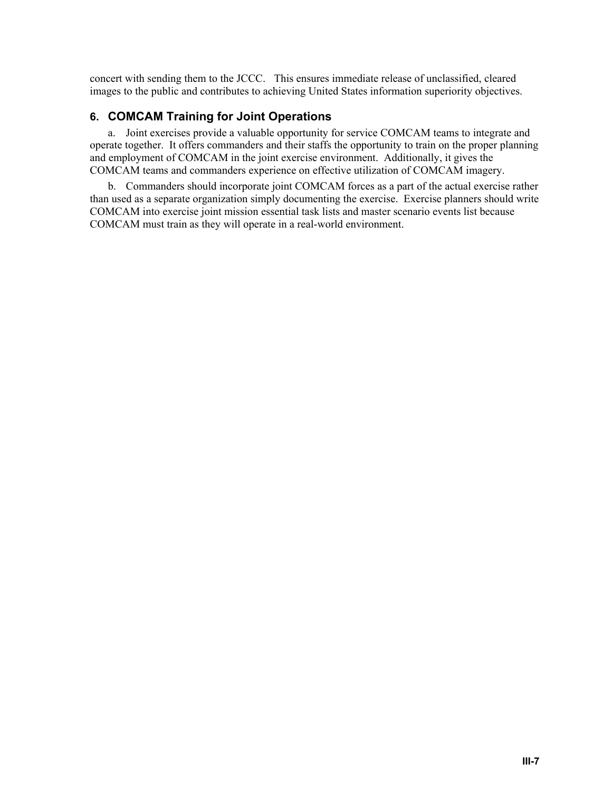concert with sending them to the JCCC. This ensures immediate release of unclassified, cleared images to the public and contributes to achieving United States information superiority objectives.

## **6. COMCAM Training for Joint Operations**

a. Joint exercises provide a valuable opportunity for service COMCAM teams to integrate and operate together. It offers commanders and their staffs the opportunity to train on the proper planning and employment of COMCAM in the joint exercise environment. Additionally, it gives the COMCAM teams and commanders experience on effective utilization of COMCAM imagery.

b. Commanders should incorporate joint COMCAM forces as a part of the actual exercise rather than used as a separate organization simply documenting the exercise. Exercise planners should write COMCAM into exercise joint mission essential task lists and master scenario events list because COMCAM must train as they will operate in a real-world environment.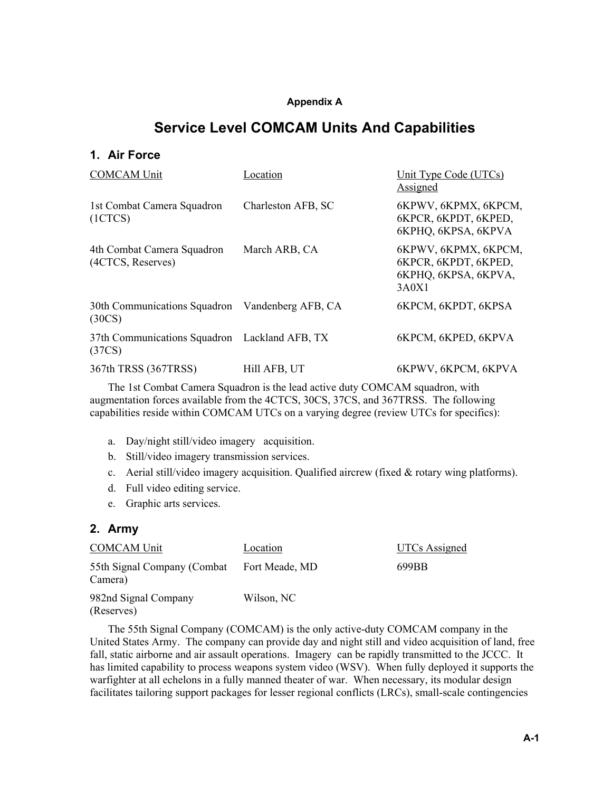#### **Appendix A**

## **Service Level COMCAM Units And Capabilities**

## **1. Air Force**

| <b>COMCAM Unit</b>                                        | Location           | Unit Type Code (UTCs)<br>Assigned                                             |
|-----------------------------------------------------------|--------------------|-------------------------------------------------------------------------------|
| 1st Combat Camera Squadron<br>(1CTCS)                     | Charleston AFB, SC | 6KPWV, 6KPMX, 6KPCM,<br>6KPCR, 6KPDT, 6KPED,<br>6KPHQ, 6KPSA, 6KPVA           |
| 4th Combat Camera Squadron<br>(4CTCS, Reserves)           | March ARB, CA      | 6KPWV, 6KPMX, 6KPCM,<br>6KPCR, 6KPDT, 6KPED,<br>6KPHQ, 6KPSA, 6KPVA,<br>3A0X1 |
| 30th Communications Squadron Vandenberg AFB, CA<br>(30CS) |                    | 6KPCM, 6KPDT, 6KPSA                                                           |
| 37th Communications Squadron Lackland AFB, TX<br>(37CS)   |                    | 6KPCM, 6KPED, 6KPVA                                                           |
| 367th TRSS (367TRSS)                                      | Hill AFB, UT       | 6KPWV, 6KPCM, 6KPVA                                                           |

The 1st Combat Camera Squadron is the lead active duty COMCAM squadron, with augmentation forces available from the 4CTCS, 30CS, 37CS, and 367TRSS. The following capabilities reside within COMCAM UTCs on a varying degree (review UTCs for specifics):

- a. Day/night still/video imagery acquisition.
- b. Still/video imagery transmission services.
- c. Aerial still/video imagery acquisition. Qualified aircrew (fixed & rotary wing platforms).
- d. Full video editing service.
- e. Graphic arts services.

#### **2. Army**

| <b>COMCAM Unit</b>                     | Location       | UTCs Assigned |
|----------------------------------------|----------------|---------------|
| 55th Signal Company (Combat<br>Camera) | Fort Meade, MD | 699BB         |
| 982nd Signal Company<br>(Reserves)     | Wilson, NC     |               |

The 55th Signal Company (COMCAM) is the only active-duty COMCAM company in the United States Army. The company can provide day and night still and video acquisition of land, free fall, static airborne and air assault operations. Imagery can be rapidly transmitted to the JCCC. It has limited capability to process weapons system video (WSV). When fully deployed it supports the warfighter at all echelons in a fully manned theater of war. When necessary, its modular design facilitates tailoring support packages for lesser regional conflicts (LRCs), small-scale contingencies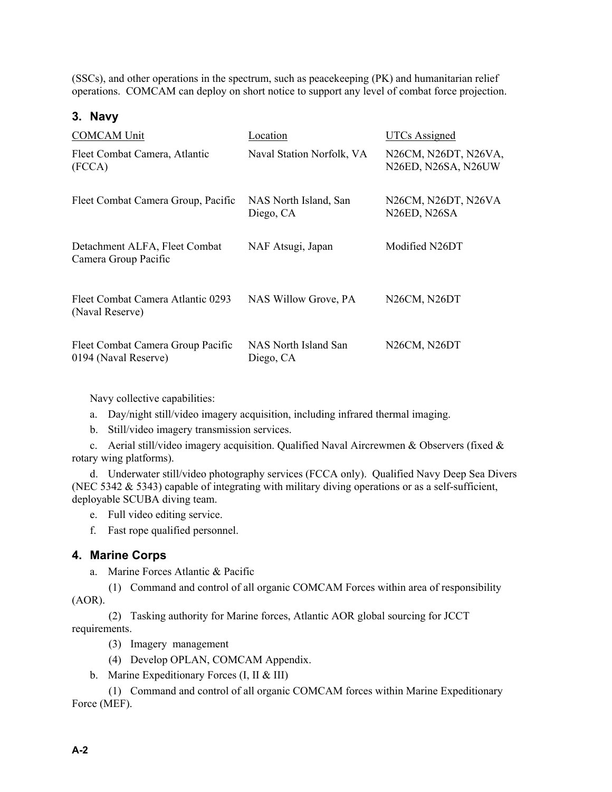(SSCs), and other operations in the spectrum, such as peacekeeping (PK) and humanitarian relief operations. COMCAM can deploy on short notice to support any level of combat force projection.

#### **3. Navy**

| <b>COMCAM Unit</b>                                        | Location                           | <b>UTCs Assigned</b>                                          |
|-----------------------------------------------------------|------------------------------------|---------------------------------------------------------------|
| Fleet Combat Camera, Atlantic<br>(FCCA)                   | Naval Station Norfolk, VA          | N26CM, N26DT, N26VA,<br>N26ED, N26SA, N26UW                   |
| Fleet Combat Camera Group, Pacific                        | NAS North Island, San<br>Diego, CA | N26CM, N26DT, N26VA<br>N <sub>26</sub> ED, N <sub>26</sub> SA |
| Detachment ALFA, Fleet Combat<br>Camera Group Pacific     | NAF Atsugi, Japan                  | Modified N26DT                                                |
| Fleet Combat Camera Atlantic 0293<br>(Naval Reserve)      | NAS Willow Grove, PA               | N26CM, N26DT                                                  |
| Fleet Combat Camera Group Pacific<br>0194 (Naval Reserve) | NAS North Island San<br>Diego, CA  | N <sub>26</sub> CM <sub>, N<sub>26</sub>D<sub>T</sub></sub>   |

Navy collective capabilities:

- a. Day/night still/video imagery acquisition, including infrared thermal imaging.
- b. Still/video imagery transmission services.

c. Aerial still/video imagery acquisition. Qualified Naval Aircrewmen & Observers (fixed  $\&$ rotary wing platforms).

d. Underwater still/video photography services (FCCA only). Qualified Navy Deep Sea Divers (NEC 5342 & 5343) capable of integrating with military diving operations or as a self-sufficient, deployable SCUBA diving team.

e. Full video editing service.

f. Fast rope qualified personnel.

## **4. Marine Corps**

a. Marine Forces Atlantic & Pacific

(1) Command and control of all organic COMCAM Forces within area of responsibility (AOR).

(2) Tasking authority for Marine forces, Atlantic AOR global sourcing for JCCT requirements.

(3) Imagery management

- (4) Develop OPLAN, COMCAM Appendix.
- b. Marine Expeditionary Forces (I, II & III)

(1) Command and control of all organic COMCAM forces within Marine Expeditionary Force (MEF).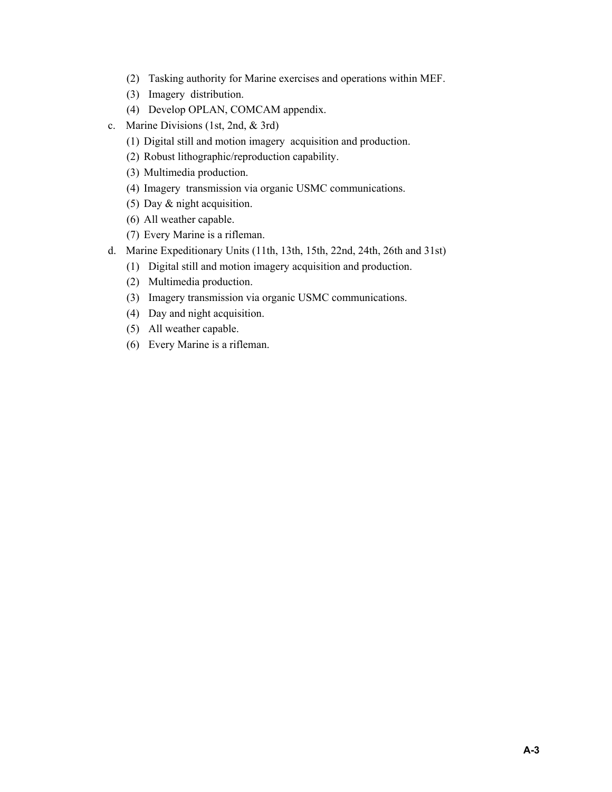- (2) Tasking authority for Marine exercises and operations within MEF.
- (3) Imagery distribution.
- (4) Develop OPLAN, COMCAM appendix.
- c. Marine Divisions (1st, 2nd, & 3rd)
	- (1) Digital still and motion imagery acquisition and production.
	- (2) Robust lithographic/reproduction capability.
	- (3) Multimedia production.
	- (4) Imagery transmission via organic USMC communications.
	- (5) Day & night acquisition.
	- (6) All weather capable.
	- (7) Every Marine is a rifleman.
- d. Marine Expeditionary Units (11th, 13th, 15th, 22nd, 24th, 26th and 31st)
	- (1) Digital still and motion imagery acquisition and production.
	- (2) Multimedia production.
	- (3) Imagery transmission via organic USMC communications.
	- (4) Day and night acquisition.
	- (5) All weather capable.
	- (6) Every Marine is a rifleman.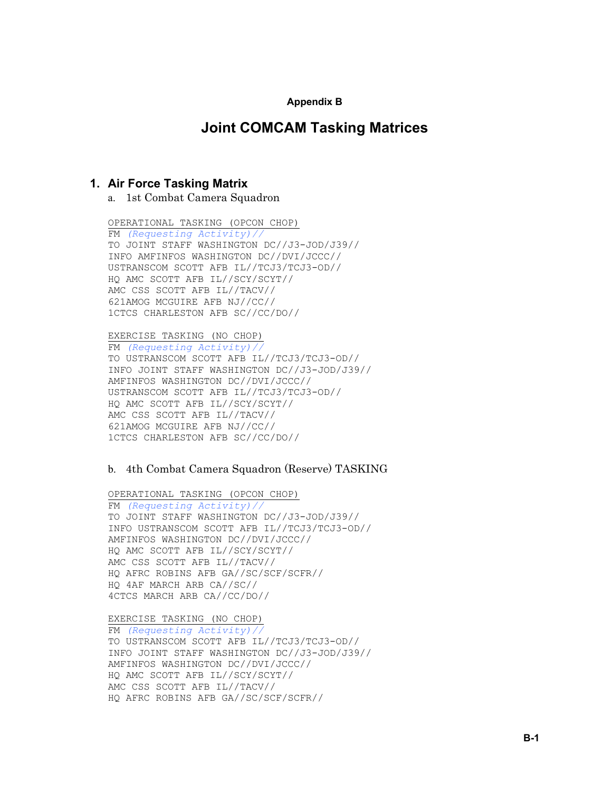#### **Appendix B**

## **Joint COMCAM Tasking Matrices**

#### **1. Air Force Tasking Matrix**

a. 1st Combat Camera Squadron

OPERATIONAL TASKING (OPCON CHOP)

FM *(Requesting Activity)//* TO JOINT STAFF WASHINGTON DC//J3-JOD/J39// INFO AMFINFOS WASHINGTON DC//DVI/JCCC// USTRANSCOM SCOTT AFB IL//TCJ3/TCJ3-OD// HQ AMC SCOTT AFB IL//SCY/SCYT// AMC CSS SCOTT AFB IL//TACV// 621AMOG MCGUIRE AFB NJ//CC// 1CTCS CHARLESTON AFB SC//CC/DO//

EXERCISE TASKING (NO CHOP)

FM *(Requesting Activity)//* TO USTRANSCOM SCOTT AFB IL//TCJ3/TCJ3-OD// INFO JOINT STAFF WASHINGTON DC//J3-JOD/J39// AMFINFOS WASHINGTON DC//DVI/JCCC// USTRANSCOM SCOTT AFB IL//TCJ3/TCJ3-OD// HQ AMC SCOTT AFB IL//SCY/SCYT// AMC CSS SCOTT AFB IL//TACV// 621AMOG MCGUIRE AFB NJ//CC// 1CTCS CHARLESTON AFB SC//CC/DO//

#### b. 4th Combat Camera Squadron (Reserve) TASKING

OPERATIONAL TASKING (OPCON CHOP) FM *(Requesting Activity)//* TO JOINT STAFF WASHINGTON DC//J3-JOD/J39// INFO USTRANSCOM SCOTT AFB IL//TCJ3/TCJ3-OD// AMFINFOS WASHINGTON DC//DVI/JCCC// HQ AMC SCOTT AFB IL//SCY/SCYT// AMC CSS SCOTT AFB IL//TACV// HQ AFRC ROBINS AFB GA//SC/SCF/SCFR// HQ 4AF MARCH ARB CA//SC// 4CTCS MARCH ARB CA//CC/DO//

EXERCISE TASKING (NO CHOP)

FM *(Requesting Activity)//* TO USTRANSCOM SCOTT AFB IL//TCJ3/TCJ3-OD// INFO JOINT STAFF WASHINGTON DC//J3-JOD/J39// AMFINFOS WASHINGTON DC//DVI/JCCC// HQ AMC SCOTT AFB IL//SCY/SCYT// AMC CSS SCOTT AFB IL//TACV// HQ AFRC ROBINS AFB GA//SC/SCF/SCFR//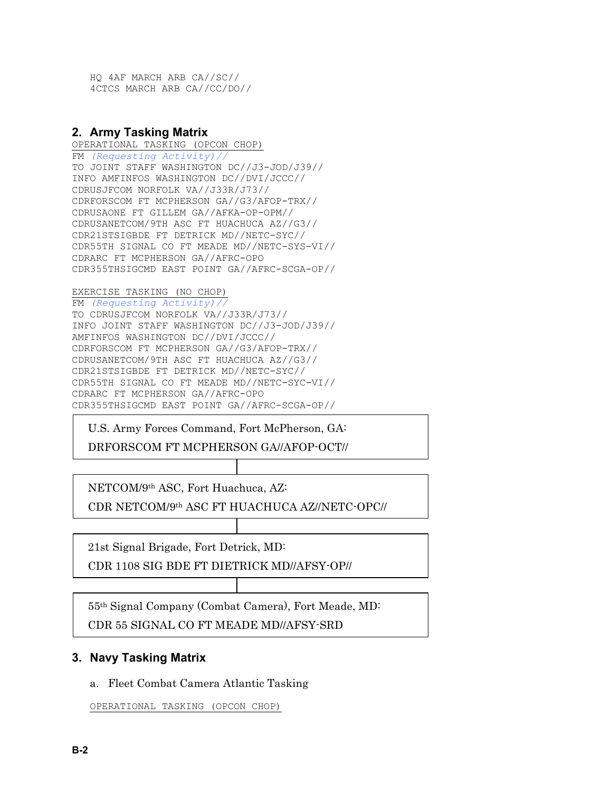HQ 4AF MARCH ARB CA//SC// 4CTCS MARCH ARB CA//CC/DO//

#### **2. Army Tasking Matrix**

OPERATIONAL TASKING (OPCON CHOP) FM *(Requesting Activity)//* TO JOINT STAFF WASHINGTON DC//J3-JOD/J39// INFO AMFINFOS WASHINGTON DC//DVI/JCCC// CDRUSJFCOM NORFOLK VA//J33R/J73// CDRFORSCOM FT MCPHERSON GA//G3/AFOP-TRX// CDRUSAONE FT GILLEM GA//AFKA-OP-OPM// CDRUSANETCOM/9TH ASC FT HUACHUCA AZ//G3// CDR21STSIGBDE FT DETRICK MD//NETC-SYC// CDR55TH SIGNAL CO FT MEADE MD//NETC-SYS-VI// CDRARC FT MCPHERSON GA//AFRC-OPO CDR355THSIGCMD EAST POINT GA//AFRC-SCGA-OP//

#### EXERCISE TASKING (NO CHOP)

FM *(Requesting Activity)//* TO CDRUSJFCOM NORFOLK VA//J33R/J73// INFO JOINT STAFF WASHINGTON DC//J3-JOD/J39// AMFINFOS WASHINGTON DC//DVI/JCCC// CDRFORSCOM FT MCPHERSON GA//G3/AFOP-TRX// CDRUSANETCOM/9TH ASC FT HUACHUCA AZ//G3// CDR21STSIGBDE FT DETRICK MD//NETC-SYC// CDR55TH SIGNAL CO FT MEADE MD//NETC-SYC-VI// CDRARC FT MCPHERSON GA//AFRC-OPO CDR355THSIGCMD EAST POINT GA//AFRC-SCGA-OP//

U.S. Army Forces Command, Fort McPherson, GA:

DRFORSCOM FT MCPHERSON GA//AFOP-OCT//

NETCOM/9th ASC, Fort Huachuca, AZ:

CDR NETCOM/9th ASC FT HUACHUCA AZ//NETC-OPC//

21st Signal Brigade, Fort Detrick, MD:

CDR 1108 SIG BDE FT DIETRICK MD//AFSY-OP//

55th Signal Company (Combat Camera), Fort Meade, MD: CDR 55 SIGNAL CO FT MEADE MD//AFSY-SRD

## **3. Navy Tasking Matrix**

a. Fleet Combat Camera Atlantic Tasking

OPERATIONAL TASKING (OPCON CHOP)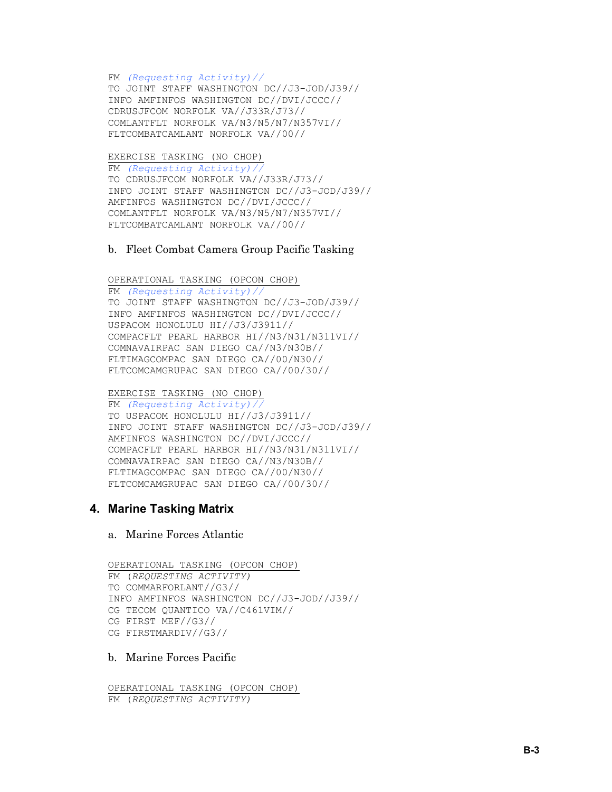FM *(Requesting Activity)//* TO JOINT STAFF WASHINGTON DC//J3-JOD/J39// INFO AMFINFOS WASHINGTON DC//DVI/JCCC// CDRUSJFCOM NORFOLK VA//J33R/J73// COMLANTFLT NORFOLK VA/N3/N5/N7/N357VI// FLTCOMBATCAMLANT NORFOLK VA//00//

EXERCISE TASKING (NO CHOP)

FM *(Requesting Activity)//* TO CDRUSJFCOM NORFOLK VA//J33R/J73// INFO JOINT STAFF WASHINGTON DC//J3-JOD/J39// AMFINFOS WASHINGTON DC//DVI/JCCC// COMLANTFLT NORFOLK VA/N3/N5/N7/N357VI// FLTCOMBATCAMLANT NORFOLK VA//00//

#### b. Fleet Combat Camera Group Pacific Tasking

OPERATIONAL TASKING (OPCON CHOP) FM *(Requesting Activity)//* TO JOINT STAFF WASHINGTON DC//J3-JOD/J39// INFO AMFINFOS WASHINGTON DC//DVI/JCCC// USPACOM HONOLULU HI//J3/J3911// COMPACFLT PEARL HARBOR HI//N3/N31/N311VI// COMNAVAIRPAC SAN DIEGO CA//N3/N30B// FLTIMAGCOMPAC SAN DIEGO CA//00/N30// FLTCOMCAMGRUPAC SAN DIEGO CA//00/30//

EXERCISE TASKING (NO CHOP)

FM *(Requesting Activity)//* TO USPACOM HONOLULU HI//J3/J3911// INFO JOINT STAFF WASHINGTON DC//J3-JOD/J39// AMFINFOS WASHINGTON DC//DVI/JCCC// COMPACFLT PEARL HARBOR HI//N3/N31/N311VI// COMNAVAIRPAC SAN DIEGO CA//N3/N30B// FLTIMAGCOMPAC SAN DIEGO CA//00/N30// FLTCOMCAMGRUPAC SAN DIEGO CA//00/30//

## **4. Marine Tasking Matrix**

a. Marine Forces Atlantic

OPERATIONAL TASKING (OPCON CHOP) FM (*REQUESTING ACTIVITY)*  TO COMMARFORLANT//G3// INFO AMFINFOS WASHINGTON DC//J3-JOD//J39// CG TECOM QUANTICO VA//C461VIM// CG FIRST MEF//G3// CG FIRSTMARDIV//G3//

b. Marine Forces Pacific

OPERATIONAL TASKING (OPCON CHOP) FM (*REQUESTING ACTIVITY)*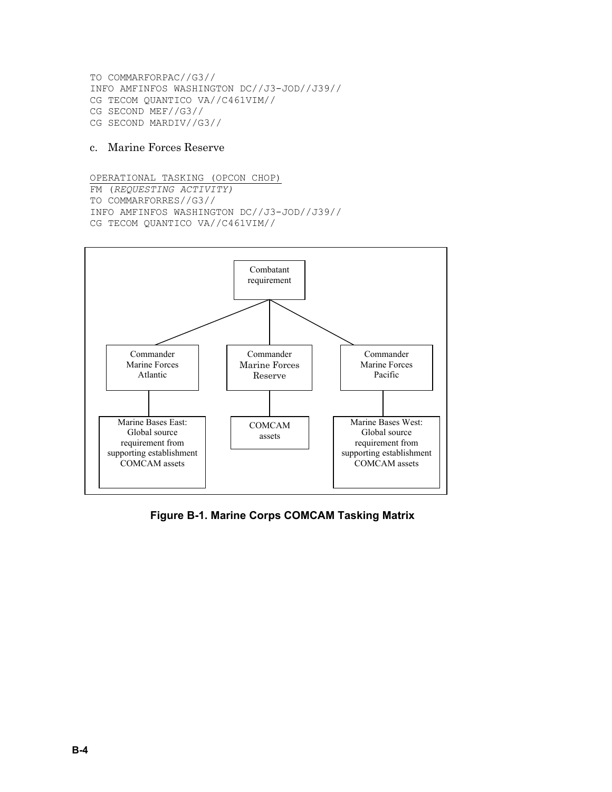TO COMMARFORPAC//G3// INFO AMFINFOS WASHINGTON DC//J3-JOD//J39// CG TECOM QUANTICO VA//C461VIM// CG SECOND MEF//G3// CG SECOND MARDIV//G3//

#### c. Marine Forces Reserve

OPERATIONAL TASKING (OPCON CHOP) FM (*REQUESTING ACTIVITY)*  TO COMMARFORRES//G3// INFO AMFINFOS WASHINGTON DC//J3-JOD//J39// CG TECOM QUANTICO VA//C461VIM//



**Figure B-1. Marine Corps COMCAM Tasking Matrix**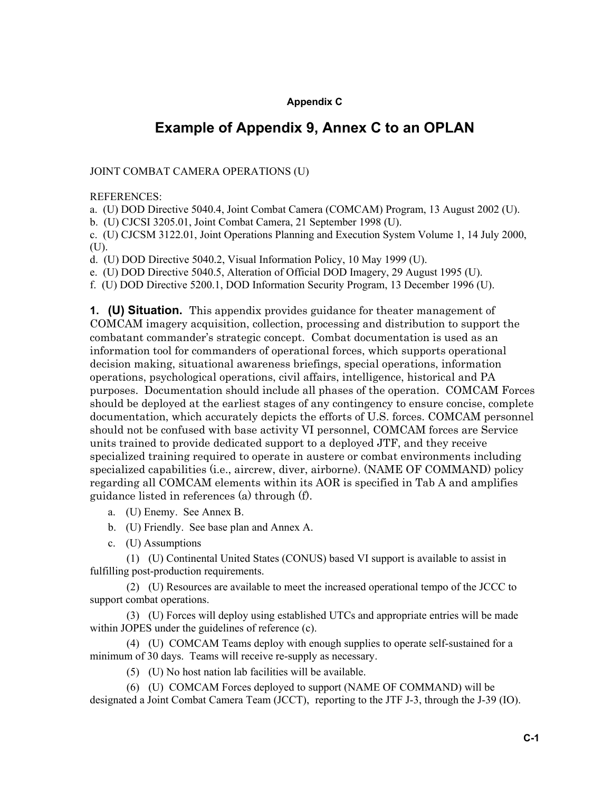#### **Appendix C**

## **Example of Appendix 9, Annex C to an OPLAN**

#### JOINT COMBAT CAMERA OPERATIONS (U)

#### REFERENCES:

a. (U) DOD Directive 5040.4, Joint Combat Camera (COMCAM) Program, 13 August 2002 (U).

b. (U) CJCSI 3205.01, Joint Combat Camera, 21 September 1998 (U).

c. (U) CJCSM 3122.01, Joint Operations Planning and Execution System Volume 1, 14 July 2000, (U).

d. (U) DOD Directive 5040.2, Visual Information Policy, 10 May 1999 (U).

e. (U) DOD Directive 5040.5, Alteration of Official DOD Imagery, 29 August 1995 (U).

f. (U) DOD Directive 5200.1, DOD Information Security Program, 13 December 1996 (U).

**1. (U) Situation.** This appendix provides guidance for theater management of COMCAM imagery acquisition, collection, processing and distribution to support the combatant commander's strategic concept. Combat documentation is used as an information tool for commanders of operational forces, which supports operational decision making, situational awareness briefings, special operations, information operations, psychological operations, civil affairs, intelligence, historical and PA purposes. Documentation should include all phases of the operation. COMCAM Forces should be deployed at the earliest stages of any contingency to ensure concise, complete documentation, which accurately depicts the efforts of U.S. forces. COMCAM personnel should not be confused with base activity VI personnel, COMCAM forces are Service units trained to provide dedicated support to a deployed JTF, and they receive specialized training required to operate in austere or combat environments including specialized capabilities (i.e., aircrew, diver, airborne). (NAME OF COMMAND) policy regarding all COMCAM elements within its AOR is specified in Tab A and amplifies guidance listed in references (a) through (f).

- a. (U) Enemy. See Annex B.
- b. (U) Friendly. See base plan and Annex A.
- c. (U) Assumptions

(1) (U) Continental United States (CONUS) based VI support is available to assist in fulfilling post-production requirements.

(2) (U) Resources are available to meet the increased operational tempo of the JCCC to support combat operations.

(3) (U) Forces will deploy using established UTCs and appropriate entries will be made within JOPES under the guidelines of reference (c).

(4) (U) COMCAM Teams deploy with enough supplies to operate self-sustained for a minimum of 30 days. Teams will receive re-supply as necessary.

(5) (U) No host nation lab facilities will be available.

(6) (U) COMCAM Forces deployed to support (NAME OF COMMAND) will be designated a Joint Combat Camera Team (JCCT), reporting to the JTF J-3, through the J-39 (IO).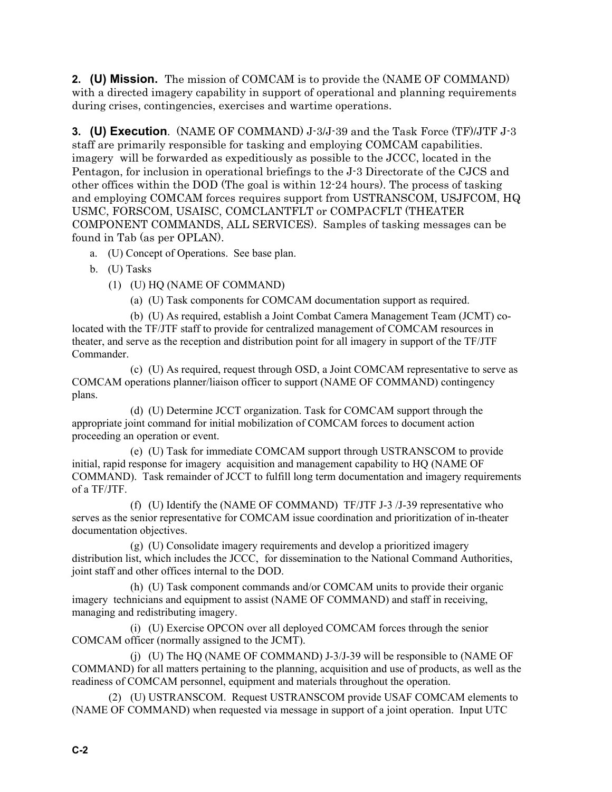**2. (U) Mission.** The mission of COMCAM is to provide the (NAME OF COMMAND) with a directed imagery capability in support of operational and planning requirements during crises, contingencies, exercises and wartime operations.

**3. (U) Execution**. (NAME OF COMMAND) J-3/J-39 and the Task Force (TF)/JTF J-3 staff are primarily responsible for tasking and employing COMCAM capabilities. imagery will be forwarded as expeditiously as possible to the JCCC, located in the Pentagon, for inclusion in operational briefings to the J-3 Directorate of the CJCS and other offices within the DOD (The goal is within 12-24 hours). The process of tasking and employing COMCAM forces requires support from USTRANSCOM, USJFCOM, HQ USMC, FORSCOM, USAISC, COMCLANTFLT or COMPACFLT (THEATER COMPONENT COMMANDS, ALL SERVICES). Samples of tasking messages can be found in Tab (as per OPLAN).

a. (U) Concept of Operations. See base plan.

b. (U) Tasks

(1) (U) HQ (NAME OF COMMAND)

(a) (U) Task components for COMCAM documentation support as required.

(b) (U) As required, establish a Joint Combat Camera Management Team (JCMT) colocated with the TF/JTF staff to provide for centralized management of COMCAM resources in theater, and serve as the reception and distribution point for all imagery in support of the TF/JTF Commander.

(c) (U) As required, request through OSD, a Joint COMCAM representative to serve as COMCAM operations planner/liaison officer to support (NAME OF COMMAND) contingency plans.

(d) (U) Determine JCCT organization. Task for COMCAM support through the appropriate joint command for initial mobilization of COMCAM forces to document action proceeding an operation or event.

(e) (U) Task for immediate COMCAM support through USTRANSCOM to provide initial, rapid response for imagery acquisition and management capability to HQ (NAME OF COMMAND). Task remainder of JCCT to fulfill long term documentation and imagery requirements of a TF/JTF.

(f) (U) Identify the (NAME OF COMMAND) TF/JTF J-3 /J-39 representative who serves as the senior representative for COMCAM issue coordination and prioritization of in-theater documentation objectives.

(g) (U) Consolidate imagery requirements and develop a prioritized imagery distribution list, which includes the JCCC, for dissemination to the National Command Authorities, joint staff and other offices internal to the DOD.

(h) (U) Task component commands and/or COMCAM units to provide their organic imagery technicians and equipment to assist (NAME OF COMMAND) and staff in receiving, managing and redistributing imagery.

(i) (U) Exercise OPCON over all deployed COMCAM forces through the senior COMCAM officer (normally assigned to the JCMT).

(j) (U) The HQ (NAME OF COMMAND) J-3/J-39 will be responsible to (NAME OF COMMAND) for all matters pertaining to the planning, acquisition and use of products, as well as the readiness of COMCAM personnel, equipment and materials throughout the operation.

(2) (U) USTRANSCOM. Request USTRANSCOM provide USAF COMCAM elements to (NAME OF COMMAND) when requested via message in support of a joint operation. Input UTC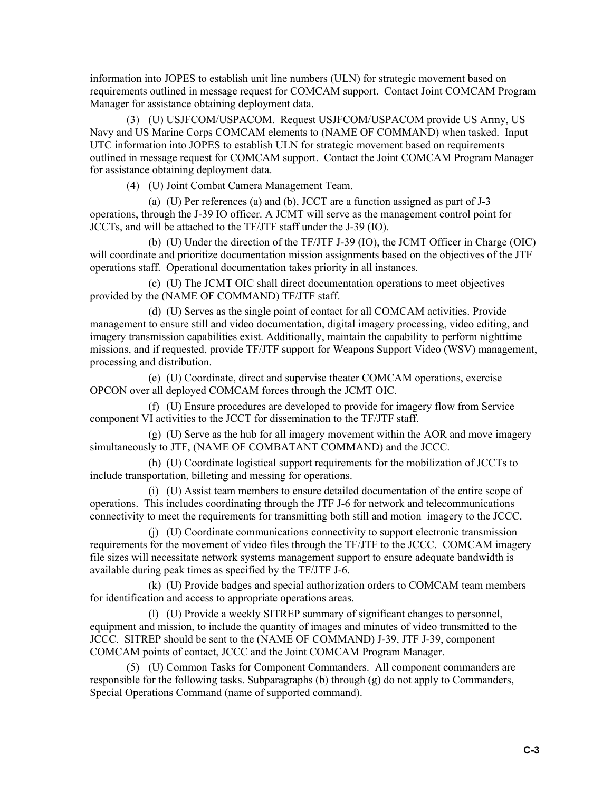information into JOPES to establish unit line numbers (ULN) for strategic movement based on requirements outlined in message request for COMCAM support. Contact Joint COMCAM Program Manager for assistance obtaining deployment data.

(3) (U) USJFCOM/USPACOM. Request USJFCOM/USPACOM provide US Army, US Navy and US Marine Corps COMCAM elements to (NAME OF COMMAND) when tasked. Input UTC information into JOPES to establish ULN for strategic movement based on requirements outlined in message request for COMCAM support. Contact the Joint COMCAM Program Manager for assistance obtaining deployment data.

(4) (U) Joint Combat Camera Management Team.

(a) (U) Per references (a) and (b), JCCT are a function assigned as part of J-3 operations, through the J-39 IO officer. A JCMT will serve as the management control point for JCCTs, and will be attached to the TF/JTF staff under the J-39 (IO).

(b) (U) Under the direction of the TF/JTF J-39 (IO), the JCMT Officer in Charge (OIC) will coordinate and prioritize documentation mission assignments based on the objectives of the JTF operations staff. Operational documentation takes priority in all instances.

(c) (U) The JCMT OIC shall direct documentation operations to meet objectives provided by the (NAME OF COMMAND) TF/JTF staff.

(d) (U) Serves as the single point of contact for all COMCAM activities. Provide management to ensure still and video documentation, digital imagery processing, video editing, and imagery transmission capabilities exist. Additionally, maintain the capability to perform nighttime missions, and if requested, provide TF/JTF support for Weapons Support Video (WSV) management, processing and distribution.

(e) (U) Coordinate, direct and supervise theater COMCAM operations, exercise OPCON over all deployed COMCAM forces through the JCMT OIC.

(f) (U) Ensure procedures are developed to provide for imagery flow from Service component VI activities to the JCCT for dissemination to the TF/JTF staff.

(g) (U) Serve as the hub for all imagery movement within the AOR and move imagery simultaneously to JTF, (NAME OF COMBATANT COMMAND) and the JCCC.

(h) (U) Coordinate logistical support requirements for the mobilization of JCCTs to include transportation, billeting and messing for operations.

(i) (U) Assist team members to ensure detailed documentation of the entire scope of operations. This includes coordinating through the JTF J-6 for network and telecommunications connectivity to meet the requirements for transmitting both still and motion imagery to the JCCC.

(j) (U) Coordinate communications connectivity to support electronic transmission requirements for the movement of video files through the TF/JTF to the JCCC. COMCAM imagery file sizes will necessitate network systems management support to ensure adequate bandwidth is available during peak times as specified by the TF/JTF J-6.

(k) (U) Provide badges and special authorization orders to COMCAM team members for identification and access to appropriate operations areas.

(l) (U) Provide a weekly SITREP summary of significant changes to personnel, equipment and mission, to include the quantity of images and minutes of video transmitted to the JCCC. SITREP should be sent to the (NAME OF COMMAND) J-39, JTF J-39, component COMCAM points of contact, JCCC and the Joint COMCAM Program Manager.

(5) (U) Common Tasks for Component Commanders. All component commanders are responsible for the following tasks. Subparagraphs (b) through (g) do not apply to Commanders, Special Operations Command (name of supported command).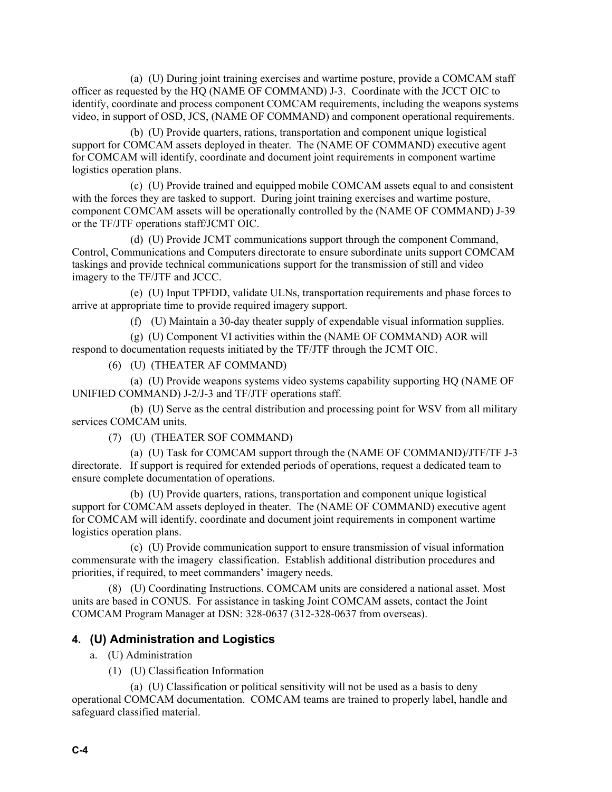(a) (U) During joint training exercises and wartime posture, provide a COMCAM staff officer as requested by the HQ (NAME OF COMMAND) J-3. Coordinate with the JCCT OIC to identify, coordinate and process component COMCAM requirements, including the weapons systems video, in support of OSD, JCS, (NAME OF COMMAND) and component operational requirements.

(b) (U) Provide quarters, rations, transportation and component unique logistical support for COMCAM assets deployed in theater. The (NAME OF COMMAND) executive agent for COMCAM will identify, coordinate and document joint requirements in component wartime logistics operation plans.

(c) (U) Provide trained and equipped mobile COMCAM assets equal to and consistent with the forces they are tasked to support. During joint training exercises and wartime posture, component COMCAM assets will be operationally controlled by the (NAME OF COMMAND) J-39 or the TF/JTF operations staff/JCMT OIC.

(d) (U) Provide JCMT communications support through the component Command, Control, Communications and Computers directorate to ensure subordinate units support COMCAM taskings and provide technical communications support for the transmission of still and video imagery to the TF/JTF and JCCC.

(e) (U) Input TPFDD, validate ULNs, transportation requirements and phase forces to arrive at appropriate time to provide required imagery support.

(f) (U) Maintain a 30-day theater supply of expendable visual information supplies.

(g) (U) Component VI activities within the (NAME OF COMMAND) AOR will respond to documentation requests initiated by the TF/JTF through the JCMT OIC.

(6) (U) (THEATER AF COMMAND)

(a) (U) Provide weapons systems video systems capability supporting HQ (NAME OF UNIFIED COMMAND) J-2/J-3 and TF/JTF operations staff.

(b) (U) Serve as the central distribution and processing point for WSV from all military services COMCAM units.

(7) (U) (THEATER SOF COMMAND)

(a) (U) Task for COMCAM support through the (NAME OF COMMAND)/JTF/TF J-3 directorate. If support is required for extended periods of operations, request a dedicated team to ensure complete documentation of operations.

(b) (U) Provide quarters, rations, transportation and component unique logistical support for COMCAM assets deployed in theater. The (NAME OF COMMAND) executive agent for COMCAM will identify, coordinate and document joint requirements in component wartime logistics operation plans.

(c) (U) Provide communication support to ensure transmission of visual information commensurate with the imagery classification. Establish additional distribution procedures and priorities, if required, to meet commanders' imagery needs.

(8) (U) Coordinating Instructions. COMCAM units are considered a national asset. Most units are based in CONUS. For assistance in tasking Joint COMCAM assets, contact the Joint COMCAM Program Manager at DSN: 328-0637 (312-328-0637 from overseas).

#### **4. (U) Administration and Logistics**

- a. (U) Administration
	- (1) (U) Classification Information

(a) (U) Classification or political sensitivity will not be used as a basis to deny operational COMCAM documentation. COMCAM teams are trained to properly label, handle and safeguard classified material.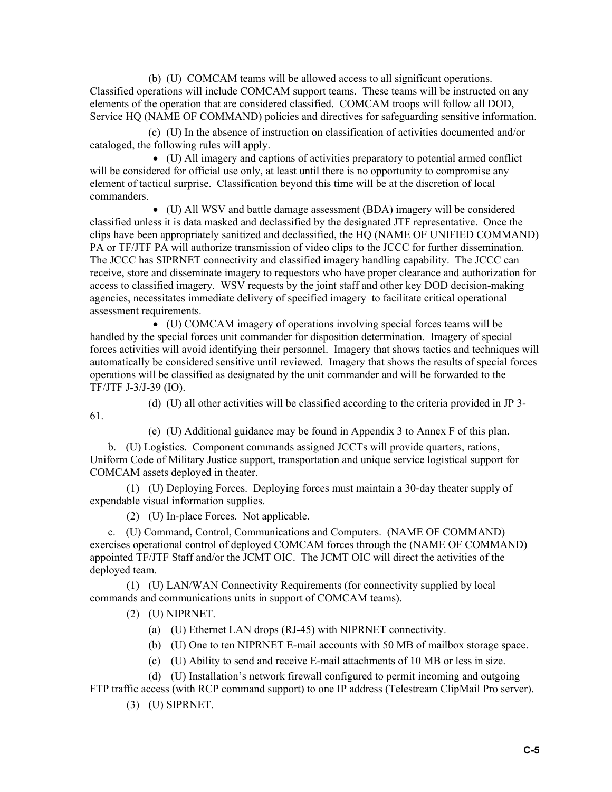(b) (U) COMCAM teams will be allowed access to all significant operations. Classified operations will include COMCAM support teams. These teams will be instructed on any elements of the operation that are considered classified. COMCAM troops will follow all DOD, Service HQ (NAME OF COMMAND) policies and directives for safeguarding sensitive information.

(c) (U) In the absence of instruction on classification of activities documented and/or cataloged, the following rules will apply.

• (U) All imagery and captions of activities preparatory to potential armed conflict will be considered for official use only, at least until there is no opportunity to compromise any element of tactical surprise. Classification beyond this time will be at the discretion of local commanders.

• (U) All WSV and battle damage assessment (BDA) imagery will be considered classified unless it is data masked and declassified by the designated JTF representative. Once the clips have been appropriately sanitized and declassified, the HQ (NAME OF UNIFIED COMMAND) PA or TF/JTF PA will authorize transmission of video clips to the JCCC for further dissemination. The JCCC has SIPRNET connectivity and classified imagery handling capability. The JCCC can receive, store and disseminate imagery to requestors who have proper clearance and authorization for access to classified imagery. WSV requests by the joint staff and other key DOD decision-making agencies, necessitates immediate delivery of specified imagery to facilitate critical operational assessment requirements.

• (U) COMCAM imagery of operations involving special forces teams will be handled by the special forces unit commander for disposition determination. Imagery of special forces activities will avoid identifying their personnel. Imagery that shows tactics and techniques will automatically be considered sensitive until reviewed. Imagery that shows the results of special forces operations will be classified as designated by the unit commander and will be forwarded to the TF/JTF J-3/J-39 (IO).

(d) (U) all other activities will be classified according to the criteria provided in JP 3-

(e) (U) Additional guidance may be found in Appendix 3 to Annex F of this plan.

b. (U) Logistics. Component commands assigned JCCTs will provide quarters, rations, Uniform Code of Military Justice support, transportation and unique service logistical support for COMCAM assets deployed in theater.

(1) (U) Deploying Forces. Deploying forces must maintain a 30-day theater supply of expendable visual information supplies.

(2) (U) In-place Forces. Not applicable.

c. (U) Command, Control, Communications and Computers. (NAME OF COMMAND) exercises operational control of deployed COMCAM forces through the (NAME OF COMMAND) appointed TF/JTF Staff and/or the JCMT OIC. The JCMT OIC will direct the activities of the deployed team.

(1) (U) LAN/WAN Connectivity Requirements (for connectivity supplied by local commands and communications units in support of COMCAM teams).

(2) (U) NIPRNET.

61.

- (a) (U) Ethernet LAN drops (RJ-45) with NIPRNET connectivity.
- (b) (U) One to ten NIPRNET E-mail accounts with 50 MB of mailbox storage space.
- (c) (U) Ability to send and receive E-mail attachments of 10 MB or less in size.

(d) (U) Installation's network firewall configured to permit incoming and outgoing FTP traffic access (with RCP command support) to one IP address (Telestream ClipMail Pro server).

(3) (U) SIPRNET.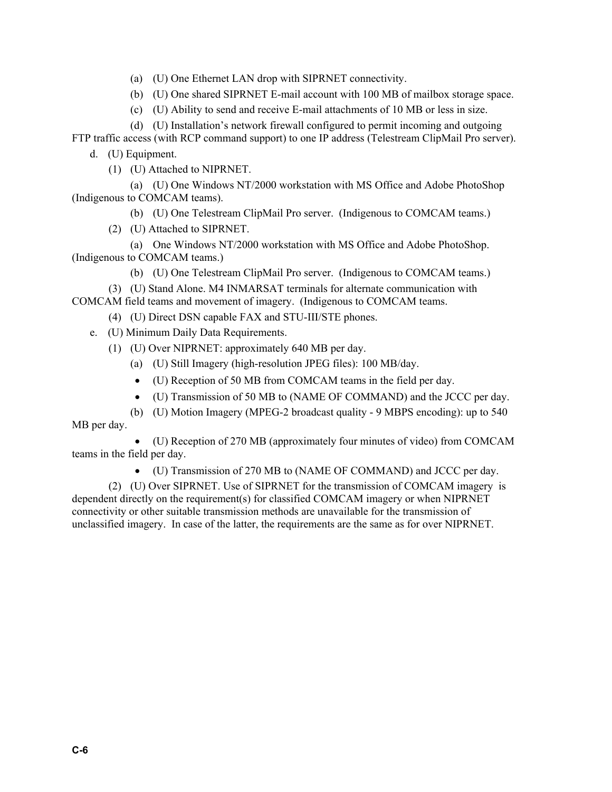- (a) (U) One Ethernet LAN drop with SIPRNET connectivity.
- (b) (U) One shared SIPRNET E-mail account with 100 MB of mailbox storage space.
- (c) (U) Ability to send and receive E-mail attachments of 10 MB or less in size.
- (d) (U) Installation's network firewall configured to permit incoming and outgoing

FTP traffic access (with RCP command support) to one IP address (Telestream ClipMail Pro server).

- d. (U) Equipment.
	- (1) (U) Attached to NIPRNET.

(a) (U) One Windows NT/2000 workstation with MS Office and Adobe PhotoShop (Indigenous to COMCAM teams).

- (b) (U) One Telestream ClipMail Pro server. (Indigenous to COMCAM teams.)
- (2) (U) Attached to SIPRNET.
- (a) One Windows NT/2000 workstation with MS Office and Adobe PhotoShop. (Indigenous to COMCAM teams.)
	- (b) (U) One Telestream ClipMail Pro server. (Indigenous to COMCAM teams.)
- (3) (U) Stand Alone. M4 INMARSAT terminals for alternate communication with COMCAM field teams and movement of imagery. (Indigenous to COMCAM teams.
	- (4) (U) Direct DSN capable FAX and STU-III/STE phones.
	- e. (U) Minimum Daily Data Requirements.
		- (1) (U) Over NIPRNET: approximately 640 MB per day.
			- (a) (U) Still Imagery (high-resolution JPEG files): 100 MB/day.
			- (U) Reception of 50 MB from COMCAM teams in the field per day.
			- (U) Transmission of 50 MB to (NAME OF COMMAND) and the JCCC per day.
			- (b) (U) Motion Imagery (MPEG-2 broadcast quality 9 MBPS encoding): up to 540

MB per day.

• (U) Reception of 270 MB (approximately four minutes of video) from COMCAM teams in the field per day.

• (U) Transmission of 270 MB to (NAME OF COMMAND) and JCCC per day.

(2) (U) Over SIPRNET. Use of SIPRNET for the transmission of COMCAM imagery is dependent directly on the requirement(s) for classified COMCAM imagery or when NIPRNET connectivity or other suitable transmission methods are unavailable for the transmission of unclassified imagery. In case of the latter, the requirements are the same as for over NIPRNET.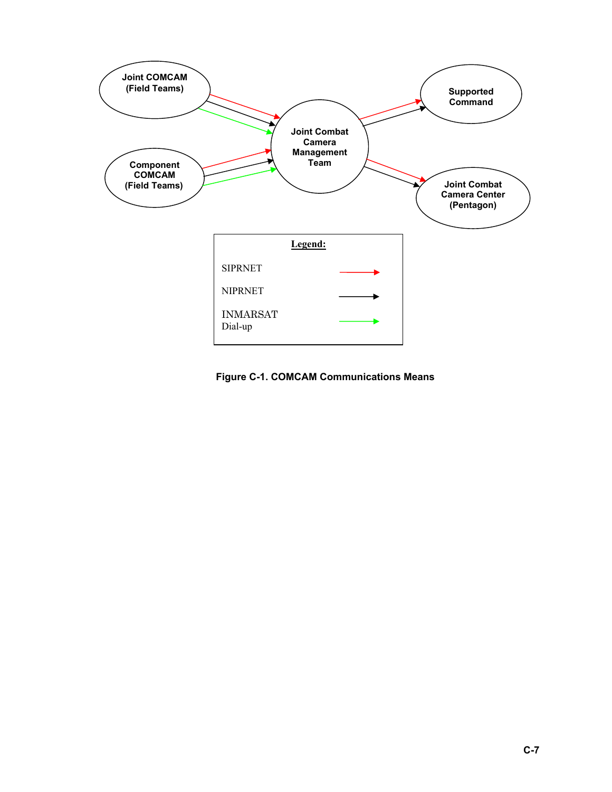

**Figure C-1. COMCAM Communications Means**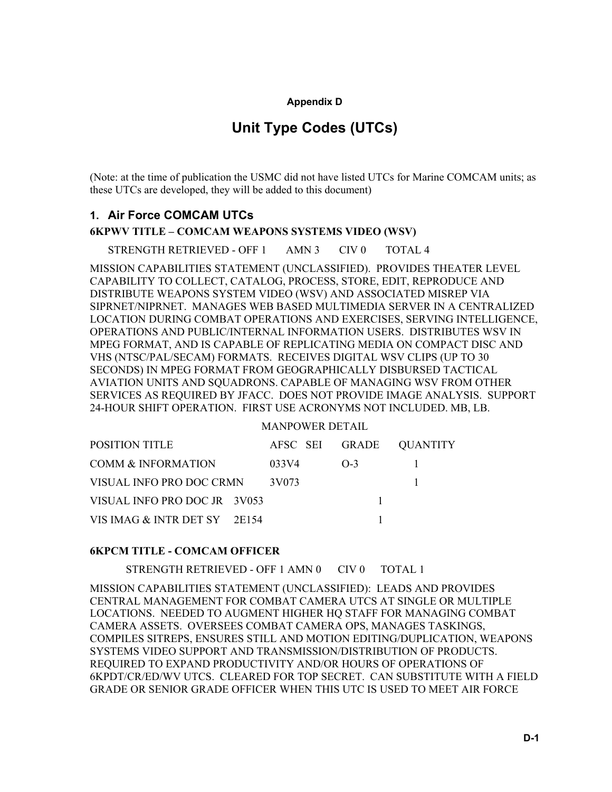#### **Appendix D**

## **Unit Type Codes (UTCs)**

(Note: at the time of publication the USMC did not have listed UTCs for Marine COMCAM units; as these UTCs are developed, they will be added to this document)

#### **1. Air Force COMCAM UTCs**

**6KPWV TITLE – COMCAM WEAPONS SYSTEMS VIDEO (WSV)** 

STRENGTH RETRIEVED - OFF 1 AMN 3 CIV 0 TOTAL 4

MISSION CAPABILITIES STATEMENT (UNCLASSIFIED). PROVIDES THEATER LEVEL CAPABILITY TO COLLECT, CATALOG, PROCESS, STORE, EDIT, REPRODUCE AND DISTRIBUTE WEAPONS SYSTEM VIDEO (WSV) AND ASSOCIATED MISREP VIA SIPRNET/NIPRNET. MANAGES WEB BASED MULTIMEDIA SERVER IN A CENTRALIZED LOCATION DURING COMBAT OPERATIONS AND EXERCISES, SERVING INTELLIGENCE, OPERATIONS AND PUBLIC/INTERNAL INFORMATION USERS. DISTRIBUTES WSV IN MPEG FORMAT, AND IS CAPABLE OF REPLICATING MEDIA ON COMPACT DISC AND VHS (NTSC/PAL/SECAM) FORMATS. RECEIVES DIGITAL WSV CLIPS (UP TO 30 SECONDS) IN MPEG FORMAT FROM GEOGRAPHICALLY DISBURSED TACTICAL AVIATION UNITS AND SQUADRONS. CAPABLE OF MANAGING WSV FROM OTHER SERVICES AS REQUIRED BY JFACC. DOES NOT PROVIDE IMAGE ANALYSIS. SUPPORT 24-HOUR SHIFT OPERATION. FIRST USE ACRONYMS NOT INCLUDED. MB, LB.

#### MANPOWER DETAIL

| <b>POSITION TITLE</b>        |       |          | AFSC SEI GRADE QUANTITY |
|------------------------------|-------|----------|-------------------------|
| COMM & INFORMATION           | 033V4 | $() - 3$ |                         |
| VISUAL INFO PRO DOC CRMN     | 3V073 |          |                         |
| VISUAL INFO PRO DOC JR 3V053 |       |          |                         |
| VIS IMAG & INTR DET SY 2E154 |       |          |                         |

#### **6KPCM TITLE - COMCAM OFFICER**

STRENGTH RETRIEVED - OFF 1 AMN 0 CIV 0 TOTAL 1

MISSION CAPABILITIES STATEMENT (UNCLASSIFIED): LEADS AND PROVIDES CENTRAL MANAGEMENT FOR COMBAT CAMERA UTCS AT SINGLE OR MULTIPLE LOCATIONS. NEEDED TO AUGMENT HIGHER HQ STAFF FOR MANAGING COMBAT CAMERA ASSETS. OVERSEES COMBAT CAMERA OPS, MANAGES TASKINGS, COMPILES SITREPS, ENSURES STILL AND MOTION EDITING/DUPLICATION, WEAPONS SYSTEMS VIDEO SUPPORT AND TRANSMISSION/DISTRIBUTION OF PRODUCTS. REQUIRED TO EXPAND PRODUCTIVITY AND/OR HOURS OF OPERATIONS OF 6KPDT/CR/ED/WV UTCS. CLEARED FOR TOP SECRET. CAN SUBSTITUTE WITH A FIELD GRADE OR SENIOR GRADE OFFICER WHEN THIS UTC IS USED TO MEET AIR FORCE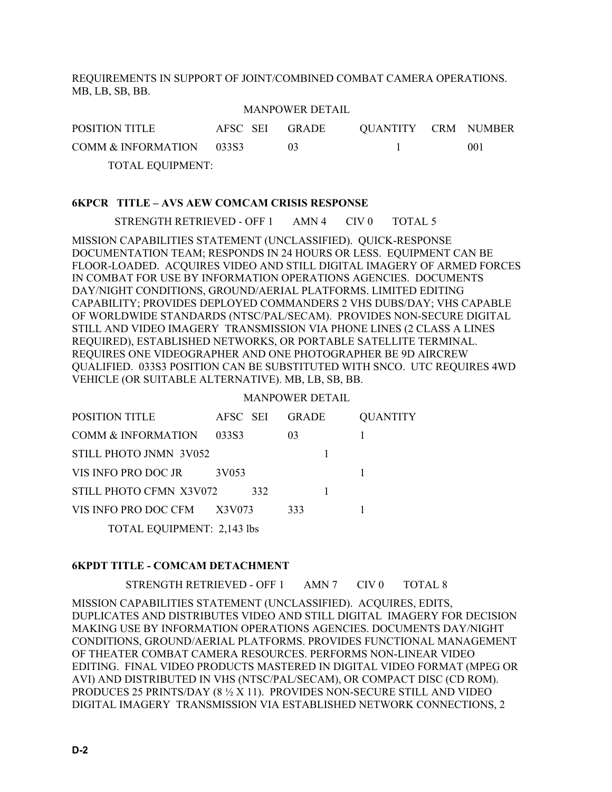REQUIREMENTS IN SUPPORT OF JOINT/COMBINED COMBAT CAMERA OPERATIONS. MB, LB, SB, BB.

#### MANPOWER DETAIL

| POSITION TITLE           | AFSC SEI GRADE |     | QUANTITY CRM NUMBER |     |
|--------------------------|----------------|-----|---------------------|-----|
| COMM & INFORMATION 033S3 |                | 03. |                     | 001 |
| TOTAL EQUIPMENT:         |                |     |                     |     |

#### **6KPCR TITLE – AVS AEW COMCAM CRISIS RESPONSE**

STRENGTH RETRIEVED - OFF 1 AMN 4 CIV 0 TOTAL 5

MISSION CAPABILITIES STATEMENT (UNCLASSIFIED). QUICK-RESPONSE DOCUMENTATION TEAM; RESPONDS IN 24 HOURS OR LESS. EQUIPMENT CAN BE FLOOR-LOADED. ACQUIRES VIDEO AND STILL DIGITAL IMAGERY OF ARMED FORCES IN COMBAT FOR USE BY INFORMATION OPERATIONS AGENCIES. DOCUMENTS DAY/NIGHT CONDITIONS, GROUND/AERIAL PLATFORMS. LIMITED EDITING CAPABILITY; PROVIDES DEPLOYED COMMANDERS 2 VHS DUBS/DAY; VHS CAPABLE OF WORLDWIDE STANDARDS (NTSC/PAL/SECAM). PROVIDES NON-SECURE DIGITAL STILL AND VIDEO IMAGERY TRANSMISSION VIA PHONE LINES (2 CLASS A LINES REQUIRED), ESTABLISHED NETWORKS, OR PORTABLE SATELLITE TERMINAL. REQUIRES ONE VIDEOGRAPHER AND ONE PHOTOGRAPHER BE 9D AIRCREW QUALIFIED. 033S3 POSITION CAN BE SUBSTITUTED WITH SNCO. UTC REQUIRES 4WD VEHICLE (OR SUITABLE ALTERNATIVE). MB, LB, SB, BB.

#### MANPOWER DETAIL

| POSITION TITLE                    | AFSC SEI |     | <b>GRADE</b>   | <b>QUANTITY</b> |
|-----------------------------------|----------|-----|----------------|-----------------|
| <b>COMM &amp; INFORMATION</b>     | 03383    |     | 0 <sup>3</sup> |                 |
| STILL PHOTO JNMN 3V052            |          |     |                |                 |
| VIS INFO PRO DOC JR               | 3V053    |     |                |                 |
| STILL PHOTO CFMN X3V072           |          | 332 |                |                 |
| VIS INFO PRO DOC CFM              | X3V073   |     | 333            |                 |
| <b>TOTAL EQUIPMENT: 2,143 lbs</b> |          |     |                |                 |

#### **6KPDT TITLE - COMCAM DETACHMENT**

STRENGTH RETRIEVED - OFF 1 AMN 7 CIV 0 TOTAL 8

MISSION CAPABILITIES STATEMENT (UNCLASSIFIED). ACQUIRES, EDITS, DUPLICATES AND DISTRIBUTES VIDEO AND STILL DIGITAL IMAGERY FOR DECISION MAKING USE BY INFORMATION OPERATIONS AGENCIES. DOCUMENTS DAY/NIGHT CONDITIONS, GROUND/AERIAL PLATFORMS. PROVIDES FUNCTIONAL MANAGEMENT OF THEATER COMBAT CAMERA RESOURCES. PERFORMS NON-LINEAR VIDEO EDITING. FINAL VIDEO PRODUCTS MASTERED IN DIGITAL VIDEO FORMAT (MPEG OR AVI) AND DISTRIBUTED IN VHS (NTSC/PAL/SECAM), OR COMPACT DISC (CD ROM). PRODUCES 25 PRINTS/DAY (8 ½ X 11). PROVIDES NON-SECURE STILL AND VIDEO DIGITAL IMAGERY TRANSMISSION VIA ESTABLISHED NETWORK CONNECTIONS, 2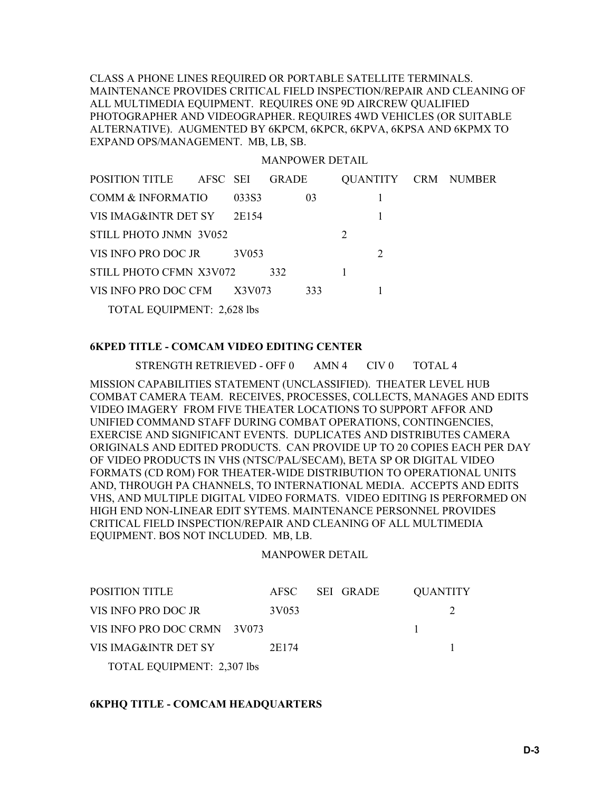CLASS A PHONE LINES REQUIRED OR PORTABLE SATELLITE TERMINALS. MAINTENANCE PROVIDES CRITICAL FIELD INSPECTION/REPAIR AND CLEANING OF ALL MULTIMEDIA EQUIPMENT. REQUIRES ONE 9D AIRCREW QUALIFIED PHOTOGRAPHER AND VIDEOGRAPHER. REQUIRES 4WD VEHICLES (OR SUITABLE ALTERNATIVE). AUGMENTED BY 6KPCM, 6KPCR, 6KPVA, 6KPSA AND 6KPMX TO EXPAND OPS/MANAGEMENT. MB, LB, SB.

#### MANPOWER DETAIL

| POSITION TITLE AFSC SEI           |        | <b>GRADE</b> |     |                             |  | QUANTITY CRM NUMBER |
|-----------------------------------|--------|--------------|-----|-----------------------------|--|---------------------|
| COMM & INFORMATIO                 | 03383  | 03           |     |                             |  |                     |
| VIS IMAG&INTR DET SY              | 2E154  |              |     |                             |  |                     |
| STILL PHOTO JNMN 3V052            |        |              |     | 2                           |  |                     |
| VIS INFO PRO DOC JR               | 3V053  |              |     | $\mathcal{D}_{\mathcal{L}}$ |  |                     |
| STILL PHOTO CFMN X3V072           |        | 332          |     |                             |  |                     |
| VIS INFO PRO DOC CFM              | X3V073 |              | 333 |                             |  |                     |
| <b>TOTAL EQUIPMENT: 2,628 lbs</b> |        |              |     |                             |  |                     |

#### **6KPED TITLE - COMCAM VIDEO EDITING CENTER**

STRENGTH RETRIEVED - OFF 0 AMN 4 CIV 0 TOTAL 4

MISSION CAPABILITIES STATEMENT (UNCLASSIFIED). THEATER LEVEL HUB COMBAT CAMERA TEAM. RECEIVES, PROCESSES, COLLECTS, MANAGES AND EDITS VIDEO IMAGERY FROM FIVE THEATER LOCATIONS TO SUPPORT AFFOR AND UNIFIED COMMAND STAFF DURING COMBAT OPERATIONS, CONTINGENCIES, EXERCISE AND SIGNIFICANT EVENTS. DUPLICATES AND DISTRIBUTES CAMERA ORIGINALS AND EDITED PRODUCTS. CAN PROVIDE UP TO 20 COPIES EACH PER DAY OF VIDEO PRODUCTS IN VHS (NTSC/PAL/SECAM), BETA SP OR DIGITAL VIDEO FORMATS (CD ROM) FOR THEATER-WIDE DISTRIBUTION TO OPERATIONAL UNITS AND, THROUGH PA CHANNELS, TO INTERNATIONAL MEDIA. ACCEPTS AND EDITS VHS, AND MULTIPLE DIGITAL VIDEO FORMATS. VIDEO EDITING IS PERFORMED ON HIGH END NON-LINEAR EDIT SYTEMS. MAINTENANCE PERSONNEL PROVIDES CRITICAL FIELD INSPECTION/REPAIR AND CLEANING OF ALL MULTIMEDIA EQUIPMENT. BOS NOT INCLUDED. MB, LB.

#### MANPOWER DETAIL

| <b>POSITION TITLE</b>             |       | AFSC SEI GRADE | <b>QUANTITY</b> |  |
|-----------------------------------|-------|----------------|-----------------|--|
| VIS INFO PRO DOC JR               | 3V053 |                |                 |  |
| VIS INFO PRO DOC CRMN 3V073       |       |                |                 |  |
| VIS IMAG&INTR DET SY              | 2E174 |                |                 |  |
| <b>TOTAL EQUIPMENT: 2,307 lbs</b> |       |                |                 |  |

#### **6KPHQ TITLE - COMCAM HEADQUARTERS**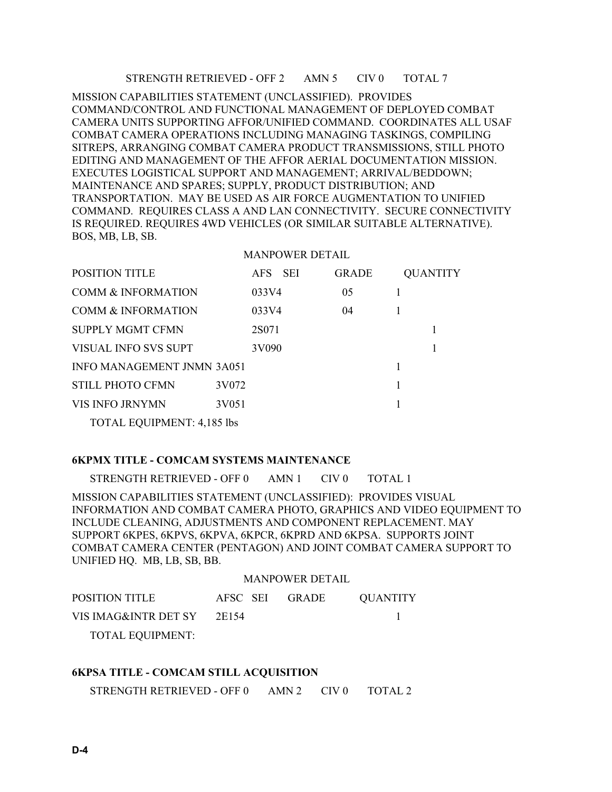#### STRENGTH RETRIEVED - OFF 2 AMN 5 CIV 0 TOTAL 7

MISSION CAPABILITIES STATEMENT (UNCLASSIFIED). PROVIDES COMMAND/CONTROL AND FUNCTIONAL MANAGEMENT OF DEPLOYED COMBAT CAMERA UNITS SUPPORTING AFFOR/UNIFIED COMMAND. COORDINATES ALL USAF COMBAT CAMERA OPERATIONS INCLUDING MANAGING TASKINGS, COMPILING SITREPS, ARRANGING COMBAT CAMERA PRODUCT TRANSMISSIONS, STILL PHOTO EDITING AND MANAGEMENT OF THE AFFOR AERIAL DOCUMENTATION MISSION. EXECUTES LOGISTICAL SUPPORT AND MANAGEMENT; ARRIVAL/BEDDOWN; MAINTENANCE AND SPARES; SUPPLY, PRODUCT DISTRIBUTION; AND TRANSPORTATION. MAY BE USED AS AIR FORCE AUGMENTATION TO UNIFIED COMMAND. REQUIRES CLASS A AND LAN CONNECTIVITY. SECURE CONNECTIVITY IS REQUIRED. REQUIRES 4WD VEHICLES (OR SIMILAR SUITABLE ALTERNATIVE). BOS, MB, LB, SB.

#### MANPOWER DETAIL

| <b>POSITION TITLE</b>             |       | AFS SEI | <b>GRADE</b> |  | <b>QUANTITY</b> |
|-----------------------------------|-------|---------|--------------|--|-----------------|
| <b>COMM &amp; INFORMATION</b>     |       | 033V4   | 05           |  |                 |
| <b>COMM &amp; INFORMATION</b>     |       | 033V4   | 04           |  |                 |
| SUPPLY MGMT CFMN                  |       | 2S071   |              |  |                 |
| VISUAL INFO SVS SUPT              |       | 3V090   |              |  |                 |
| <b>INFO MANAGEMENT JNMN 3A051</b> |       |         |              |  |                 |
| <b>STILL PHOTO CFMN</b>           | 3V072 |         |              |  |                 |
| VIS INFO JRNYMN                   | 3V051 |         |              |  |                 |
| <b>TOTAL EQUIPMENT: 4,185 lbs</b> |       |         |              |  |                 |

#### **6KPMX TITLE - COMCAM SYSTEMS MAINTENANCE**

STRENGTH RETRIEVED - OFF 0 AMN 1 CIV 0 TOTAL 1

MISSION CAPABILITIES STATEMENT (UNCLASSIFIED): PROVIDES VISUAL INFORMATION AND COMBAT CAMERA PHOTO, GRAPHICS AND VIDEO EQUIPMENT TO INCLUDE CLEANING, ADJUSTMENTS AND COMPONENT REPLACEMENT. MAY SUPPORT 6KPES, 6KPVS, 6KPVA, 6KPCR, 6KPRD AND 6KPSA. SUPPORTS JOINT COMBAT CAMERA CENTER (PENTAGON) AND JOINT COMBAT CAMERA SUPPORT TO UNIFIED HQ. MB, LB, SB, BB.

#### MANPOWER DETAIL

| <b>POSITION TITLE</b>   | AFSC SEI GRADE | QUANTITY |
|-------------------------|----------------|----------|
| VIS IMAG&INTR DET SY    | 2E154          |          |
| <b>TOTAL EQUIPMENT:</b> |                |          |

#### **6KPSA TITLE - COMCAM STILL ACQUISITION**

STRENGTH RETRIEVED - OFF 0 AMN 2 CIV 0 TOTAL 2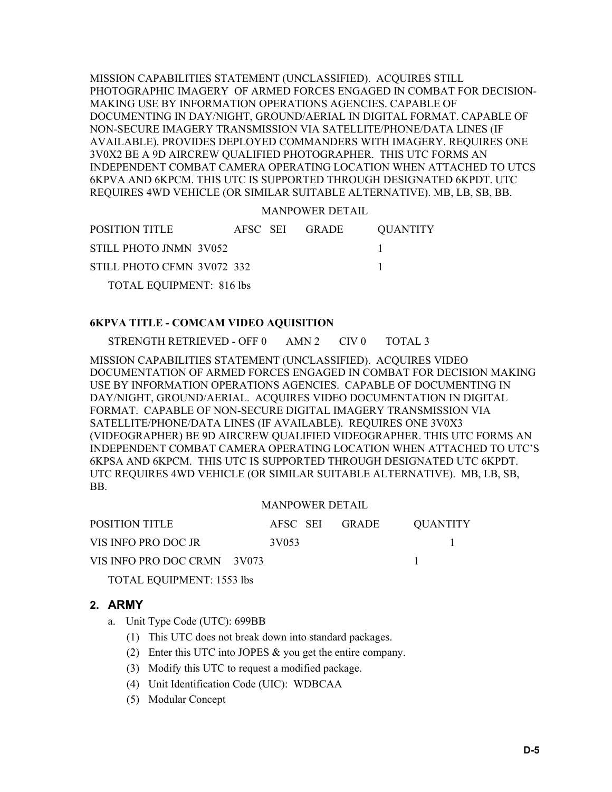MISSION CAPABILITIES STATEMENT (UNCLASSIFIED). ACQUIRES STILL PHOTOGRAPHIC IMAGERY OF ARMED FORCES ENGAGED IN COMBAT FOR DECISION-MAKING USE BY INFORMATION OPERATIONS AGENCIES. CAPABLE OF DOCUMENTING IN DAY/NIGHT, GROUND/AERIAL IN DIGITAL FORMAT. CAPABLE OF NON-SECURE IMAGERY TRANSMISSION VIA SATELLITE/PHONE/DATA LINES (IF AVAILABLE). PROVIDES DEPLOYED COMMANDERS WITH IMAGERY. REQUIRES ONE 3V0X2 BE A 9D AIRCREW QUALIFIED PHOTOGRAPHER. THIS UTC FORMS AN INDEPENDENT COMBAT CAMERA OPERATING LOCATION WHEN ATTACHED TO UTCS 6KPVA AND 6KPCM. THIS UTC IS SUPPORTED THROUGH DESIGNATED 6KPDT. UTC REQUIRES 4WD VEHICLE (OR SIMILAR SUITABLE ALTERNATIVE). MB, LB, SB, BB.

MANPOWER DETAIL

POSITION TITLE AFSC SEI GRADE QUANTITY STILL PHOTO JNMN 3V052 1 STILL PHOTO CFMN 3V072 332 1 TOTAL EQUIPMENT: 816 lbs

#### **6KPVA TITLE - COMCAM VIDEO AQUISITION**

STRENGTH RETRIEVED - OFF 0 AMN 2 CIV 0 TOTAL 3

MISSION CAPABILITIES STATEMENT (UNCLASSIFIED). ACQUIRES VIDEO DOCUMENTATION OF ARMED FORCES ENGAGED IN COMBAT FOR DECISION MAKING USE BY INFORMATION OPERATIONS AGENCIES. CAPABLE OF DOCUMENTING IN DAY/NIGHT, GROUND/AERIAL. ACQUIRES VIDEO DOCUMENTATION IN DIGITAL FORMAT. CAPABLE OF NON-SECURE DIGITAL IMAGERY TRANSMISSION VIA SATELLITE/PHONE/DATA LINES (IF AVAILABLE). REQUIRES ONE 3V0X3 (VIDEOGRAPHER) BE 9D AIRCREW QUALIFIED VIDEOGRAPHER. THIS UTC FORMS AN INDEPENDENT COMBAT CAMERA OPERATING LOCATION WHEN ATTACHED TO UTC'S 6KPSA AND 6KPCM. THIS UTC IS SUPPORTED THROUGH DESIGNATED UTC 6KPDT. UTC REQUIRES 4WD VEHICLE (OR SIMILAR SUITABLE ALTERNATIVE). MB, LB, SB, BB.

#### MANPOWER DETAIL

| POSITION TITLE                   |       | AFSC SEI GRADE | OUANTITY |  |
|----------------------------------|-------|----------------|----------|--|
| VIS INFO PRO DOC JR              | 3V053 |                |          |  |
| VIS INFO PRO DOC CRMN 3V073      |       |                |          |  |
| <b>TOTAL EQUIPMENT: 1553 lbs</b> |       |                |          |  |

#### **2. ARMY**

- a. Unit Type Code (UTC): 699BB
	- (1) This UTC does not break down into standard packages.
	- (2) Enter this UTC into JOPES & you get the entire company.
	- (3) Modify this UTC to request a modified package.
	- (4) Unit Identification Code (UIC): WDBCAA
	- (5) Modular Concept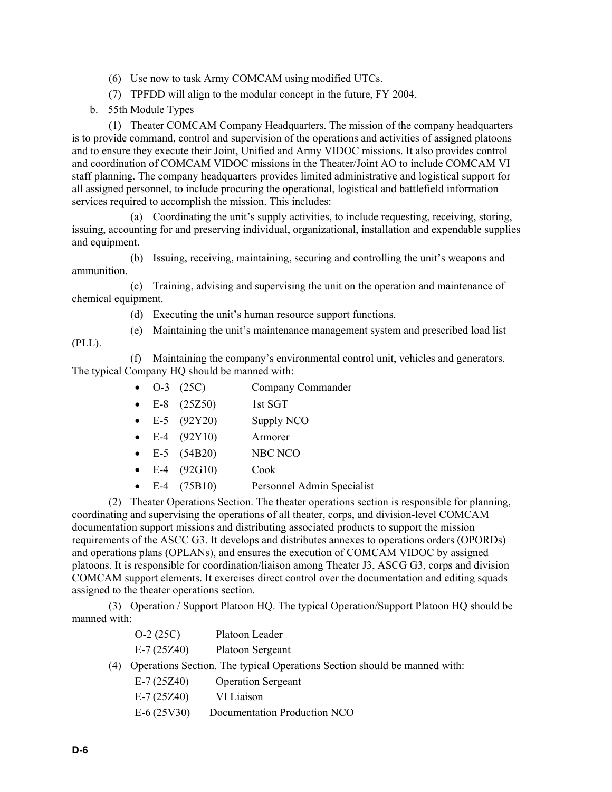- (6) Use now to task Army COMCAM using modified UTCs.
- (7) TPFDD will align to the modular concept in the future, FY 2004.
- b. 55th Module Types

(1) Theater COMCAM Company Headquarters. The mission of the company headquarters is to provide command, control and supervision of the operations and activities of assigned platoons and to ensure they execute their Joint, Unified and Army VIDOC missions. It also provides control and coordination of COMCAM VIDOC missions in the Theater/Joint AO to include COMCAM VI staff planning. The company headquarters provides limited administrative and logistical support for all assigned personnel, to include procuring the operational, logistical and battlefield information services required to accomplish the mission. This includes:

(a) Coordinating the unit's supply activities, to include requesting, receiving, storing, issuing, accounting for and preserving individual, organizational, installation and expendable supplies and equipment.

(b) Issuing, receiving, maintaining, securing and controlling the unit's weapons and ammunition.

(c) Training, advising and supervising the unit on the operation and maintenance of chemical equipment.

- (d) Executing the unit's human resource support functions.
- (e) Maintaining the unit's maintenance management system and prescribed load list

(PLL).

(f) Maintaining the company's environmental control unit, vehicles and generators. The typical Company HQ should be manned with:

- O-3 (25C) Company Commander
- E-8 (25Z50) 1st SGT
- E-5  $(92Y20)$  Supply NCO
- E-4  $(92Y10)$  Armorer
- E-5 (54B20) NBC NCO
- E-4 (92G10) Cook
- E-4 (75B10) Personnel Admin Specialist

(2) Theater Operations Section. The theater operations section is responsible for planning, coordinating and supervising the operations of all theater, corps, and division-level COMCAM documentation support missions and distributing associated products to support the mission requirements of the ASCC G3. It develops and distributes annexes to operations orders (OPORDs) and operations plans (OPLANs), and ensures the execution of COMCAM VIDOC by assigned platoons. It is responsible for coordination/liaison among Theater J3, ASCG G3, corps and division COMCAM support elements. It exercises direct control over the documentation and editing squads assigned to the theater operations section.

(3) Operation / Support Platoon HQ. The typical Operation/Support Platoon HQ should be manned with:

|     | $O-2(25C)$   | Platoon Leader                                                            |
|-----|--------------|---------------------------------------------------------------------------|
|     | $E-7(25Z40)$ | Platoon Sergeant                                                          |
| (4) |              | Operations Section. The typical Operations Section should be manned with: |
|     | $E-7(25Z40)$ | <b>Operation Sergeant</b>                                                 |
|     | $E-7(25Z40)$ | VI Liaison                                                                |
|     | $E-6(25V30)$ | Documentation Production NCO                                              |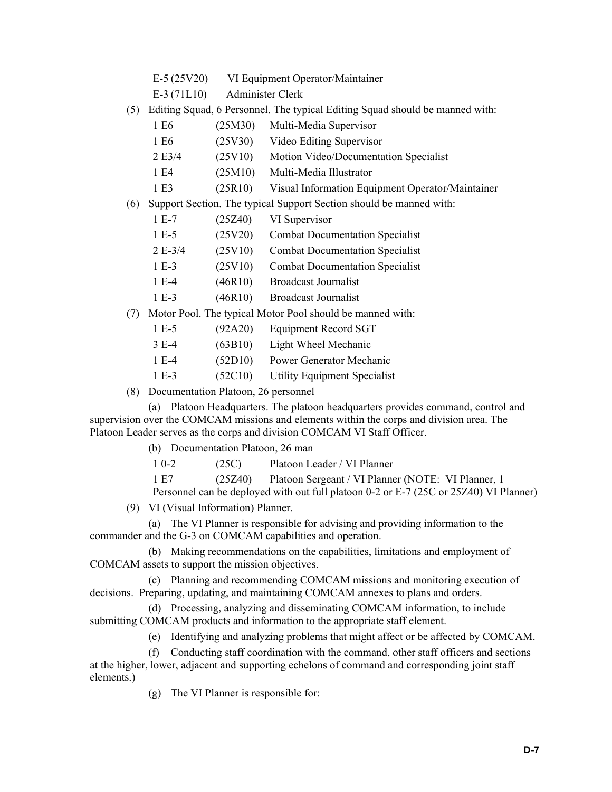- E-5 (25V20) VI Equipment Operator/Maintainer
- E-3 (71L10) Administer Clerk
- (5) Editing Squad, 6 Personnel. The typical Editing Squad should be manned with:
	- 1 E6 (25M30) Multi-Media Supervisor
	- 1 E6 (25V30) Video Editing Supervisor
	- 2 E3/4 (25V10) Motion Video/Documentation Specialist
	- 1 E4 (25M10) Multi-Media Illustrator
	- 1 E3 (25R10) Visual Information Equipment Operator/Maintainer
- (6) Support Section. The typical Support Section should be manned with:
	- 1 E-7 (25Z40) VI Supervisor
	- 1 E-5 (25V20) Combat Documentation Specialist
	- 2 E-3/4 (25V10) Combat Documentation Specialist
	- 1 E-3 (25V10) Combat Documentation Specialist
	- 1 E-4 (46R10) Broadcast Journalist
	- 1 E-3 (46R10) Broadcast Journalist
- (7) Motor Pool. The typical Motor Pool should be manned with:
	- 1 E-5 (92A20) Equipment Record SGT
	- 3 E-4 (63B10) Light Wheel Mechanic
	- 1 E-4 (52D10) Power Generator Mechanic
	- 1 E-3 (52C10) Utility Equipment Specialist
- (8) Documentation Platoon, 26 personnel

(a) Platoon Headquarters. The platoon headquarters provides command, control and supervision over the COMCAM missions and elements within the corps and division area. The Platoon Leader serves as the corps and division COMCAM VI Staff Officer.

(b) Documentation Platoon, 26 man

1 0-2 (25C) Platoon Leader / VI Planner

1 E7 (25Z40) Platoon Sergeant / VI Planner (NOTE: VI Planner, 1

Personnel can be deployed with out full platoon 0-2 or E-7 (25C or 25Z40) VI Planner)

(9) VI (Visual Information) Planner.

(a) The VI Planner is responsible for advising and providing information to the commander and the G-3 on COMCAM capabilities and operation.

(b) Making recommendations on the capabilities, limitations and employment of COMCAM assets to support the mission objectives.

(c) Planning and recommending COMCAM missions and monitoring execution of decisions. Preparing, updating, and maintaining COMCAM annexes to plans and orders.

(d) Processing, analyzing and disseminating COMCAM information, to include submitting COMCAM products and information to the appropriate staff element.

(e) Identifying and analyzing problems that might affect or be affected by COMCAM.

(f) Conducting staff coordination with the command, other staff officers and sections

at the higher, lower, adjacent and supporting echelons of command and corresponding joint staff elements.)

(g) The VI Planner is responsible for: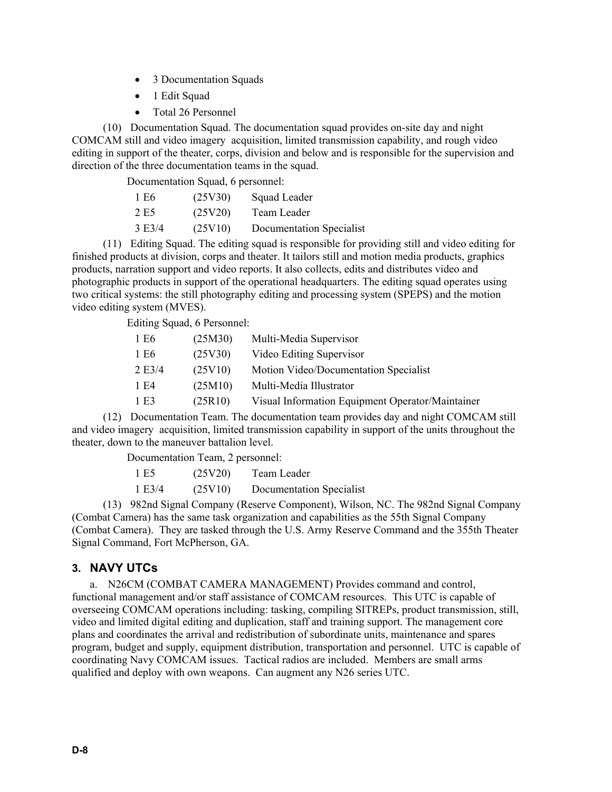- 3 Documentation Squads
- 1 Edit Squad
- Total 26 Personnel

(10) Documentation Squad. The documentation squad provides on-site day and night COMCAM still and video imagery acquisition, limited transmission capability, and rough video editing in support of the theater, corps, division and below and is responsible for the supervision and direction of the three documentation teams in the squad.

Documentation Squad, 6 personnel:

| 1 E <sub>6</sub> | (25V30) | Squad Leader             |
|------------------|---------|--------------------------|
| 2 E <sub>5</sub> | (25V20) | Team Leader              |
| $3 \text{ E}3/4$ | (25V10) | Documentation Specialist |

(11) Editing Squad. The editing squad is responsible for providing still and video editing for finished products at division, corps and theater. It tailors still and motion media products, graphics products, narration support and video reports. It also collects, edits and distributes video and photographic products in support of the operational headquarters. The editing squad operates using two critical systems: the still photography editing and processing system (SPEPS) and the motion video editing system (MVES).

Editing Squad, 6 Personnel:

| 1 E <sub>6</sub> | (25M30) | Multi-Media Supervisor                           |
|------------------|---------|--------------------------------------------------|
| 1 E <sub>6</sub> | (25V30) | Video Editing Supervisor                         |
| 2E3/4            | (25V10) | Motion Video/Documentation Specialist            |
| 1 E4             | (25M10) | Multi-Media Illustrator                          |
| 1 E3             | (25R10) | Visual Information Equipment Operator/Maintainer |

(12) Documentation Team. The documentation team provides day and night COMCAM still and video imagery acquisition, limited transmission capability in support of the units throughout the theater, down to the maneuver battalion level.

Documentation Team, 2 personnel:

| 1 E <sub>5</sub> | (25V20) | Team Leader              |
|------------------|---------|--------------------------|
| 1 E3/4           | (25V10) | Documentation Specialist |

(13) 982nd Signal Company (Reserve Component), Wilson, NC. The 982nd Signal Company (Combat Camera) has the same task organization and capabilities as the 55th Signal Company (Combat Camera). They are tasked through the U.S. Army Reserve Command and the 355th Theater Signal Command, Fort McPherson, GA.

## **3. NAVY UTCs**

a. N26CM (COMBAT CAMERA MANAGEMENT) Provides command and control, functional management and/or staff assistance of COMCAM resources. This UTC is capable of overseeing COMCAM operations including: tasking, compiling SITREPs, product transmission, still, video and limited digital editing and duplication, staff and training support. The management core plans and coordinates the arrival and redistribution of subordinate units, maintenance and spares program, budget and supply, equipment distribution, transportation and personnel. UTC is capable of coordinating Navy COMCAM issues. Tactical radios are included. Members are small arms qualified and deploy with own weapons. Can augment any N26 series UTC.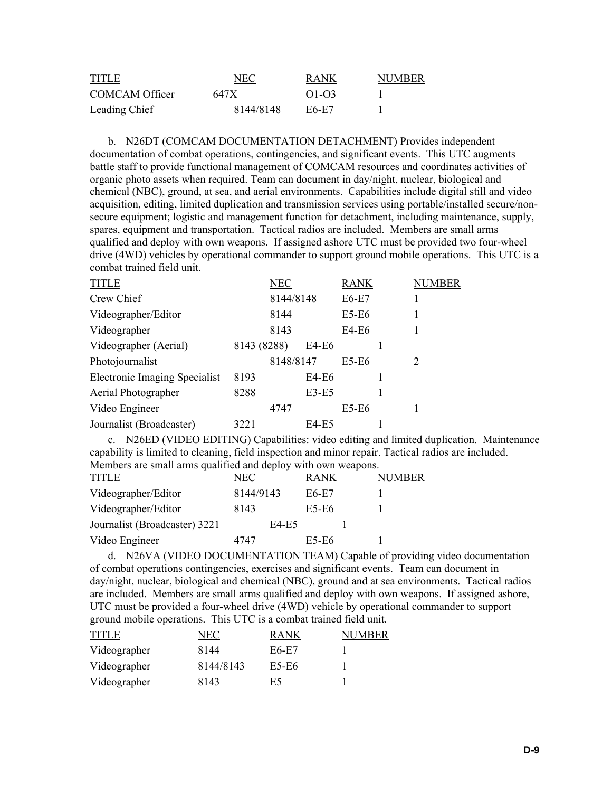| <b>TITLE</b>   | NEC       | <b>RANK</b> | <b>NUMBER</b> |
|----------------|-----------|-------------|---------------|
| COMCAM Officer | 647 X     | $O1-O3$     |               |
| Leading Chief  | 8144/8148 | E6-E7       |               |

b. N26DT (COMCAM DOCUMENTATION DETACHMENT) Provides independent documentation of combat operations, contingencies, and significant events. This UTC augments battle staff to provide functional management of COMCAM resources and coordinates activities of organic photo assets when required. Team can document in day/night, nuclear, biological and chemical (NBC), ground, at sea, and aerial environments. Capabilities include digital still and video acquisition, editing, limited duplication and transmission services using portable/installed secure/nonsecure equipment; logistic and management function for detachment, including maintenance, supply, spares, equipment and transportation. Tactical radios are included. Members are small arms qualified and deploy with own weapons. If assigned ashore UTC must be provided two four-wheel drive (4WD) vehicles by operational commander to support ground mobile operations. This UTC is a combat trained field unit.

| <b>TITLE</b>                  |             | NEC       |              | <b>RANK</b> | NUMBER |
|-------------------------------|-------------|-----------|--------------|-------------|--------|
| Crew Chief                    |             | 8144/8148 |              | $E6-E7$     |        |
| Videographer/Editor           |             | 8144      |              | $E5-E6$     |        |
| Videographer                  |             | 8143      |              | E4-E6       |        |
| Videographer (Aerial)         | 8143 (8288) |           | E4-E6        |             |        |
| Photojournalist               |             | 8148/8147 |              | E5-E6       | 2      |
| Electronic Imaging Specialist | 8193        |           | E4-E6        |             |        |
| Aerial Photographer           | 8288        |           | $E3-E5$      |             |        |
| Video Engineer                |             | 4747      |              | E5-E6       |        |
| Journalist (Broadcaster)      | 3221        |           | <b>E4-E5</b> |             |        |

c. N26ED (VIDEO EDITING) Capabilities: video editing and limited duplication. Maintenance capability is limited to cleaning, field inspection and minor repair. Tactical radios are included. Members are small arms qualified and deploy with own weapons.

| TITLE                         | NEC       | <b>RANK</b> | IMBER. |
|-------------------------------|-----------|-------------|--------|
| Videographer/Editor           | 8144/9143 | E6-E7       |        |
| Videographer/Editor           | 8143      | E5-E6       |        |
| Journalist (Broadcaster) 3221 | E4-E5     |             |        |
| Video Engineer                | 4747      | E5-E6       |        |
|                               |           |             |        |

d. N26VA (VIDEO DOCUMENTATION TEAM) Capable of providing video documentation of combat operations contingencies, exercises and significant events. Team can document in day/night, nuclear, biological and chemical (NBC), ground and at sea environments. Tactical radios are included. Members are small arms qualified and deploy with own weapons. If assigned ashore, UTC must be provided a four-wheel drive (4WD) vehicle by operational commander to support ground mobile operations. This UTC is a combat trained field unit.

| <b>TITLE</b> | NEC       | <b>RANK</b> | NUMBER |
|--------------|-----------|-------------|--------|
| Videographer | 8144      | E6-E7       |        |
| Videographer | 8144/8143 | E5-E6       |        |
| Videographer | 8143      | E5          |        |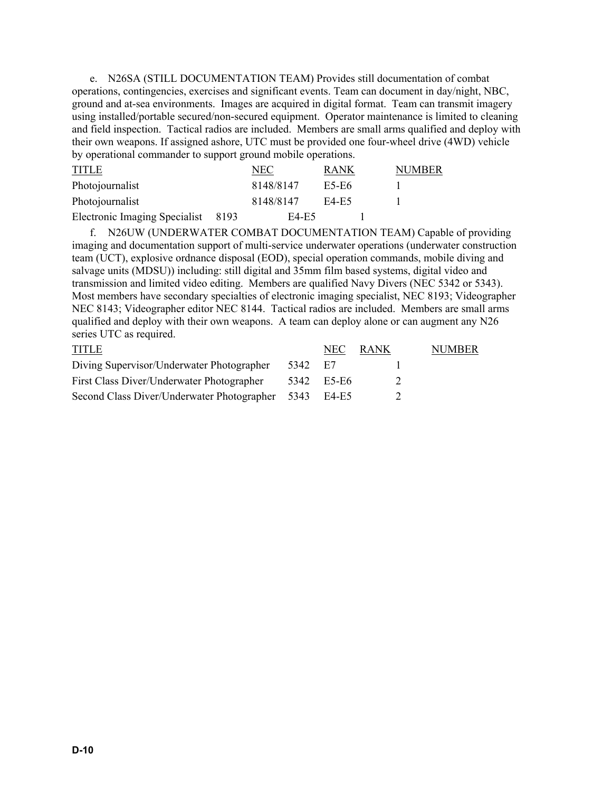e. N26SA (STILL DOCUMENTATION TEAM) Provides still documentation of combat operations, contingencies, exercises and significant events. Team can document in day/night, NBC, ground and at-sea environments. Images are acquired in digital format. Team can transmit imagery using installed/portable secured/non-secured equipment. Operator maintenance is limited to cleaning and field inspection. Tactical radios are included. Members are small arms qualified and deploy with their own weapons. If assigned ashore, UTC must be provided one four-wheel drive (4WD) vehicle by operational commander to support ground mobile operations.

| <b>TITLE</b>                  |       | NEC       | RANK  | NUMBER |
|-------------------------------|-------|-----------|-------|--------|
| Photojournalist               |       | 8148/8147 | E5-E6 |        |
| Photojournalist               |       | 8148/8147 | E4-E5 |        |
| Electronic Imaging Specialist | -8193 | E4-E5     |       |        |

f. N26UW (UNDERWATER COMBAT DOCUMENTATION TEAM) Capable of providing imaging and documentation support of multi-service underwater operations (underwater construction team (UCT), explosive ordnance disposal (EOD), special operation commands, mobile diving and salvage units (MDSU)) including: still digital and 35mm film based systems, digital video and transmission and limited video editing. Members are qualified Navy Divers (NEC 5342 or 5343). Most members have secondary specialties of electronic imaging specialist, NEC 8193; Videographer NEC 8143; Videographer editor NEC 8144. Tactical radios are included. Members are small arms qualified and deploy with their own weapons. A team can deploy alone or can augment any N26 series UTC as required.

| <b>TITLE</b>                                    |         | NEC.       | RANK. | NUMBER |
|-------------------------------------------------|---------|------------|-------|--------|
| Diving Supervisor/Underwater Photographer       | 5342 E7 |            |       |        |
| First Class Diver/Underwater Photographer       |         | 5342 E5-E6 |       |        |
| Second Class Diver/Underwater Photographer 5343 |         | E4-E5      |       |        |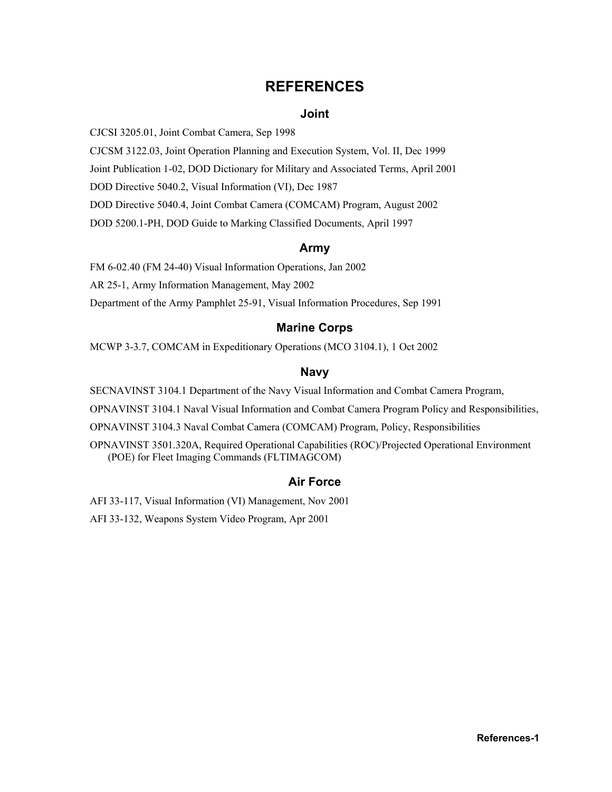## **REFERENCES**

#### **Joint**

<span id="page-56-0"></span>CJCSI 3205.01, Joint Combat Camera, Sep 1998

CJCSM 3122.03, Joint Operation Planning and Execution System, Vol. II, Dec 1999

Joint Publication 1-02, DOD Dictionary for Military and Associated Terms, April 2001

DOD Directive 5040.2, Visual Information (VI), Dec 1987

DOD Directive 5040.4, Joint Combat Camera (COMCAM) Program, August 2002

DOD 5200.1-PH, DOD Guide to Marking Classified Documents, April 1997

#### **Army**

FM 6-02.40 (FM 24-40) Visual Information Operations, Jan 2002

AR 25-1, Army Information Management, May 2002

Department of the Army Pamphlet 25-91, Visual Information Procedures, Sep 1991

#### **Marine Corps**

MCWP 3-3.7, COMCAM in Expeditionary Operations (MCO 3104.1), 1 Oct 2002

#### **Navy**

SECNAVINST 3104.1 Department of the Navy Visual Information and Combat Camera Program,

OPNAVINST 3104.1 Naval Visual Information and Combat Camera Program Policy and Responsibilities,

OPNAVINST 3104.3 Naval Combat Camera (COMCAM) Program, Policy, Responsibilities

OPNAVINST 3501.320A, Required Operational Capabilities (ROC)/Projected Operational Environment (POE) for Fleet Imaging Commands (FLTIMAGCOM)

## **Air Force**

AFI 33-117, Visual Information (VI) Management, Nov 2001

AFI 33-132, Weapons System Video Program, Apr 2001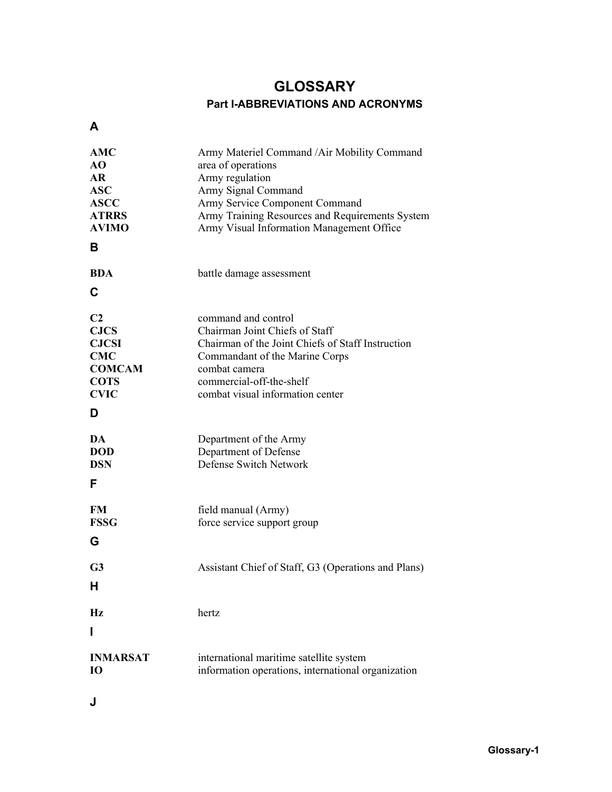## **GLOSSARY Part I-ABBREVIATIONS AND ACRONYMS**

<span id="page-58-0"></span>**A** 

| AMC<br>AO<br><b>AR</b><br><b>ASC</b><br><b>ASCC</b><br><b>ATRRS</b><br><b>AVIMO</b><br>в                        | Army Materiel Command / Air Mobility Command<br>area of operations<br>Army regulation<br>Army Signal Command<br>Army Service Component Command<br>Army Training Resources and Requirements System<br>Army Visual Information Management Office |
|-----------------------------------------------------------------------------------------------------------------|------------------------------------------------------------------------------------------------------------------------------------------------------------------------------------------------------------------------------------------------|
| <b>BDA</b><br>C                                                                                                 | battle damage assessment                                                                                                                                                                                                                       |
| C <sub>2</sub><br><b>CJCS</b><br><b>CJCSI</b><br><b>CMC</b><br><b>COMCAM</b><br><b>COTS</b><br><b>CVIC</b><br>D | command and control<br>Chairman Joint Chiefs of Staff<br>Chairman of the Joint Chiefs of Staff Instruction<br>Commandant of the Marine Corps<br>combat camera<br>commercial-off-the-shelf<br>combat visual information center                  |
| DA<br><b>DOD</b><br><b>DSN</b><br>F                                                                             | Department of the Army<br>Department of Defense<br>Defense Switch Network                                                                                                                                                                      |
| <b>FM</b><br><b>FSSG</b><br>G                                                                                   | field manual (Army)<br>force service support group                                                                                                                                                                                             |
| G <sub>3</sub><br>H                                                                                             | Assistant Chief of Staff, G3 (Operations and Plans)                                                                                                                                                                                            |
| $\mathbf{Hz}$<br>ı                                                                                              | hertz                                                                                                                                                                                                                                          |
| <b>INMARSAT</b><br>10                                                                                           | international maritime satellite system<br>information operations, international organization                                                                                                                                                  |

**J**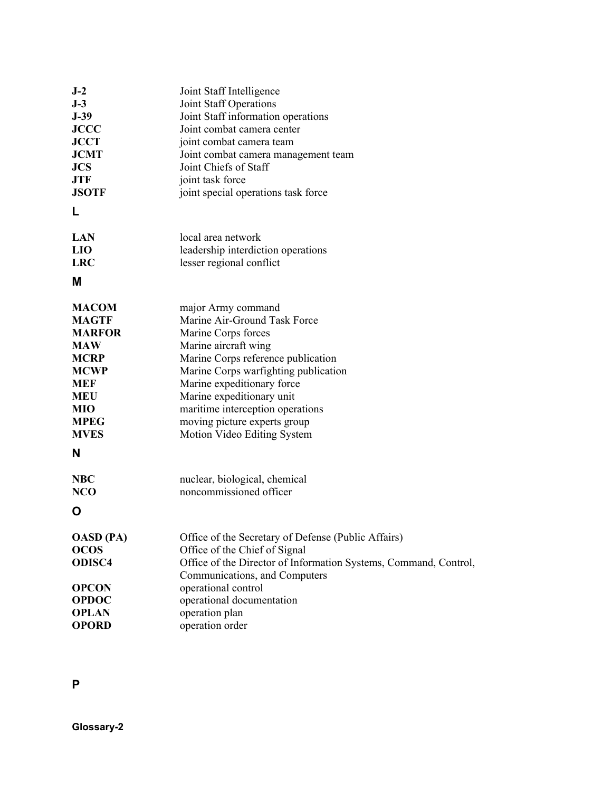| $J-2$<br>$J-3$<br>$J-39$<br><b>JCCC</b><br><b>JCCT</b><br><b>JCMT</b><br><b>JCS</b><br>JTF<br><b>JSOTF</b><br>L                                          | Joint Staff Intelligence<br>Joint Staff Operations<br>Joint Staff information operations<br>Joint combat camera center<br>joint combat camera team<br>Joint combat camera management team<br>Joint Chiefs of Staff<br>joint task force<br>joint special operations task force                                                                 |
|----------------------------------------------------------------------------------------------------------------------------------------------------------|-----------------------------------------------------------------------------------------------------------------------------------------------------------------------------------------------------------------------------------------------------------------------------------------------------------------------------------------------|
| <b>LAN</b><br><b>LIO</b><br><b>LRC</b><br>М                                                                                                              | local area network<br>leadership interdiction operations<br>lesser regional conflict                                                                                                                                                                                                                                                          |
| <b>MACOM</b><br><b>MAGTF</b><br><b>MARFOR</b><br><b>MAW</b><br>MCRP<br><b>MCWP</b><br><b>MEF</b><br><b>MEU</b><br>MIO<br><b>MPEG</b><br><b>MVES</b><br>N | major Army command<br>Marine Air-Ground Task Force<br>Marine Corps forces<br>Marine aircraft wing<br>Marine Corps reference publication<br>Marine Corps warfighting publication<br>Marine expeditionary force<br>Marine expeditionary unit<br>maritime interception operations<br>moving picture experts group<br>Motion Video Editing System |
| NBC<br><b>NCO</b><br>O                                                                                                                                   | nuclear, biological, chemical<br>noncommissioned officer                                                                                                                                                                                                                                                                                      |
| <b>OASD</b> (PA)<br><b>OCOS</b><br><b>ODISC4</b><br><b>OPCON</b><br><b>OPDOC</b><br><b>OPLAN</b><br><b>OPORD</b>                                         | Office of the Secretary of Defense (Public Affairs)<br>Office of the Chief of Signal<br>Office of the Director of Information Systems, Command, Control,<br>Communications, and Computers<br>operational control<br>operational documentation<br>operation plan<br>operation order                                                            |

## **P**

**Glossary-2**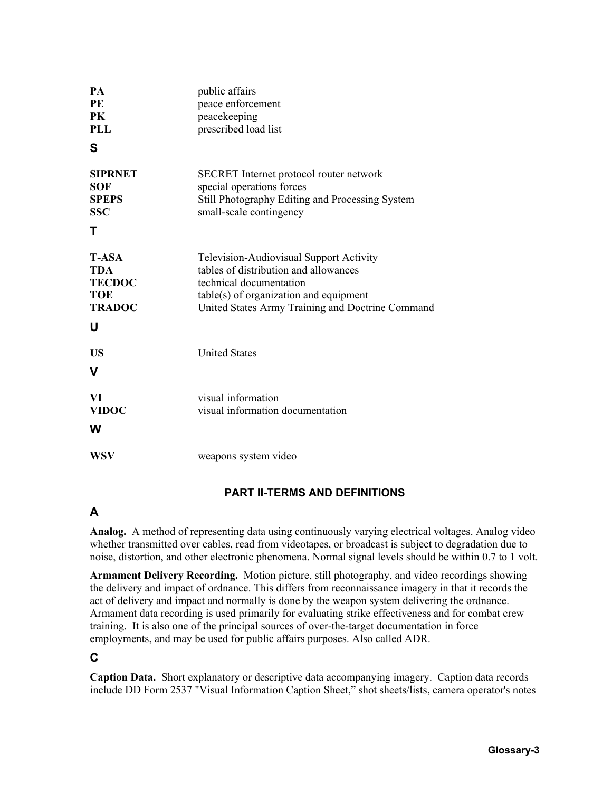| <b>PA</b><br>PE<br><b>PK</b><br><b>PLL</b><br>S                                 | public affairs<br>peace enforcement<br>peacekeeping<br>prescribed load list                                                                                                                                 |
|---------------------------------------------------------------------------------|-------------------------------------------------------------------------------------------------------------------------------------------------------------------------------------------------------------|
| <b>SIPRNET</b><br><b>SOF</b><br><b>SPEPS</b><br><b>SSC</b><br>т                 | SECRET Internet protocol router network<br>special operations forces<br>Still Photography Editing and Processing System<br>small-scale contingency                                                          |
| <b>T-ASA</b><br><b>TDA</b><br><b>TECDOC</b><br><b>TOE</b><br><b>TRADOC</b><br>U | Television-Audiovisual Support Activity<br>tables of distribution and allowances<br>technical documentation<br>$table(s)$ of organization and equipment<br>United States Army Training and Doctrine Command |
| <b>US</b><br>V                                                                  | <b>United States</b>                                                                                                                                                                                        |
| VI<br><b>VIDOC</b><br>W                                                         | visual information<br>visual information documentation                                                                                                                                                      |
| <b>WSV</b>                                                                      | weapons system video                                                                                                                                                                                        |

## **PART II-TERMS AND DEFINITIONS**

## **A**

**Analog.** A method of representing data using continuously varying electrical voltages. Analog video whether transmitted over cables, read from videotapes, or broadcast is subject to degradation due to noise, distortion, and other electronic phenomena. Normal signal levels should be within 0.7 to 1 volt.

**Armament Delivery Recording.** Motion picture, still photography, and video recordings showing the delivery and impact of ordnance. This differs from reconnaissance imagery in that it records the act of delivery and impact and normally is done by the weapon system delivering the ordnance. Armament data recording is used primarily for evaluating strike effectiveness and for combat crew training. It is also one of the principal sources of over-the-target documentation in force employments, and may be used for public affairs purposes. Also called ADR.

## **C**

**Caption Data.** Short explanatory or descriptive data accompanying imagery. Caption data records include DD Form 2537 "Visual Information Caption Sheet," shot sheets/lists, camera operator's notes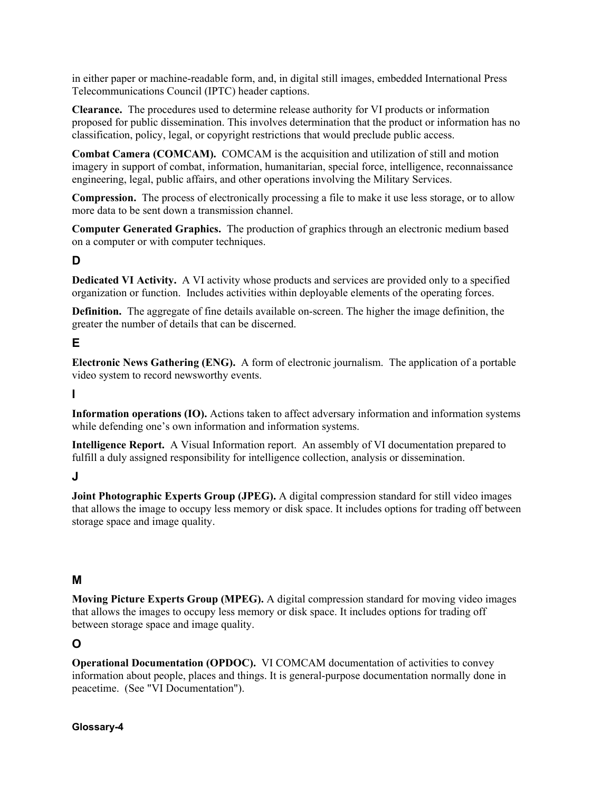in either paper or machine-readable form, and, in digital still images, embedded International Press Telecommunications Council (IPTC) header captions.

**Clearance.** The procedures used to determine release authority for VI products or information proposed for public dissemination. This involves determination that the product or information has no classification, policy, legal, or copyright restrictions that would preclude public access.

**Combat Camera (COMCAM).** COMCAM is the acquisition and utilization of still and motion imagery in support of combat, information, humanitarian, special force, intelligence, reconnaissance engineering, legal, public affairs, and other operations involving the Military Services.

**Compression.** The process of electronically processing a file to make it use less storage, or to allow more data to be sent down a transmission channel.

**Computer Generated Graphics.** The production of graphics through an electronic medium based on a computer or with computer techniques.

## **D**

**Dedicated VI Activity.** A VI activity whose products and services are provided only to a specified organization or function. Includes activities within deployable elements of the operating forces.

**Definition.** The aggregate of fine details available on-screen. The higher the image definition, the greater the number of details that can be discerned.

## **E**

**Electronic News Gathering (ENG).** A form of electronic journalism. The application of a portable video system to record newsworthy events.

**I** 

**Information operations (IO).** Actions taken to affect adversary information and information systems while defending one's own information and information systems.

**Intelligence Report.** A Visual Information report. An assembly of VI documentation prepared to fulfill a duly assigned responsibility for intelligence collection, analysis or dissemination.

## **J**

**Joint Photographic Experts Group (JPEG).** A digital compression standard for still video images that allows the image to occupy less memory or disk space. It includes options for trading off between storage space and image quality.

## **M**

**Moving Picture Experts Group (MPEG).** A digital compression standard for moving video images that allows the images to occupy less memory or disk space. It includes options for trading off between storage space and image quality.

## **O**

**Operational Documentation (OPDOC).** VI COMCAM documentation of activities to convey information about people, places and things. It is general-purpose documentation normally done in peacetime. (See "VI Documentation").

#### **Glossary-4**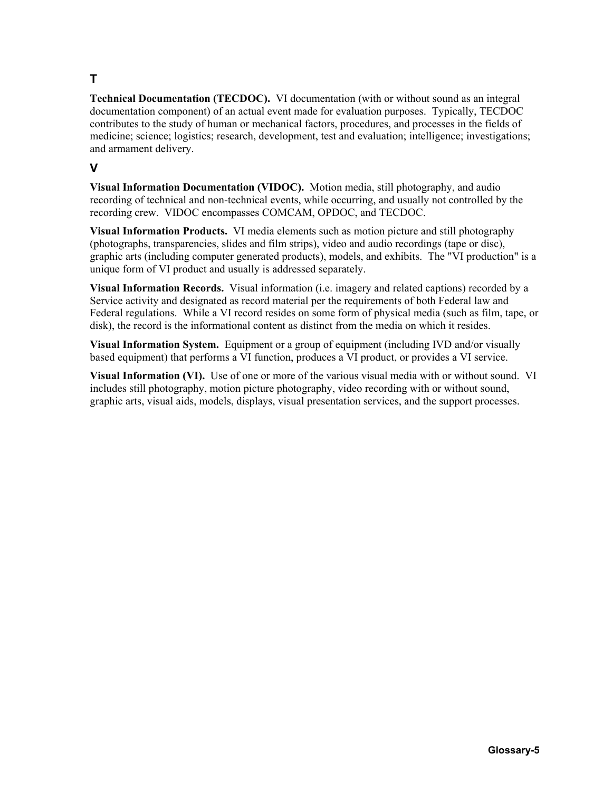## **T**

**Technical Documentation (TECDOC).** VI documentation (with or without sound as an integral documentation component) of an actual event made for evaluation purposes. Typically, TECDOC contributes to the study of human or mechanical factors, procedures, and processes in the fields of medicine; science; logistics; research, development, test and evaluation; intelligence; investigations; and armament delivery.

## **V**

**Visual Information Documentation (VIDOC).** Motion media, still photography, and audio recording of technical and non-technical events, while occurring, and usually not controlled by the recording crew. VIDOC encompasses COMCAM, OPDOC, and TECDOC.

**Visual Information Products.** VI media elements such as motion picture and still photography (photographs, transparencies, slides and film strips), video and audio recordings (tape or disc), graphic arts (including computer generated products), models, and exhibits. The "VI production" is a unique form of VI product and usually is addressed separately.

**Visual Information Records.** Visual information (i.e. imagery and related captions) recorded by a Service activity and designated as record material per the requirements of both Federal law and Federal regulations. While a VI record resides on some form of physical media (such as film, tape, or disk), the record is the informational content as distinct from the media on which it resides.

**Visual Information System.** Equipment or a group of equipment (including IVD and/or visually based equipment) that performs a VI function, produces a VI product, or provides a VI service.

**Visual Information (VI).** Use of one or more of the various visual media with or without sound. VI includes still photography, motion picture photography, video recording with or without sound, graphic arts, visual aids, models, displays, visual presentation services, and the support processes.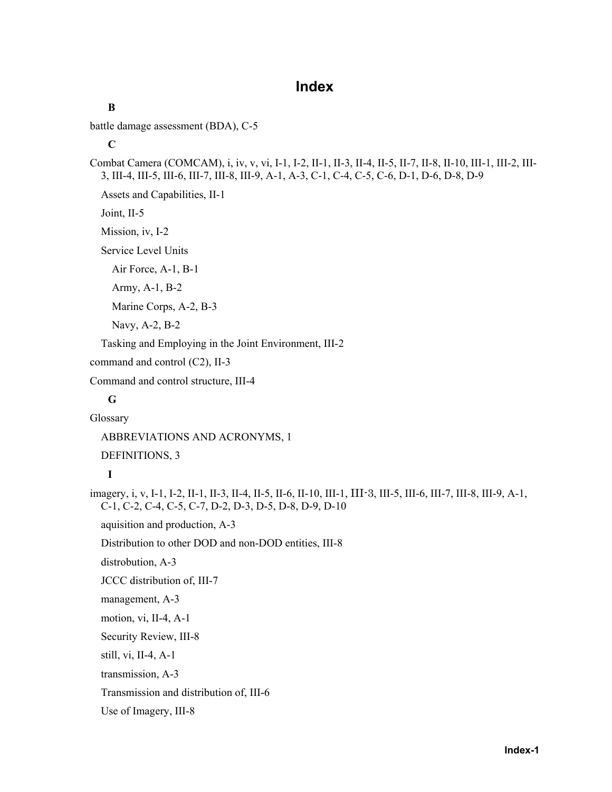## **Index**

```
battle damage assessment (BDA), C-5
```
**C** 

**B** 

Combat Camera (COMCAM), i, iv, v, vi, I-1, I-2, II-1, II-3, II-4, II-5, II-7, II-8, II-10, III-1, III-2, III-3, III-4, III-5, III-6, III-7, III-8, III-9, A-1, A-3, C-1, C-4, C-5, C-6, D-1, D-6, D-8, D-9

Assets and Capabilities, II-1

Joint, II-5

Mission, iv, I-2

Service Level Units

Air Force, A-1, B-1

Army, A-1, B-2

Marine Corps, A-2, B-3

Navy, A-2, B-2

Tasking and Employing in the Joint Environment, III-2

command and control (C2), II-3

Command and control structure, III-4

## **G**

Glossary

ABBREVIATIONS AND ACRONYMS, 1

DEFINITIONS, 3

## **I**

imagery, i, v, I-1, I-2, II-1, II-3, II-4, II-5, II-6, II-10, III-1, III-3, III-5, III-6, III-7, III-8, III-9, A-1, C-1, C-2, C-4, C-5, C-7, D-2, D-3, D-5, D-8, D-9, D-10

aquisition and production, A-3

Distribution to other DOD and non-DOD entities, III-8

distrobution, A-3

JCCC distribution of, III-7

management, A-3

motion, vi, II-4, A-1

Security Review, III-8

still, vi, II-4, A-1

transmission, A-3

Transmission and distribution of, III-6

Use of Imagery, III-8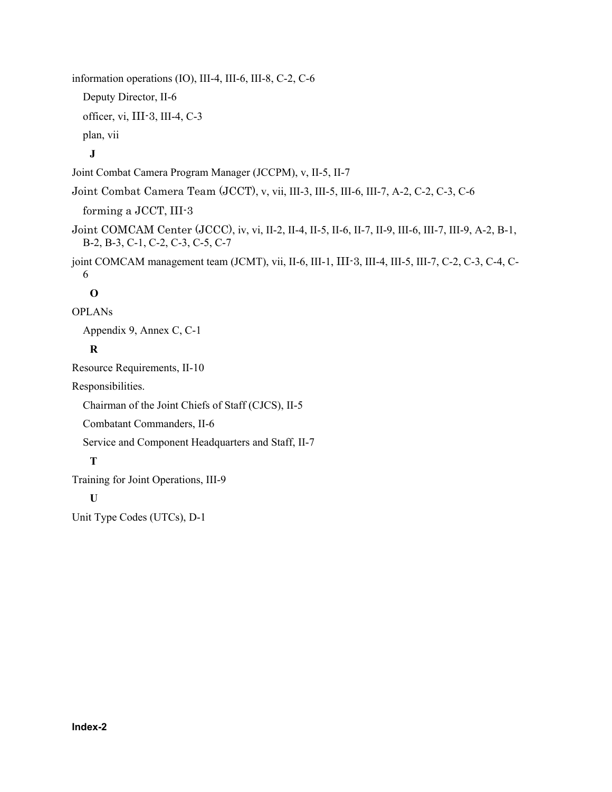information operations (IO), III-4, III-6, III-8, C-2, C-6 Deputy Director, II-6 officer, vi, III-3, III-4, C-3 plan, vii **J**  Joint Combat Camera Program Manager (JCCPM), v, II-5, II-7 Joint Combat Camera Team (JCCT), v, vii, III-3, III-5, III-6, III-7, A-2, C-2, C-3, C-6 forming a JCCT, III-3 Joint COMCAM Center (JCCC), iv, vi, II-2, II-4, II-5, II-6, II-7, II-9, III-6, III-7, III-9, A-2, B-1, B-2, B-3, C-1, C-2, C-3, C-5, C-7 joint COMCAM management team (JCMT), vii, II-6, III-1, III-3, III-4, III-5, III-7, C-2, C-3, C-4, C-6 **O**  OPLANs Appendix 9, Annex C, C-1 **R**  Resource Requirements, II-10 Responsibilities. Chairman of the Joint Chiefs of Staff (CJCS), II-5 Combatant Commanders, II-6 Service and Component Headquarters and Staff, II-7 **T**  Training for Joint Operations, III-9

## **U**

Unit Type Codes (UTCs), D-1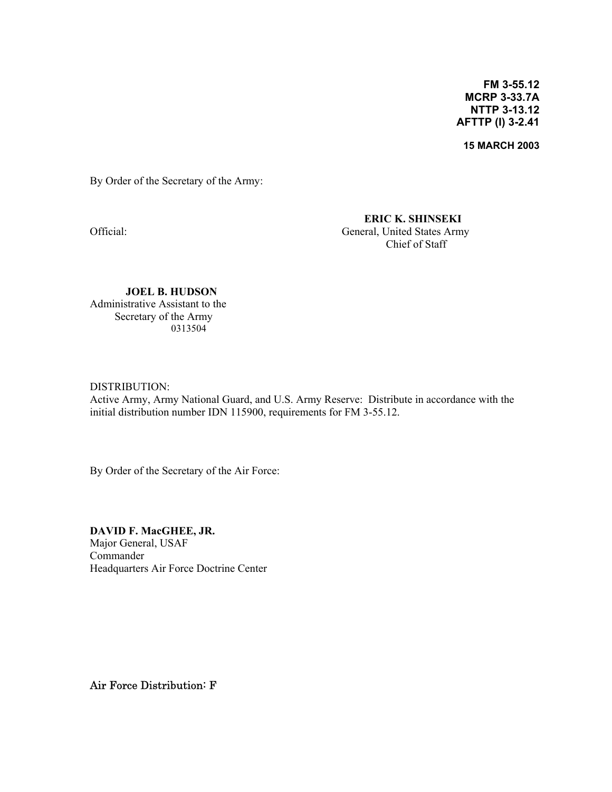**FM 3-55.12 MCRP 3-33.7A NTTP 3-13.12 AFTTP (I) 3-2.41**

**15 MARCH 2003**

By Order of the Secretary of the Army:

**ERIC K. SHINSEKI**  Official: General, United States Army Chief of Staff

**JOEL B. HUDSON**  Administrative Assistant to the Secretary of the Army 0313504

#### DISTRIBUTION:

Active Army, Army National Guard, and U.S. Army Reserve: Distribute in accordance with the initial distribution number IDN 115900, requirements for FM 3-55.12.

By Order of the Secretary of the Air Force:

**DAVID F. MacGHEE, JR.**  Major General, USAF Commander Headquarters Air Force Doctrine Center

Air Force Distribution: F